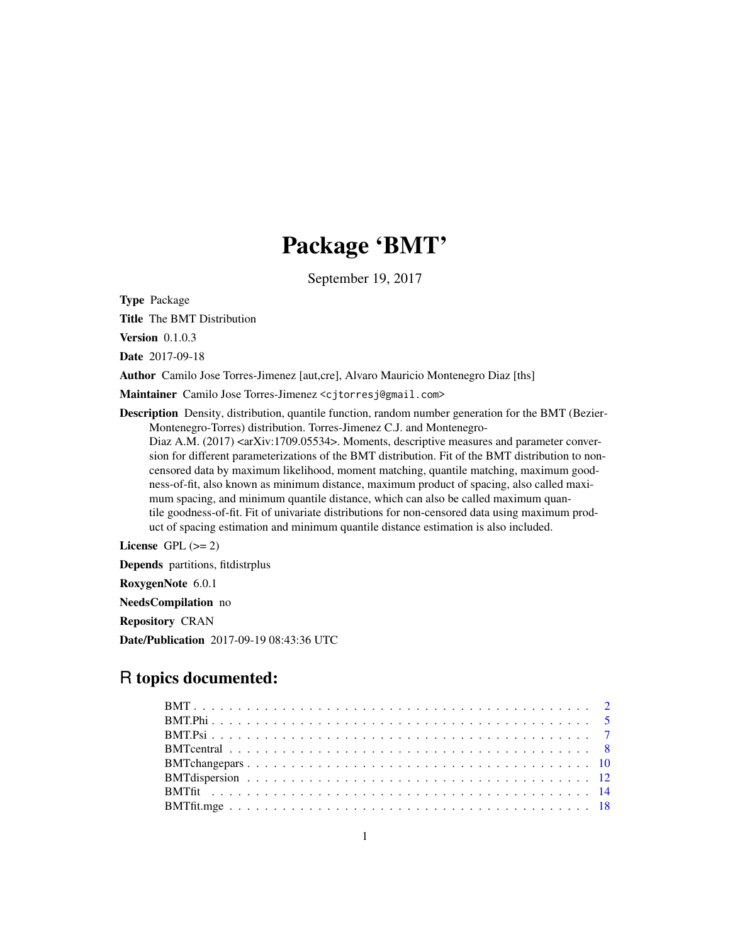# Package 'BMT'

September 19, 2017

<span id="page-0-0"></span>Type Package

Title The BMT Distribution

**Version** 0.1.0.3

Date 2017-09-18

Author Camilo Jose Torres-Jimenez [aut,cre], Alvaro Mauricio Montenegro Diaz [ths]

Maintainer Camilo Jose Torres-Jimenez <cjtorresj@gmail.com>

Description Density, distribution, quantile function, random number generation for the BMT (Bezier-Montenegro-Torres) distribution. Torres-Jimenez C.J. and Montenegro-Diaz A.M. (2017) <arXiv:1709.05534>. Moments, descriptive measures and parameter conversion for different parameterizations of the BMT distribution. Fit of the BMT distribution to noncensored data by maximum likelihood, moment matching, quantile matching, maximum goodness-of-fit, also known as minimum distance, maximum product of spacing, also called maximum spacing, and minimum quantile distance, which can also be called maximum quantile goodness-of-fit. Fit of univariate distributions for non-censored data using maximum product of spacing estimation and minimum quantile distance estimation is also included.

License GPL  $(>= 2)$ 

Depends partitions, fitdistrplus

RoxygenNote 6.0.1

NeedsCompilation no

Repository CRAN

Date/Publication 2017-09-19 08:43:36 UTC

# R topics documented: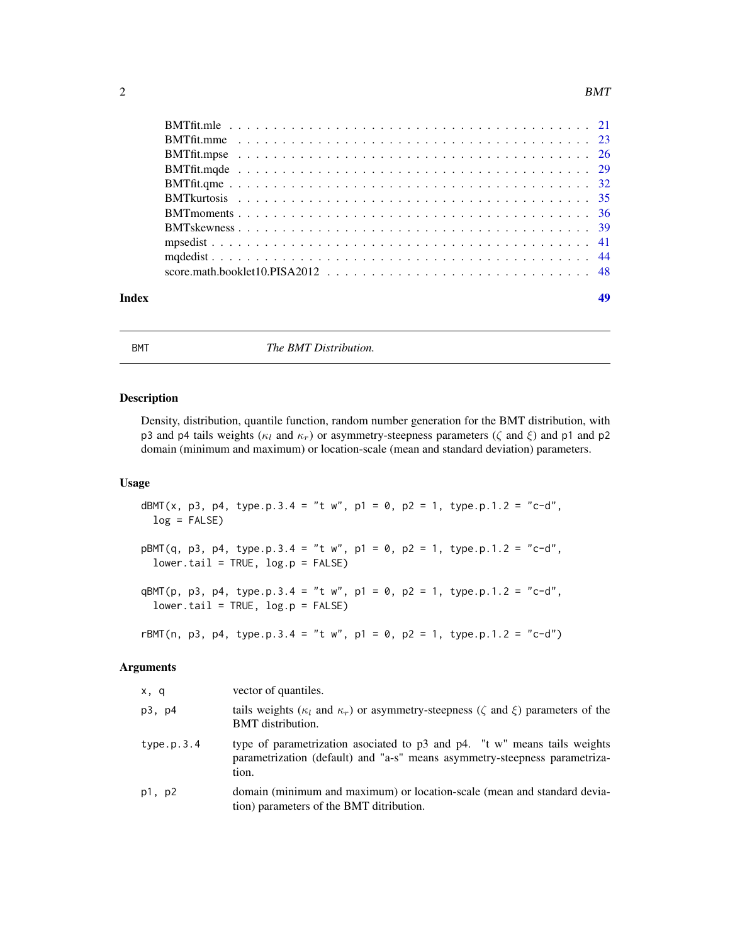<span id="page-1-0"></span>

| Index | 49 |
|-------|----|

<span id="page-1-2"></span>BMT *The BMT Distribution.*

# <span id="page-1-1"></span>Description

Density, distribution, quantile function, random number generation for the BMT distribution, with p3 and p4 tails weights ( $\kappa_l$  and  $\kappa_r$ ) or asymmetry-steepness parameters ( $\zeta$  and  $\xi$ ) and p1 and p2 domain (minimum and maximum) or location-scale (mean and standard deviation) parameters.

#### Usage

dBMT(x, p3, p4, type.p.3.4 = "t w", p1 = 0, p2 = 1, type.p.1.2 = "c-d", log = FALSE)  $pBMT(q, p3, p4, type.p.3.4 = "t w", p1 = 0, p2 = 1, type.p.1.2 = "c-d",$  $lower.tail = TRUE, log.p = FALSE)$ qBMT(p, p3, p4, type.p.3.4 = "t w", p1 = 0, p2 = 1, type.p.1.2 = "c-d",  $lower.tail = TRUE, log.p = FALSE)$ rBMT(n, p3, p4, type.p.3.4 = "t w", p1 = 0, p2 = 1, type.p.1.2 = "c-d")

| x, q       | vector of quantiles.                                                                                                                                             |
|------------|------------------------------------------------------------------------------------------------------------------------------------------------------------------|
| p3, p4     | tails weights ( $\kappa_l$ and $\kappa_r$ ) or asymmetry-steepness ( $\zeta$ and $\xi$ ) parameters of the<br><b>BMT</b> distribution.                           |
| type.p.3.4 | type of parametrization asociated to p3 and p4. "t w" means tails weights<br>parametrization (default) and "a-s" means asymmetry-steepness parametriza-<br>tion. |
| p1, p2     | domain (minimum and maximum) or location-scale (mean and standard devia-<br>tion) parameters of the BMT ditribution.                                             |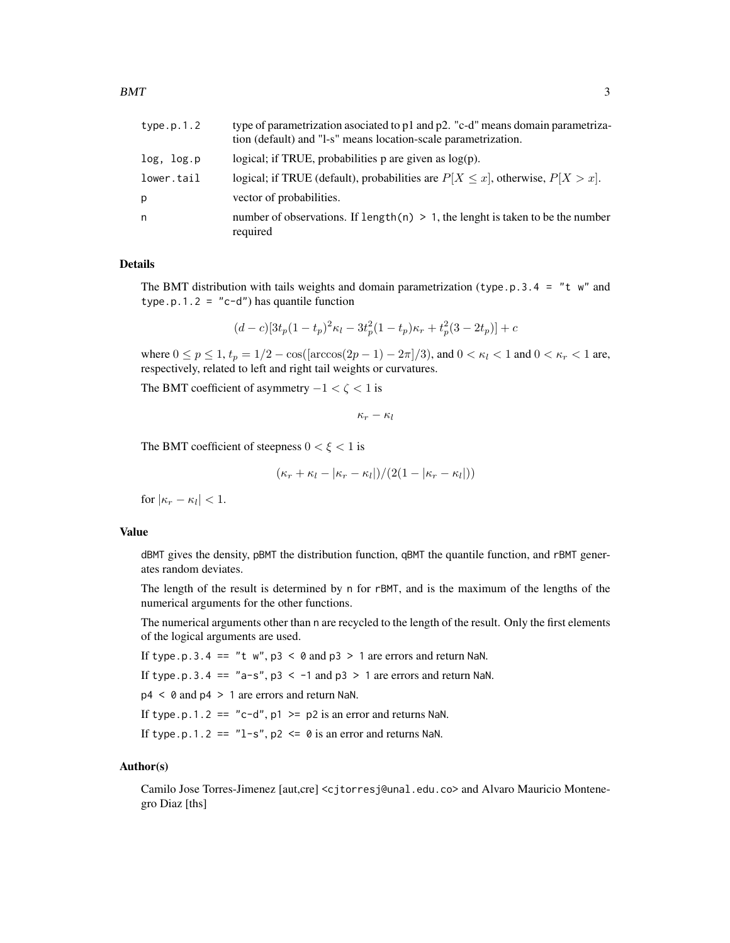| type.p.1.2 | type of parametrization asociated to p1 and p2. "c-d" means domain parametriza-<br>tion (default) and "1-s" means location-scale parametrization. |
|------------|---------------------------------------------------------------------------------------------------------------------------------------------------|
| log, log.p | logical; if TRUE, probabilities $p$ are given as $log(p)$ .                                                                                       |
| lower.tail | logical; if TRUE (default), probabilities are $P[X \le x]$ , otherwise, $P[X > x]$ .                                                              |
| р          | vector of probabilities.                                                                                                                          |
| n          | number of observations. If length(n) $> 1$ , the lenght is taken to be the number<br>required                                                     |

# Details

The BMT distribution with tails weights and domain parametrization (type.p.3.4 = "t w" and type.p.1.2 =  $"c-d"$ ) has quantile function

$$
(d-c)[3t_p(1-t_p)^2\kappa_l - 3t_p^2(1-t_p)\kappa_r + t_p^2(3-2t_p)] + c
$$

where  $0 \le p \le 1$ ,  $t_p = 1/2 - \cos(\arccos(2p - 1) - 2\pi)/3$ , and  $0 < \kappa_l < 1$  and  $0 < \kappa_r < 1$  are, respectively, related to left and right tail weights or curvatures.

The BMT coefficient of asymmetry  $-1 < \zeta < 1$  is

 $\kappa_r - \kappa_l$ 

The BMT coefficient of steepness  $0 < \xi < 1$  is

$$
(\kappa_r + \kappa_l - |\kappa_r - \kappa_l|)/(2(1 - |\kappa_r - \kappa_l|))
$$

for  $|\kappa_r - \kappa_l| < 1$ .

# Value

dBMT gives the density, pBMT the distribution function, qBMT the quantile function, and rBMT generates random deviates.

The length of the result is determined by n for rBMT, and is the maximum of the lengths of the numerical arguments for the other functions.

The numerical arguments other than n are recycled to the length of the result. Only the first elements of the logical arguments are used.

If type.p.3.4 == "t  $w$ ",  $p3 < \theta$  and  $p3 > 1$  are errors and return NaN.

If type.p.3.4 ==  $"a-s", p3 < -1$  and  $p3 > 1$  are errors and return NaN.

p4 < 0 and p4 > 1 are errors and return NaN.

If type.p.1.2 == "c-d",  $p1 \geq p2$  is an error and returns NaN.

If type.p.1.2 ==  $"l-s", p2 \le \theta$  is an error and returns NaN.

# Author(s)

Camilo Jose Torres-Jimenez [aut,cre] <cjtorresj@unal.edu.co> and Alvaro Mauricio Montenegro Diaz [ths]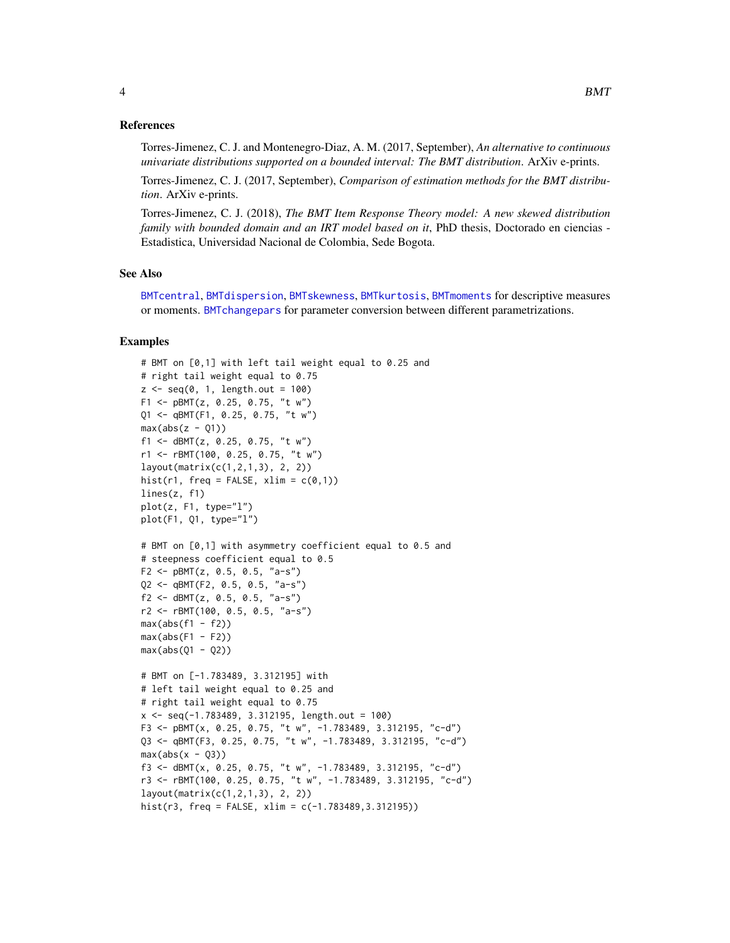<span id="page-3-0"></span>Torres-Jimenez, C. J. and Montenegro-Diaz, A. M. (2017, September), *An alternative to continuous univariate distributions supported on a bounded interval: The BMT distribution*. ArXiv e-prints.

Torres-Jimenez, C. J. (2017, September), *Comparison of estimation methods for the BMT distribution*. ArXiv e-prints.

Torres-Jimenez, C. J. (2018), *The BMT Item Response Theory model: A new skewed distribution family with bounded domain and an IRT model based on it*, PhD thesis, Doctorado en ciencias -Estadistica, Universidad Nacional de Colombia, Sede Bogota.

# See Also

[BMTcentral](#page-7-1), [BMTdispersion](#page-11-1), [BMTskewness](#page-38-1), [BMTkurtosis](#page-34-1), [BMTmoments](#page-35-1) for descriptive measures or moments. [BMTchangepars](#page-9-1) for parameter conversion between different parametrizations.

```
# BMT on [0,1] with left tail weight equal to 0.25 and
# right tail weight equal to 0.75
z \leq -seq(0, 1, length.out = 100)F1 <- pBMT(z, 0.25, 0.75, "t w")
Q1 <- qBMT(F1, 0.25, 0.75, "t w")
max(abs(z - Q1))f1 <- dBMT(z, 0.25, 0.75, "t w")
r1 <- rBMT(100, 0.25, 0.75, "t w")
layout(matrix(c(1,2,1,3), 2, 2))
hist(r1, freq = FALSE, xlim = c(0,1))
lines(z, f1)
plot(z, F1, type="1")plot(F1, Q1, type="l")
# BMT on [0,1] with asymmetry coefficient equal to 0.5 and
# steepness coefficient equal to 0.5
F2 \leq pBMT(z, 0.5, 0.5, "a-s")
Q2 <- qBMT(F2, 0.5, 0.5, "a-s")
f2 \leq -dBMT(z, 0.5, 0.5, 'a-s")r2 <- rBMT(100, 0.5, 0.5, "a-s")
max(abs(f1 - f2))max(abs(F1 - F2))max(abs(Q1 - Q2))# BMT on [-1.783489, 3.312195] with
# left tail weight equal to 0.25 and
# right tail weight equal to 0.75
x \le - seq(-1.783489, 3.312195, length.out = 100)
F3 <- pBMT(x, 0.25, 0.75, "t w", -1.783489, 3.312195, "c-d")
Q3 <- qBMT(F3, 0.25, 0.75, "t w", -1.783489, 3.312195, "c-d")
max(abs(x - Q3))f3 <- dBMT(x, 0.25, 0.75, "t w", -1.783489, 3.312195, "c-d")
r3 <- rBMT(100, 0.25, 0.75, "t w", -1.783489, 3.312195, "c-d")
layout(matrix(c(1,2,1,3), 2, 2))
hist(r3, freq = FALSE, xlim = c(-1.783489, 3.312195))
```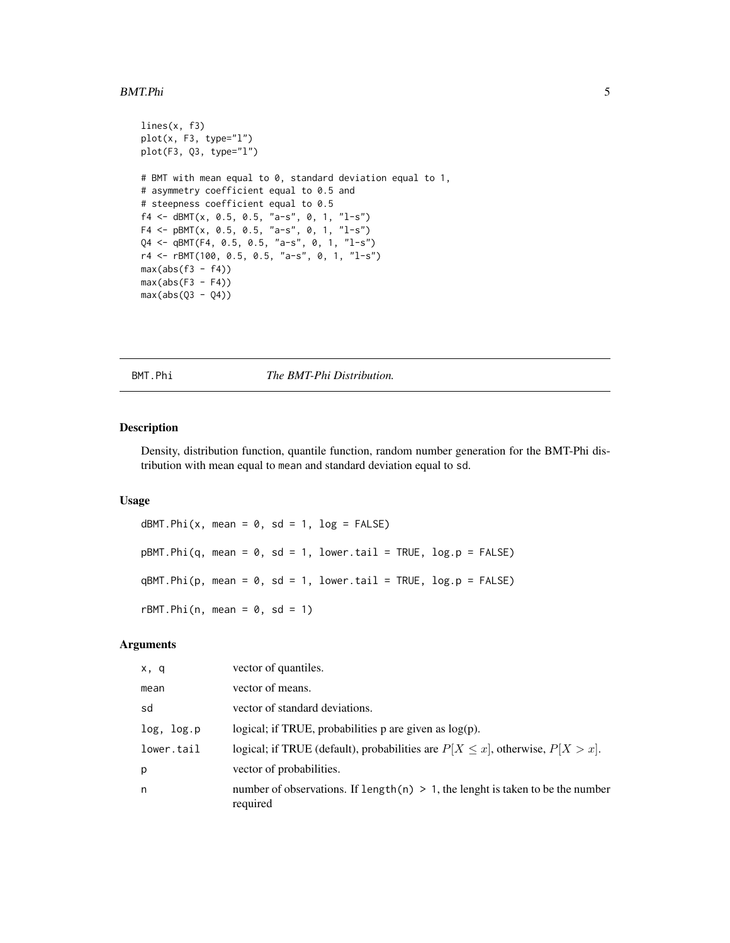#### <span id="page-4-0"></span>BMT.Phi 5

```
lines(x, f3)
plot(x, F3, type="l")
plot(F3, Q3, type="l")
# BMT with mean equal to 0, standard deviation equal to 1,
# asymmetry coefficient equal to 0.5 and
# steepness coefficient equal to 0.5
f4 <- dBMT(x, 0.5, 0.5, "a-s", 0, 1, "l-s")
F4 <- pBMT(x, 0.5, 0.5, "a-s", 0, 1, "l-s")Q4 <- qBMT(F4, 0.5, 0.5, "a-s", 0, 1, "l-s")
r4 <- rBMT(100, 0.5, 0.5, "a-s", 0, 1, "l-s")
max(abs(f3 - f4))max(abs(F3 - F4))max(abs(Q3 - Q4))
```
BMT.Phi *The BMT-Phi Distribution.*

#### <span id="page-4-1"></span>Description

Density, distribution function, quantile function, random number generation for the BMT-Phi distribution with mean equal to mean and standard deviation equal to sd.

# Usage

```
dBMT.Phi(x, mean = 0, sd = 1, log = FALSE)pBMT.Phi(q, mean = 0, sd = 1, lower.tail = TRUE, log.p = FALSE)qBMT.Phi(p, mean = 0, sd = 1, lower[avated] = TRUE, <math>log.p = FALSE)
rBMT.Phi(n, mean = 0, sd = 1)
```

| x, q       | vector of quantiles.                                                                           |
|------------|------------------------------------------------------------------------------------------------|
| mean       | vector of means.                                                                               |
| sd         | vector of standard deviations.                                                                 |
| log, log.p | logical; if TRUE, probabilities $p$ are given as $log(p)$ .                                    |
| lower.tail | logical; if TRUE (default), probabilities are $P[X \le x]$ , otherwise, $P[X > x]$ .           |
| p          | vector of probabilities.                                                                       |
| n          | number of observations. If length $(n) > 1$ , the length is taken to be the number<br>required |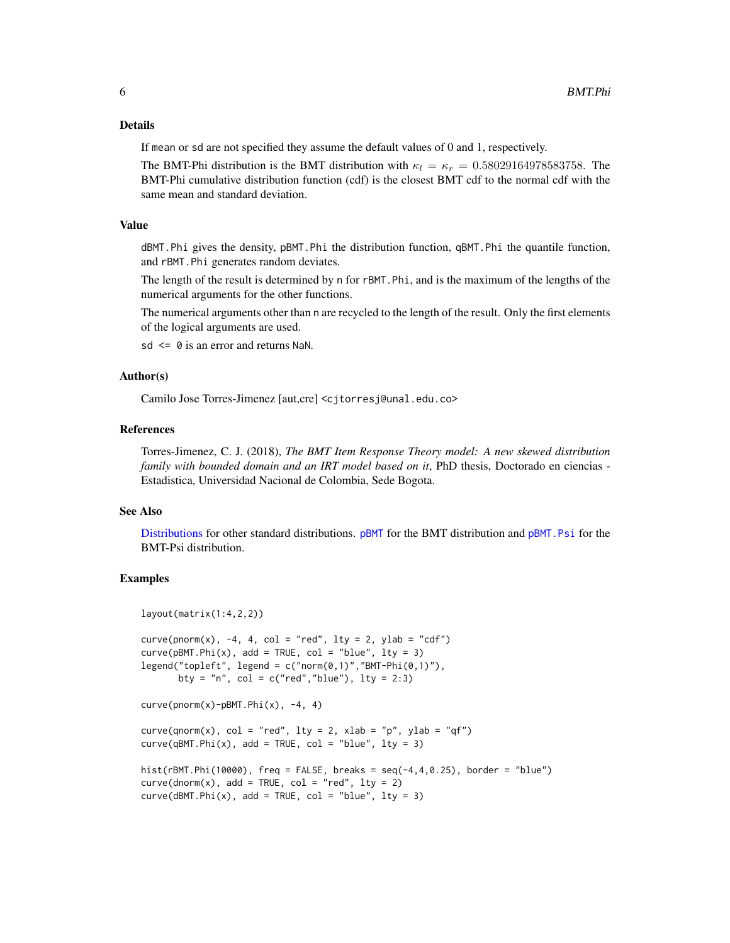# <span id="page-5-0"></span>Details

If mean or sd are not specified they assume the default values of 0 and 1, respectively.

The BMT-Phi distribution is the BMT distribution with  $\kappa_l = \kappa_r = 0.58029164978583758$ . The BMT-Phi cumulative distribution function (cdf) is the closest BMT cdf to the normal cdf with the same mean and standard deviation.

# Value

dBMT.Phi gives the density, pBMT.Phi the distribution function, qBMT.Phi the quantile function, and rBMT.Phi generates random deviates.

The length of the result is determined by n for rBMT.Phi, and is the maximum of the lengths of the numerical arguments for the other functions.

The numerical arguments other than n are recycled to the length of the result. Only the first elements of the logical arguments are used.

 $sd \leq \theta$  is an error and returns NaN.

#### Author(s)

Camilo Jose Torres-Jimenez [aut,cre] <cjtorresj@unal.edu.co>

# **References**

Torres-Jimenez, C. J. (2018), *The BMT Item Response Theory model: A new skewed distribution family with bounded domain and an IRT model based on it*, PhD thesis, Doctorado en ciencias - Estadistica, Universidad Nacional de Colombia, Sede Bogota.

# See Also

[Distributions](#page-0-0) for other standard distributions. [pBMT](#page-1-1) for the BMT distribution and [pBMT.Psi](#page-6-1) for the BMT-Psi distribution.

```
layout(matrix(1:4,2,2))
curve(pnorm(x), -4, 4, col = "red", lty = 2, ylab = "cdf")curve(pBMT.Phi(x), add = TRUE, col = "blue", lty = 3)legend("topleft", legend = c("norm(0,1)", "BMT-Phi(0,1)"),bty = "n", col = c("red", "blue"), lty = 2:3)curve(pnorm(x)-pBMT.Phi(x), -4, 4)curve(qnorm(x), col = "red", lty = 2, xlab = "p", ylab = "qf")
curve(qBMT.Phi(x), add = TRUE, col = "blue", lty = 3)hist(rBMT.Phi(10000), freq = FALSE, breaks = seq(-4, 4, 0.25), border = "blue")
curve(dnorm(x), add = TRUE, col = "red", lty = 2)curve(dBMT.Phi(x), add = TRUE, col = "blue", lty = 3)
```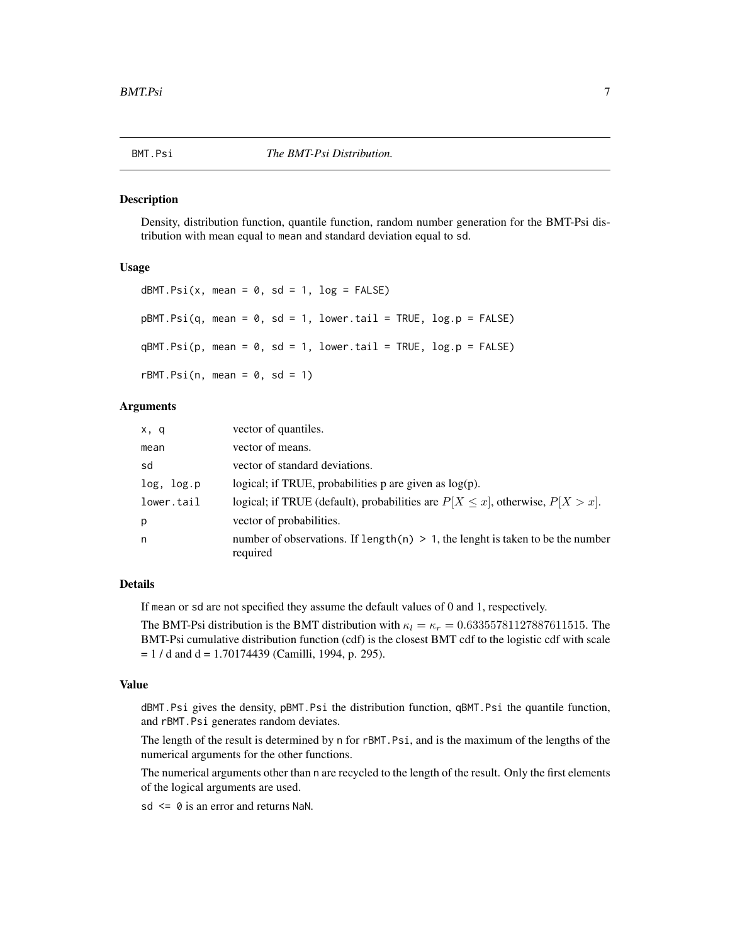<span id="page-6-0"></span>

#### <span id="page-6-1"></span>Description

Density, distribution function, quantile function, random number generation for the BMT-Psi distribution with mean equal to mean and standard deviation equal to sd.

# Usage

```
dBMT.Psi(x, mean = 0, sd = 1, log = FALSE)pBMT.Psi(q, mean = 0, sd = 1, lower.tail = TRUE, log.p = FALSE)qBMT.Psi(p, mean = 0, sd = 1, lower.tail = TRUE, log.p = FALSE)rBMT.Psi(n, mean = 0, sd = 1)
```
# Arguments

| x, q       | vector of quantiles.                                                                           |
|------------|------------------------------------------------------------------------------------------------|
| mean       | vector of means.                                                                               |
| sd         | vector of standard deviations.                                                                 |
| log, log.p | logical; if TRUE, probabilities $p$ are given as $log(p)$ .                                    |
| lower.tail | logical; if TRUE (default), probabilities are $P[X \le x]$ , otherwise, $P[X > x]$ .           |
| p          | vector of probabilities.                                                                       |
| n          | number of observations. If length $(n) > 1$ , the lenght is taken to be the number<br>required |

#### Details

If mean or sd are not specified they assume the default values of 0 and 1, respectively.

The BMT-Psi distribution is the BMT distribution with  $\kappa_l = \kappa_r = 0.63355781127887611515$ . The BMT-Psi cumulative distribution function (cdf) is the closest BMT cdf to the logistic cdf with scale  $= 1 / d$  and  $d = 1.70174439$  (Camilli, 1994, p. 295).

# Value

dBMT.Psi gives the density, pBMT.Psi the distribution function, qBMT.Psi the quantile function, and rBMT.Psi generates random deviates.

The length of the result is determined by n for rBMT.Psi, and is the maximum of the lengths of the numerical arguments for the other functions.

The numerical arguments other than n are recycled to the length of the result. Only the first elements of the logical arguments are used.

 $sd \leq 0$  is an error and returns NaN.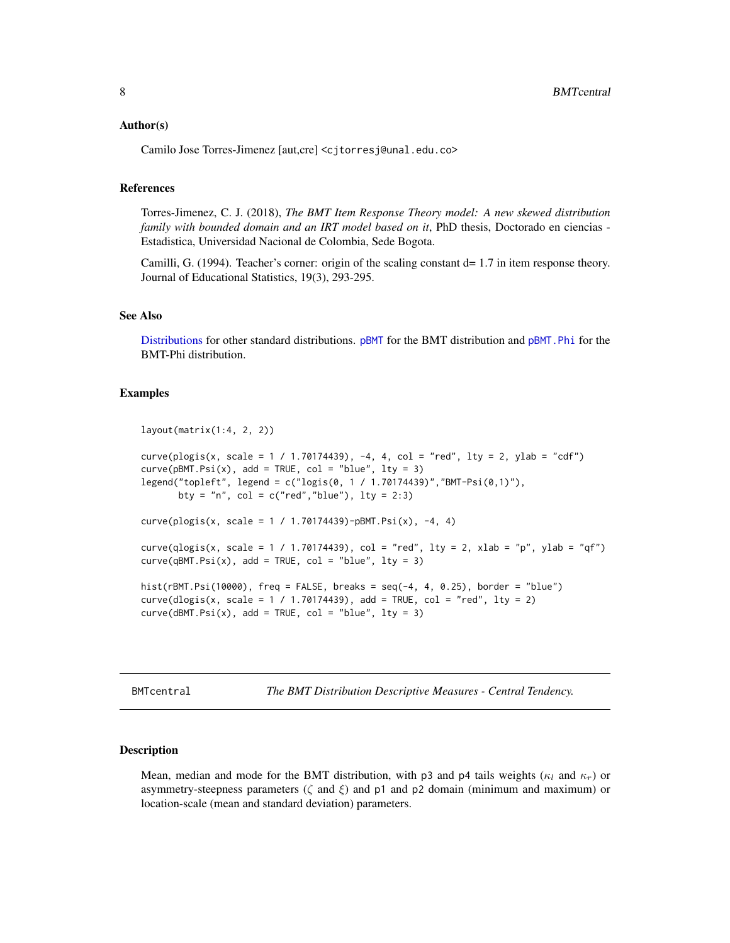# <span id="page-7-0"></span>Author(s)

Camilo Jose Torres-Jimenez [aut,cre] <cjtorresj@unal.edu.co>

#### References

Torres-Jimenez, C. J. (2018), *The BMT Item Response Theory model: A new skewed distribution family with bounded domain and an IRT model based on it*, PhD thesis, Doctorado en ciencias -Estadistica, Universidad Nacional de Colombia, Sede Bogota.

Camilli, G. (1994). Teacher's corner: origin of the scaling constant d= 1.7 in item response theory. Journal of Educational Statistics, 19(3), 293-295.

# See Also

[Distributions](#page-0-0) for other standard distributions. [pBMT](#page-1-1) for the BMT distribution and [pBMT.Phi](#page-4-1) for the BMT-Phi distribution.

# Examples

```
layout(matrix(1:4, 2, 2))
curve(plogis(x, scale = 1 / 1.70174439), -4, 4, col = "red", lty = 2, ylab = "cdf")curve(pBMT.Psi(x), add = TRUE, col = "blue", lty = 3)legend("topleft", legend = c("logis(0, 1 / 1.70174439)","BMT-Psi(0,1)"),
      bty = "n", col = c("red", "blue"), lty = 2:3)curve(plogis(x, scale = 1 / 1.70174439)-pBMT.Psi(x), -4, 4)
curve(qlogis(x, scale = 1 / 1.70174439), col = "red", lty = 2, xlab = "p", ylab = "qf")
curve(qBMT.Psi(x), add = TRUE, col = "blue", lty = 3)hist(rBMT.Psi(10000), freq = FALSE, breaks = seq(-4, 4, 0.25), border = "blue")
curve(dlogis(x, scale = 1 / 1.70174439), add = TRUE, col = "red", lty = 2)
curve(dBMT.Psi(x), add = TRUE, col = "blue", lty = 3)
```
<span id="page-7-1"></span>BMTcentral *The BMT Distribution Descriptive Measures - Central Tendency.*

#### Description

Mean, median and mode for the BMT distribution, with p3 and p4 tails weights ( $\kappa_l$  and  $\kappa_r$ ) or asymmetry-steepness parameters ( $\zeta$  and  $\xi$ ) and p1 and p2 domain (minimum and maximum) or location-scale (mean and standard deviation) parameters.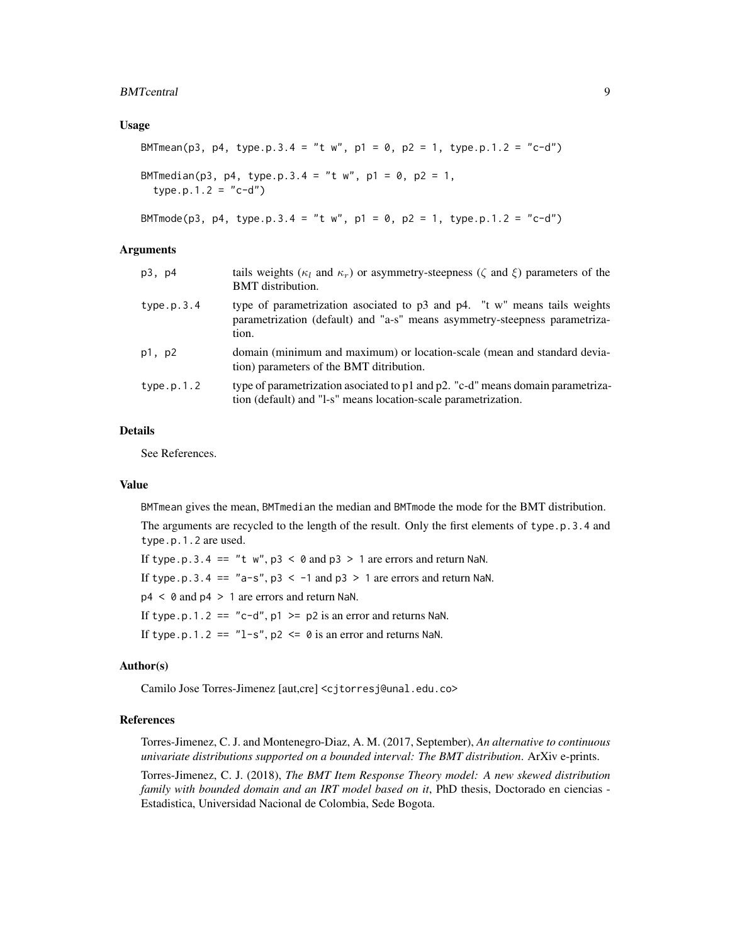#### BMTcentral 9

# Usage

```
BMTmean(p3, p4, type.p.3.4 = "t w", p1 = 0, p2 = 1, type.p.1.2 = "c-d")
BMTmedian(p3, p4, type.p.3.4 = "t w", p1 = 0, p2 = 1,
  type.p.1.2 = "c-d")
```
BMTmode(p3, p4, type.p.3.4 = "t w", p1 = 0, p2 = 1, type.p.1.2 = "c-d")

#### **Arguments**

| p3, p4     | tails weights ( $\kappa_l$ and $\kappa_r$ ) or asymmetry-steepness ( $\zeta$ and $\xi$ ) parameters of the<br><b>BMT</b> distribution.                           |
|------------|------------------------------------------------------------------------------------------------------------------------------------------------------------------|
| type.p.3.4 | type of parametrization asociated to p3 and p4. "t w" means tails weights<br>parametrization (default) and "a-s" means asymmetry-steepness parametriza-<br>tion. |
| p1, p2     | domain (minimum and maximum) or location-scale (mean and standard devia-<br>tion) parameters of the BMT ditribution.                                             |
| type.p.1.2 | type of parametrization asociated to p1 and p2. "c-d" means domain parametriza-<br>tion (default) and "l-s" means location-scale parametrization.                |

# Details

See References.

# Value

BMTmean gives the mean, BMTmedian the median and BMTmode the mode for the BMT distribution.

The arguments are recycled to the length of the result. Only the first elements of type.p.3.4 and type.p.1.2 are used.

If type.p.3.4 == "t  $w$ ",  $p3 < \theta$  and  $p3 > 1$  are errors and return NaN.

If type.p.3.4 ==  $"a-s", p3 < -1$  and  $p3 > 1$  are errors and return NaN.

p4 < 0 and p4 > 1 are errors and return NaN.

If type.p.1.2 == "c-d",  $p1 \geq p2$  is an error and returns NaN.

If type.p.1.2 ==  $"l-s"$ , p2 <= 0 is an error and returns NaN.

# Author(s)

Camilo Jose Torres-Jimenez [aut,cre] <cjtorresj@unal.edu.co>

# References

Torres-Jimenez, C. J. and Montenegro-Diaz, A. M. (2017, September), *An alternative to continuous univariate distributions supported on a bounded interval: The BMT distribution*. ArXiv e-prints.

Torres-Jimenez, C. J. (2018), *The BMT Item Response Theory model: A new skewed distribution family with bounded domain and an IRT model based on it*, PhD thesis, Doctorado en ciencias - Estadistica, Universidad Nacional de Colombia, Sede Bogota.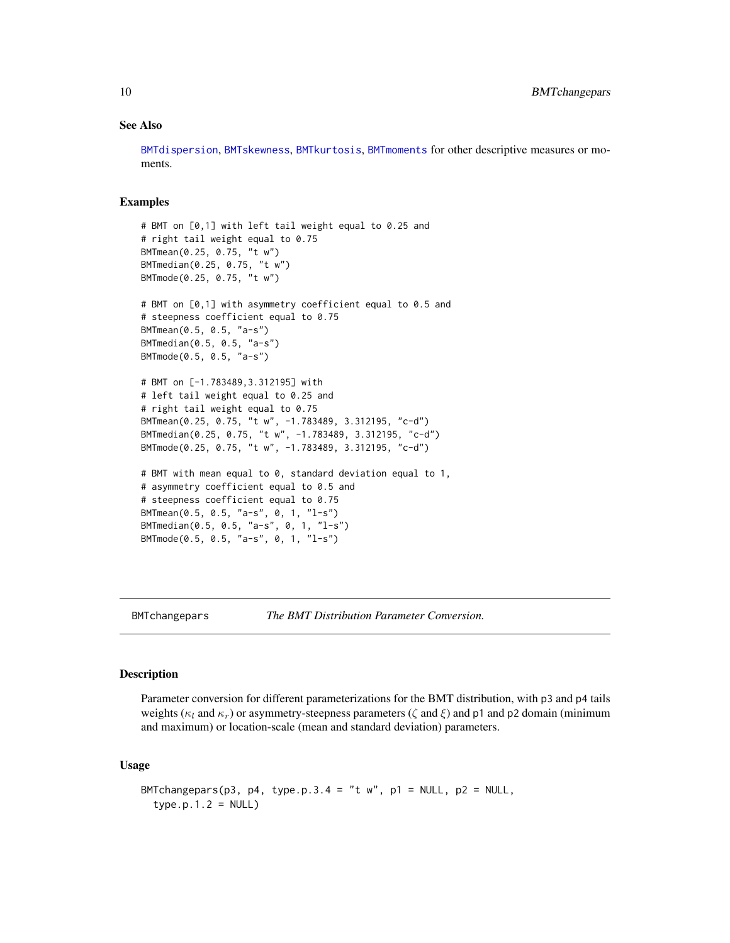# See Also

[BMTdispersion](#page-11-1), [BMTskewness](#page-38-1), [BMTkurtosis](#page-34-1), [BMTmoments](#page-35-1) for other descriptive measures or moments.

# Examples

```
# BMT on [0,1] with left tail weight equal to 0.25 and
# right tail weight equal to 0.75
BMTmean(0.25, 0.75, "t w")
BMTmedian(0.25, 0.75, "t w")
BMTmode(0.25, 0.75, "t w")
# BMT on [0,1] with asymmetry coefficient equal to 0.5 and
# steepness coefficient equal to 0.75
BMTmean(0.5, 0.5, "a-s")
BMTmedian(0.5, 0.5, "a-s")
BMTmode(0.5, 0.5, "a-s")
# BMT on [-1.783489,3.312195] with
# left tail weight equal to 0.25 and
# right tail weight equal to 0.75
BMTmean(0.25, 0.75, "t w", -1.783489, 3.312195, "c-d")
BMTmedian(0.25, 0.75, "t w", -1.783489, 3.312195, "c-d")
BMTmode(0.25, 0.75, "t w", -1.783489, 3.312195, "c-d")
# BMT with mean equal to 0, standard deviation equal to 1,
# asymmetry coefficient equal to 0.5 and
# steepness coefficient equal to 0.75
BMTmean(0.5, 0.5, "a-s", 0, 1, "l-s")
BMTmedian(0.5, 0.5, "a-s", 0, 1, "l-s")
BMTmode(0.5, 0.5, "a-s", 0, 1, "l-s")
```
<span id="page-9-1"></span>

BMTchangepars *The BMT Distribution Parameter Conversion.*

# Description

Parameter conversion for different parameterizations for the BMT distribution, with p3 and p4 tails weights ( $\kappa_l$  and  $\kappa_r$ ) or asymmetry-steepness parameters ( $\zeta$  and  $\xi$ ) and p1 and p2 domain (minimum and maximum) or location-scale (mean and standard deviation) parameters.

# Usage

```
BMTchangepars(p3, p4, type.p.3.4 = "t w", p1 = NULL, p2 = NULL,
  type.p.1.2 = NULL
```
<span id="page-9-0"></span>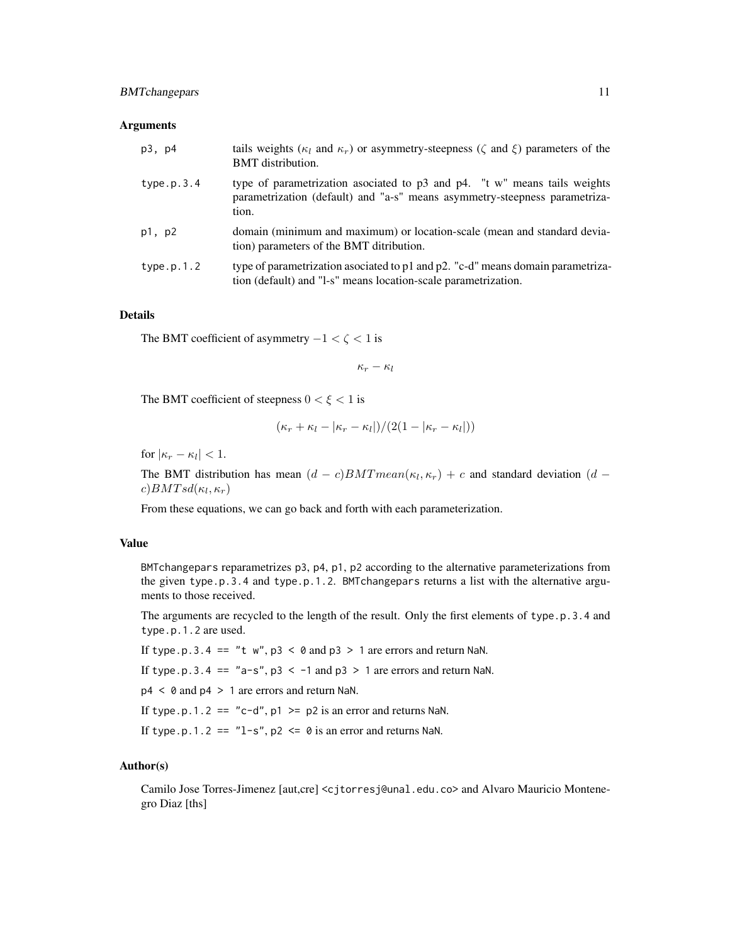# BMTchangepars 11

#### **Arguments**

| p3, p4     | tails weights ( $\kappa_l$ and $\kappa_r$ ) or asymmetry-steepness ( $\zeta$ and $\xi$ ) parameters of the<br><b>BMT</b> distribution.                           |
|------------|------------------------------------------------------------------------------------------------------------------------------------------------------------------|
| type.p.3.4 | type of parametrization asociated to p3 and p4. "t w" means tails weights<br>parametrization (default) and "a-s" means asymmetry-steepness parametriza-<br>tion. |
| p1, p2     | domain (minimum and maximum) or location-scale (mean and standard devia-<br>tion) parameters of the BMT ditribution.                                             |
| type.p.1.2 | type of parametrization asociated to p1 and p2. "c-d" means domain parametriza-<br>tion (default) and "1-s" means location-scale parametrization.                |

# Details

The BMT coefficient of asymmetry  $-1 < \zeta < 1$  is

$$
\kappa_r-\kappa_l
$$

The BMT coefficient of steepness  $0 < \xi < 1$  is

$$
(\kappa_r + \kappa_l - |\kappa_r - \kappa_l|)/(2(1 - |\kappa_r - \kappa_l|))
$$

for  $|\kappa_r - \kappa_l| < 1$ .

The BMT distribution has mean  $(d - c)BMTmean(\kappa_l, \kappa_r) + c$  and standard deviation  $(d - c)BMTmean(\kappa_l, \kappa_r)$  $c) BMTsd(\kappa_l, \kappa_r)$ 

From these equations, we can go back and forth with each parameterization.

# Value

BMTchangepars reparametrizes p3, p4, p1, p2 according to the alternative parameterizations from the given type.p.3.4 and type.p.1.2. BMTchangepars returns a list with the alternative arguments to those received.

The arguments are recycled to the length of the result. Only the first elements of type.p.3.4 and type.p.1.2 are used.

If type.p.3.4 == "t  $w$ ",  $p3 < \theta$  and  $p3 > 1$  are errors and return NaN.

If type.p.3.4 ==  $"a-s", p3 < -1$  and  $p3 > 1$  are errors and return NaN.

p4 < 0 and p4 > 1 are errors and return NaN.

If type.p.1.2 == "c-d",  $p1 \geq p2$  is an error and returns NaN.

If type.p.1.2 ==  $"l-s"$ , p2 <= 0 is an error and returns NaN.

# Author(s)

Camilo Jose Torres-Jimenez [aut,cre] <cjtorresj@unal.edu.co> and Alvaro Mauricio Montenegro Diaz [ths]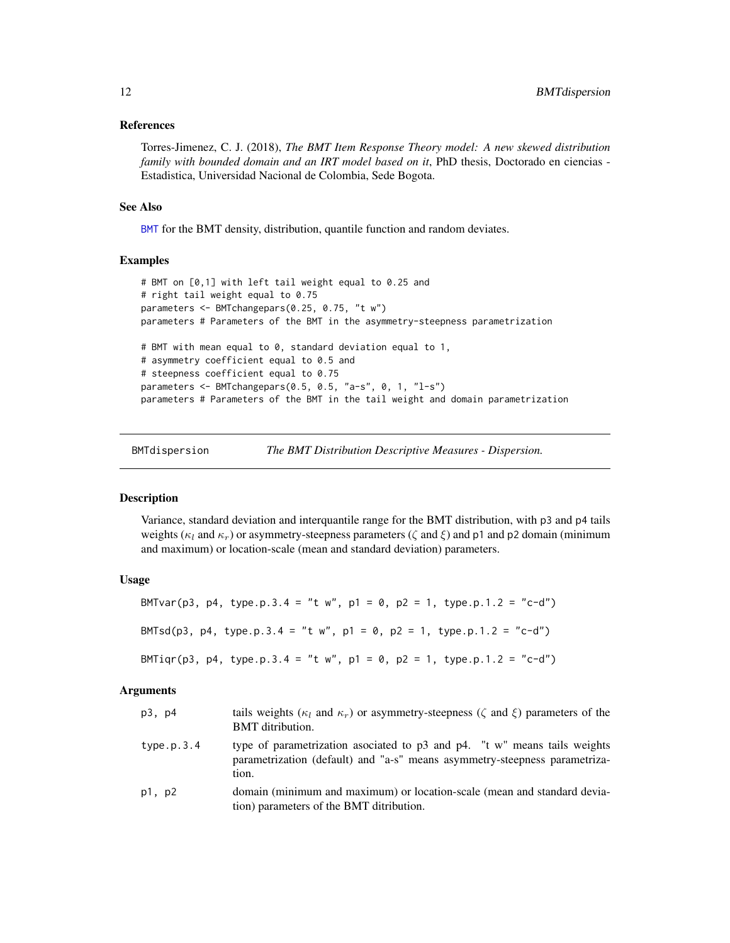# <span id="page-11-0"></span>References

Torres-Jimenez, C. J. (2018), *The BMT Item Response Theory model: A new skewed distribution family with bounded domain and an IRT model based on it*, PhD thesis, Doctorado en ciencias -Estadistica, Universidad Nacional de Colombia, Sede Bogota.

#### See Also

[BMT](#page-1-2) for the BMT density, distribution, quantile function and random deviates.

# Examples

```
# BMT on [0,1] with left tail weight equal to 0.25 and
# right tail weight equal to 0.75
parameters <- BMTchangepars(0.25, 0.75, "t w")
parameters # Parameters of the BMT in the asymmetry-steepness parametrization
# BMT with mean equal to 0, standard deviation equal to 1,
# asymmetry coefficient equal to 0.5 and
# steepness coefficient equal to 0.75
parameters <- BMTchangepars(0.5, 0.5, "a-s", 0, 1, "l-s")
parameters # Parameters of the BMT in the tail weight and domain parametrization
```
<span id="page-11-1"></span>

BMTdispersion *The BMT Distribution Descriptive Measures - Dispersion.*

# **Description**

Variance, standard deviation and interquantile range for the BMT distribution, with p3 and p4 tails weights ( $\kappa_l$  and  $\kappa_r$ ) or asymmetry-steepness parameters ( $\zeta$  and  $\xi$ ) and p1 and p2 domain (minimum and maximum) or location-scale (mean and standard deviation) parameters.

# Usage

| BMTvar(p3, p4, type.p.3.4 = "t w", p1 = 0, p2 = 1, type.p.1.2 = "c-d") |
|------------------------------------------------------------------------|
| BMTsd(p3, p4, type.p.3.4 = "t w", p1 = 0, p2 = 1, type.p.1.2 = "c-d")  |
| BMTiqr(p3, p4, type.p.3.4 = "t w", p1 = 0, p2 = 1, type.p.1.2 = "c-d") |

| p3, p4     | tails weights ( $\kappa_l$ and $\kappa_r$ ) or asymmetry-steepness ( $\zeta$ and $\xi$ ) parameters of the<br><b>BMT</b> ditribution.                            |
|------------|------------------------------------------------------------------------------------------------------------------------------------------------------------------|
| type.p.3.4 | type of parametrization asociated to p3 and p4. "t w" means tails weights<br>parametrization (default) and "a-s" means asymmetry-steepness parametriza-<br>tion. |
| p1, p2     | domain (minimum and maximum) or location-scale (mean and standard devia-<br>tion) parameters of the BMT ditribution.                                             |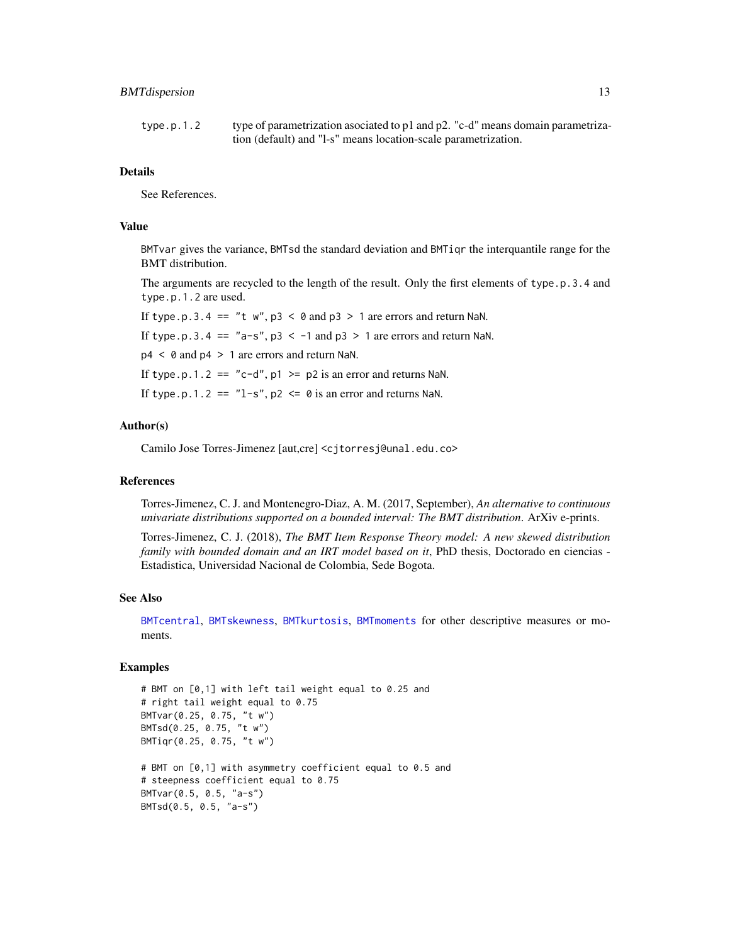# <span id="page-12-0"></span>BMT dispersion 13

#### Details

See References.

# Value

BMTvar gives the variance, BMTsd the standard deviation and BMTiqr the interquantile range for the BMT distribution.

The arguments are recycled to the length of the result. Only the first elements of type.p.3.4 and type.p.1.2 are used.

If type.p.3.4 == "t  $w$ ", p3 < 0 and p3 > 1 are errors and return NaN. If type.p.3.4 == "a-s",  $p3 < -1$  and  $p3 > 1$  are errors and return NaN.  $p4 < 0$  and  $p4 > 1$  are errors and return NaN. If type.p.1.2 == "c-d",  $p1 \geq p2$  is an error and returns NaN. If type.p.1.2 ==  $"l-s"$ , p2 <= 0 is an error and returns NaN.

# Author(s)

Camilo Jose Torres-Jimenez [aut,cre] <cjtorresj@unal.edu.co>

#### References

Torres-Jimenez, C. J. and Montenegro-Diaz, A. M. (2017, September), *An alternative to continuous univariate distributions supported on a bounded interval: The BMT distribution*. ArXiv e-prints.

Torres-Jimenez, C. J. (2018), *The BMT Item Response Theory model: A new skewed distribution family with bounded domain and an IRT model based on it*, PhD thesis, Doctorado en ciencias - Estadistica, Universidad Nacional de Colombia, Sede Bogota.

#### See Also

[BMTcentral](#page-7-1), [BMTskewness](#page-38-1), [BMTkurtosis](#page-34-1), [BMTmoments](#page-35-1) for other descriptive measures or moments.

```
# BMT on [0,1] with left tail weight equal to 0.25 and
# right tail weight equal to 0.75
BMTvar(0.25, 0.75, "t w")
BMTsd(0.25, 0.75, "t w")
BMTiqr(0.25, 0.75, "t w")
# BMT on [0,1] with asymmetry coefficient equal to 0.5 and
# steepness coefficient equal to 0.75
BMTvar(0.5, 0.5, "a-s")
BMTsd(0.5, 0.5, "a-s")
```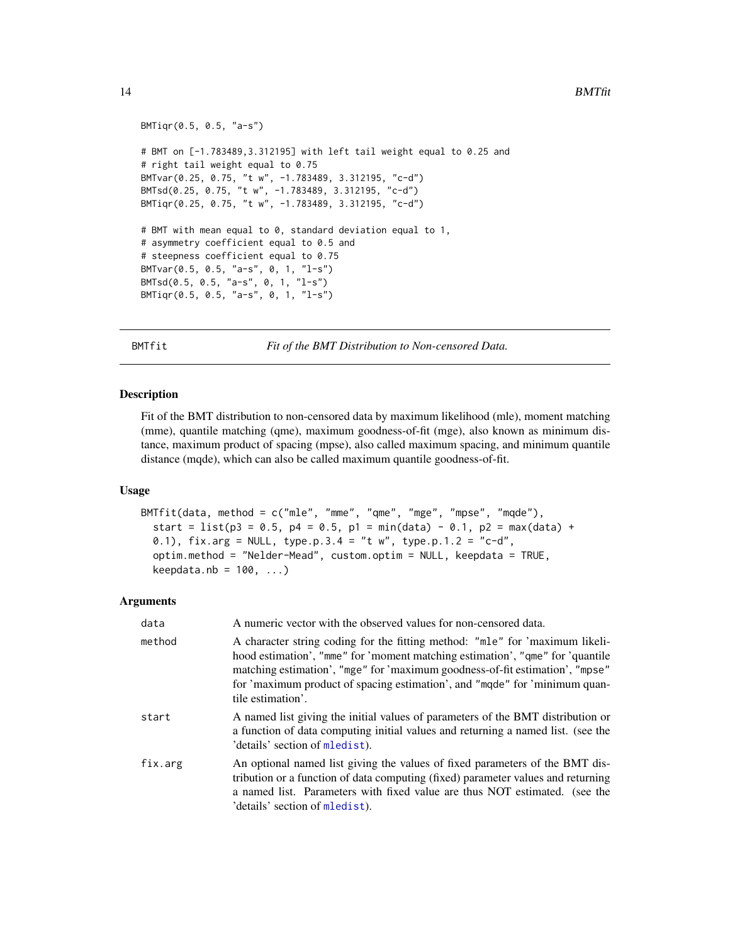```
BMTiqr(0.5, 0.5, "a-s")
# BMT on [-1.783489,3.312195] with left tail weight equal to 0.25 and
# right tail weight equal to 0.75
BMTvar(0.25, 0.75, "t w", -1.783489, 3.312195, "c-d")
BMTsd(0.25, 0.75, "t w", -1.783489, 3.312195, "c-d")
BMTiqr(0.25, 0.75, "t w", -1.783489, 3.312195, "c-d")
# BMT with mean equal to 0, standard deviation equal to 1,
# asymmetry coefficient equal to 0.5 and
# steepness coefficient equal to 0.75
BMTvar(0.5, 0.5, "a-s", 0, 1, "l-s")
BMTsd(0.5, 0.5, "a-s", 0, 1, "l-s")
BMTiqr(0.5, 0.5, "a-s", 0, 1, "l-s")
```
<span id="page-13-1"></span>

BMTfit *Fit of the BMT Distribution to Non-censored Data.*

#### **Description**

Fit of the BMT distribution to non-censored data by maximum likelihood (mle), moment matching (mme), quantile matching (qme), maximum goodness-of-fit (mge), also known as minimum distance, maximum product of spacing (mpse), also called maximum spacing, and minimum quantile distance (mqde), which can also be called maximum quantile goodness-of-fit.

# Usage

```
BMTfit(data, method = c("mle", "mme", "qme", "mge", "mpse", "mqde"),
  start = list(p3 = 0.5, p4 = 0.5, p1 = min(data) - 0.1, p2 = max(data) +0.1), fix.arg = NULL, type.p.3.4 = "t w", type.p.1.2 = "c-d",
 optim.method = "Nelder-Mead", custom.optim = NULL, keepdata = TRUE,
  keepdata.nb = 100, ...)
```

| data    | A numeric vector with the observed values for non-censored data.                                                                                                                                                                                                                                                                                 |
|---------|--------------------------------------------------------------------------------------------------------------------------------------------------------------------------------------------------------------------------------------------------------------------------------------------------------------------------------------------------|
| method  | A character string coding for the fitting method: "mle" for 'maximum likeli-<br>hood estimation', "mme" for 'moment matching estimation', "qme" for 'quantile<br>matching estimation', "mge" for 'maximum goodness-of-fit estimation', "mpse"<br>for 'maximum product of spacing estimation', and "mqde" for 'minimum quan-<br>tile estimation'. |
| start   | A named list giving the initial values of parameters of the BMT distribution or<br>a function of data computing initial values and returning a named list. (see the<br>'details' section of mledist).                                                                                                                                            |
| fix.arg | An optional named list giving the values of fixed parameters of the BMT dis-<br>tribution or a function of data computing (fixed) parameter values and returning<br>a named list. Parameters with fixed value are thus NOT estimated. (see the<br>'details' section of mledist).                                                                 |

<span id="page-13-0"></span>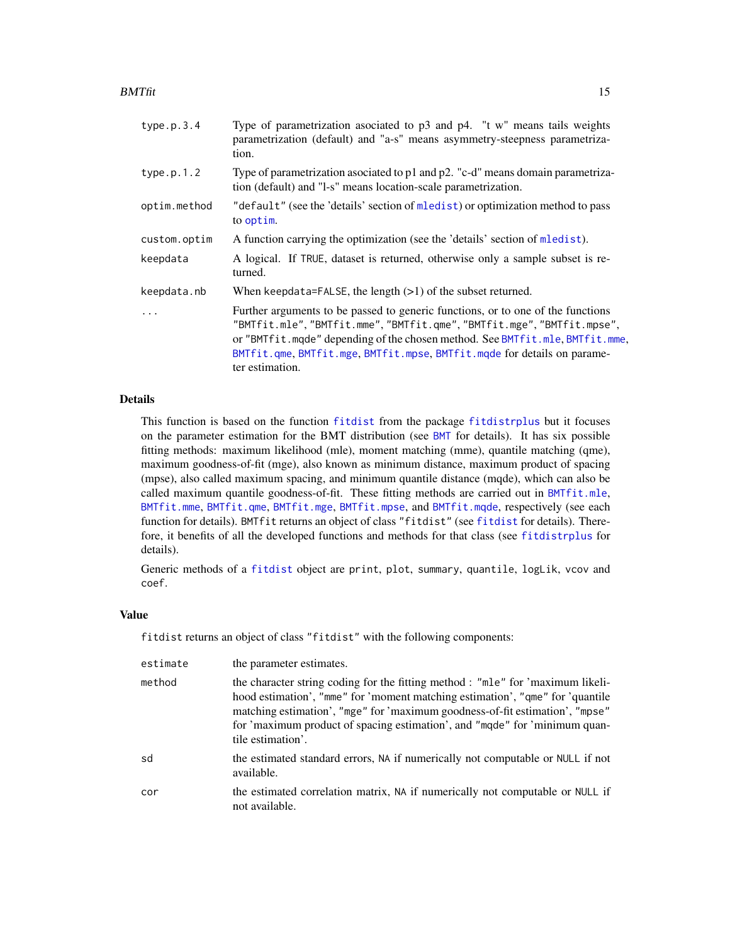<span id="page-14-0"></span> $BMTfit$  15

| type.p.3.4   | Type of parametrization asociated to $p3$ and $p4$ . "t w" means tails weights<br>parametrization (default) and "a-s" means asymmetry-steepness parametriza-<br>tion.                                                                                                                                                                   |
|--------------|-----------------------------------------------------------------------------------------------------------------------------------------------------------------------------------------------------------------------------------------------------------------------------------------------------------------------------------------|
| type.p.1.2   | Type of parametrization asociated to p1 and p2. "c-d" means domain parametriza-<br>tion (default) and "l-s" means location-scale parametrization.                                                                                                                                                                                       |
| optim.method | "default" (see the 'details' section of mledist) or optimization method to pass<br>to optim.                                                                                                                                                                                                                                            |
| custom.optim | A function carrying the optimization (see the 'details' section of mledist).                                                                                                                                                                                                                                                            |
| keepdata     | A logical. If TRUE, dataset is returned, otherwise only a sample subset is re-<br>turned.                                                                                                                                                                                                                                               |
| keepdata.nb  | When keepdata=FALSE, the length $(>1)$ of the subset returned.                                                                                                                                                                                                                                                                          |
| $\ddots$     | Further arguments to be passed to generic functions, or to one of the functions<br>"BMTfit.mle", "BMTfit.mme", "BMTfit.qme", "BMTfit.mge", "BMTfit.mpse",<br>or "BMTfit.mqde" depending of the chosen method. See BMTfit.mle, BMTfit.mme,<br>BMTfit.qme, BMTfit.mge, BMTfit.mpse, BMTfit.mqde for details on parame-<br>ter estimation. |

# Details

This function is based on the function [fitdist](#page-0-0) from the package [fitdistrplus](#page-0-0) but it focuses on the parameter estimation for the BMT distribution (see [BMT](#page-1-2) for details). It has six possible fitting methods: maximum likelihood (mle), moment matching (mme), quantile matching (qme), maximum goodness-of-fit (mge), also known as minimum distance, maximum product of spacing (mpse), also called maximum spacing, and minimum quantile distance (mqde), which can also be called maximum quantile goodness-of-fit. These fitting methods are carried out in  $BMTfit$ .mle, [BMTfit.mme](#page-22-1), [BMTfit.qme](#page-31-1), [BMTfit.mge](#page-17-1), [BMTfit.mpse](#page-25-1), and [BMTfit.mqde](#page-28-1), respectively (see each function for details). BMTfit returns an object of class "[fitdist](#page-0-0)" (see fitdist for details). Therefore, it benefits of all the developed functions and methods for that class (see [fitdistrplus](#page-0-0) for details).

Generic methods of a [fitdist](#page-0-0) object are print, plot, summary, quantile, logLik, vcov and coef.

# Value

fitdist returns an object of class "fitdist" with the following components:

| estimate | the parameter estimates.                                                                                                                                                                                                                                                                                                                            |
|----------|-----------------------------------------------------------------------------------------------------------------------------------------------------------------------------------------------------------------------------------------------------------------------------------------------------------------------------------------------------|
| method   | the character string coding for the fitting method : "mle" for 'maximum likeli-<br>hood estimation', "mme" for 'moment matching estimation', "qme" for 'quantile<br>matching estimation', "mge" for 'maximum goodness-of-fit estimation', "mpse"<br>for 'maximum product of spacing estimation', and "mode" for 'minimum quan-<br>tile estimation'. |
| sd       | the estimated standard errors, NA if numerically not computable or NULL if not<br>available.                                                                                                                                                                                                                                                        |
| cor      | the estimated correlation matrix, NA if numerically not computable or NULL if<br>not available.                                                                                                                                                                                                                                                     |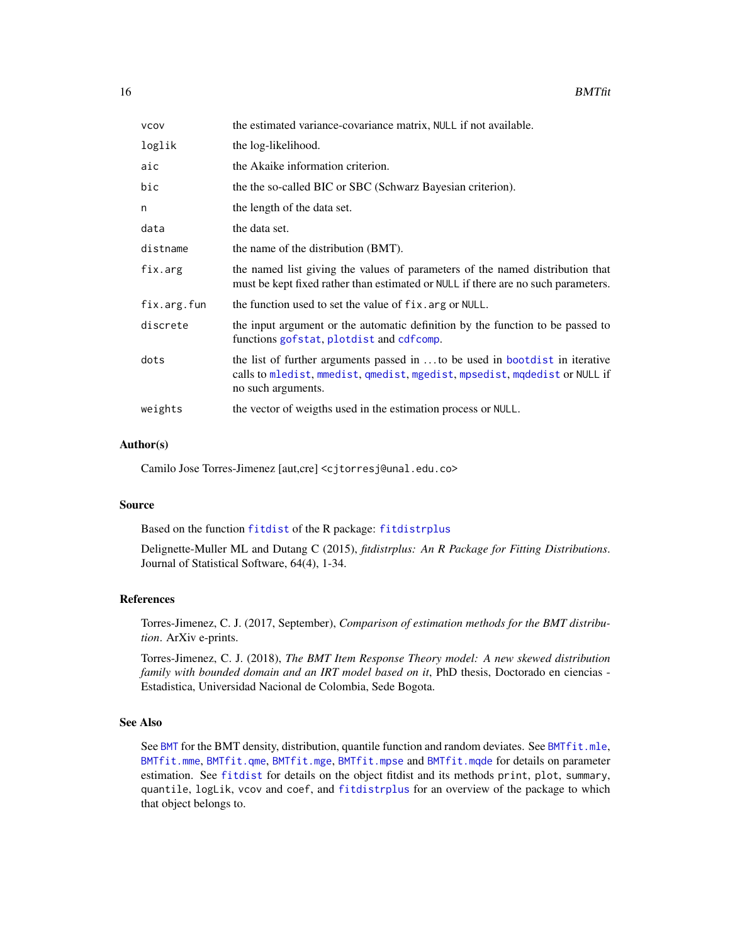<span id="page-15-0"></span>

| vcov        | the estimated variance-covariance matrix, NULL if not available.                                                                                                                |
|-------------|---------------------------------------------------------------------------------------------------------------------------------------------------------------------------------|
| loglik      | the log-likelihood.                                                                                                                                                             |
| aic         | the Akaike information criterion.                                                                                                                                               |
| bic         | the the so-called BIC or SBC (Schwarz Bayesian criterion).                                                                                                                      |
| n           | the length of the data set.                                                                                                                                                     |
| data        | the data set.                                                                                                                                                                   |
| distname    | the name of the distribution (BMT).                                                                                                                                             |
| fix.arg     | the named list giving the values of parameters of the named distribution that<br>must be kept fixed rather than estimated or NULL if there are no such parameters.              |
| fix.arg.fun | the function used to set the value of fix. arg or NULL.                                                                                                                         |
| discrete    | the input argument or the automatic definition by the function to be passed to<br>functions gofstat, plotdist and cdfcomp.                                                      |
| dots        | the list of further arguments passed in to be used in bootdist in iterative<br>calls to mledist, mmedist, qmedist, mgedist, mpsedist, mqdedist or NULL if<br>no such arguments. |
| weights     | the vector of weigths used in the estimation process or NULL.                                                                                                                   |

# Author(s)

Camilo Jose Torres-Jimenez [aut,cre] <cjtorresj@unal.edu.co>

# Source

Based on the function [fitdist](#page-0-0) of the R package: [fitdistrplus](#page-0-0)

Delignette-Muller ML and Dutang C (2015), *fitdistrplus: An R Package for Fitting Distributions*. Journal of Statistical Software, 64(4), 1-34.

#### References

Torres-Jimenez, C. J. (2017, September), *Comparison of estimation methods for the BMT distribution*. ArXiv e-prints.

Torres-Jimenez, C. J. (2018), *The BMT Item Response Theory model: A new skewed distribution family with bounded domain and an IRT model based on it*, PhD thesis, Doctorado en ciencias - Estadistica, Universidad Nacional de Colombia, Sede Bogota.

# See Also

See [BMT](#page-1-2) for the BMT density, distribution, quantile function and random deviates. See [BMTfit.mle](#page-20-1), [BMTfit.mme](#page-22-1), [BMTfit.qme](#page-31-1), [BMTfit.mge](#page-17-1), [BMTfit.mpse](#page-25-1) and [BMTfit.mqde](#page-28-1) for details on parameter estimation. See [fitdist](#page-0-0) for details on the object fitdist and its methods print, plot, summary, quantile, logLik, vcov and coef, and [fitdistrplus](#page-0-0) for an overview of the package to which that object belongs to.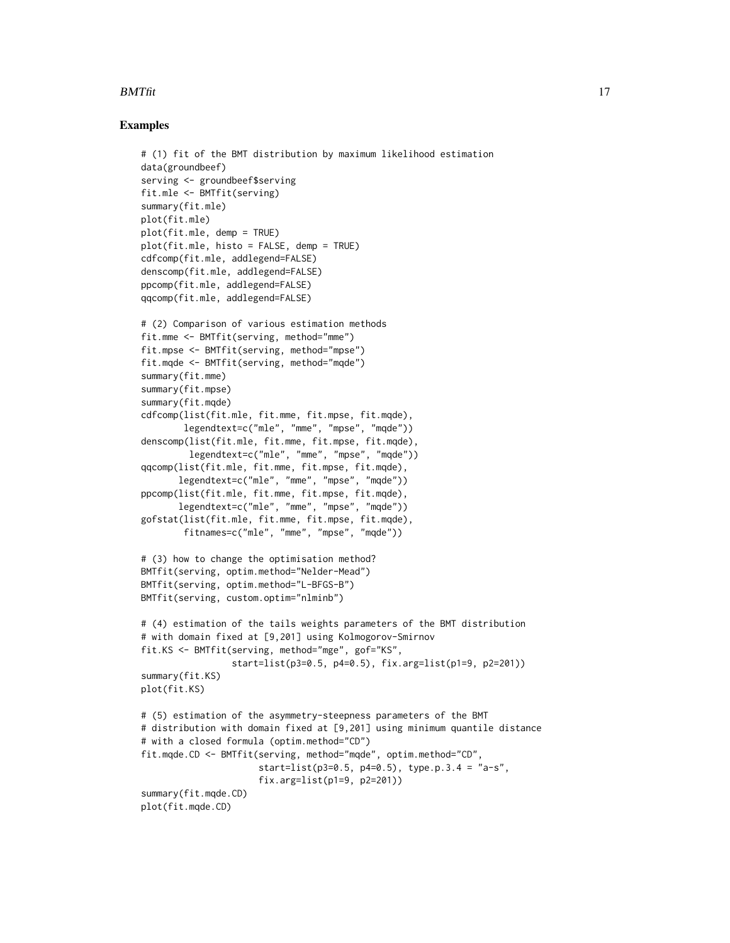# $BMTfit$  17

```
# (1) fit of the BMT distribution by maximum likelihood estimation
data(groundbeef)
serving <- groundbeef$serving
fit.mle <- BMTfit(serving)
summary(fit.mle)
plot(fit.mle)
plot(fit.mle, demp = TRUE)
plot(fit.mle, histo = FALSE, demp = TRUE)
cdfcomp(fit.mle, addlegend=FALSE)
denscomp(fit.mle, addlegend=FALSE)
ppcomp(fit.mle, addlegend=FALSE)
qqcomp(fit.mle, addlegend=FALSE)
# (2) Comparison of various estimation methods
fit.mme <- BMTfit(serving, method="mme")
fit.mpse <- BMTfit(serving, method="mpse")
fit.mqde <- BMTfit(serving, method="mqde")
summary(fit.mme)
summary(fit.mpse)
summary(fit.mqde)
cdfcomp(list(fit.mle, fit.mme, fit.mpse, fit.mqde),
       legendtext=c("mle", "mme", "mpse", "mqde"))
denscomp(list(fit.mle, fit.mme, fit.mpse, fit.mqde),
         legendtext=c("mle", "mme", "mpse", "mqde"))
qqcomp(list(fit.mle, fit.mme, fit.mpse, fit.mqde),
      legendtext=c("mle", "mme", "mpse", "mqde"))
ppcomp(list(fit.mle, fit.mme, fit.mpse, fit.mqde),
      legendtext=c("mle", "mme", "mpse", "mqde"))
gofstat(list(fit.mle, fit.mme, fit.mpse, fit.mqde),
        fitnames=c("mle", "mme", "mpse", "mqde"))
# (3) how to change the optimisation method?
BMTfit(serving, optim.method="Nelder-Mead")
BMTfit(serving, optim.method="L-BFGS-B")
BMTfit(serving, custom.optim="nlminb")
# (4) estimation of the tails weights parameters of the BMT distribution
# with domain fixed at [9,201] using Kolmogorov-Smirnov
fit.KS <- BMTfit(serving, method="mge", gof="KS",
                 start=list(p3=0.5, p4=0.5), fix.arg=list(p1=9, p2=201))
summary(fit.KS)
plot(fit.KS)
# (5) estimation of the asymmetry-steepness parameters of the BMT
# distribution with domain fixed at [9,201] using minimum quantile distance
# with a closed formula (optim.method="CD")
fit.mqde.CD <- BMTfit(serving, method="mqde", optim.method="CD",
                      start=list(p3=0.5, p4=0.5), type.p.3.4 = "a-s",fix.arg=list(p1=9, p2=201))
summary(fit.mqde.CD)
plot(fit.mqde.CD)
```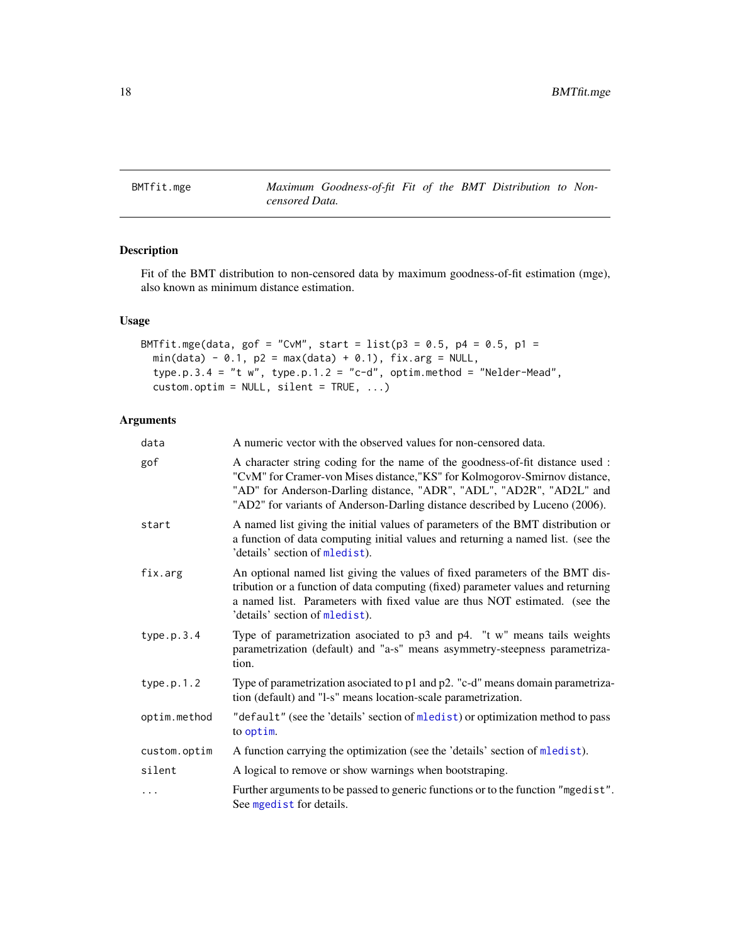<span id="page-17-1"></span><span id="page-17-0"></span>BMTfit.mge *Maximum Goodness-of-fit Fit of the BMT Distribution to Noncensored Data.*

# Description

Fit of the BMT distribution to non-censored data by maximum goodness-of-fit estimation (mge), also known as minimum distance estimation.

# Usage

```
BMTfit.mge(data, gof = "CvM", start = list(p3 = 0.5, p4 = 0.5, p1 =min(data) - 0.1, p2 = max(data) + 0.1, fix.argv = NULL,type.p.3.4 = "t w", type.p.1.2 = "c-d", optim.method = "Nelder-Mead",
  custom.optim = NULL, silent = TRUE, ...)
```

| data         | A numeric vector with the observed values for non-censored data.                                                                                                                                                                                                                                                   |
|--------------|--------------------------------------------------------------------------------------------------------------------------------------------------------------------------------------------------------------------------------------------------------------------------------------------------------------------|
| gof          | A character string coding for the name of the goodness-of-fit distance used :<br>"CvM" for Cramer-von Mises distance, "KS" for Kolmogorov-Smirnov distance,<br>"AD" for Anderson-Darling distance, "ADR", "ADL", "AD2R", "AD2L" and<br>"AD2" for variants of Anderson-Darling distance described by Luceno (2006). |
| start        | A named list giving the initial values of parameters of the BMT distribution or<br>a function of data computing initial values and returning a named list. (see the<br>'details' section of mledist).                                                                                                              |
| fix.arg      | An optional named list giving the values of fixed parameters of the BMT dis-<br>tribution or a function of data computing (fixed) parameter values and returning<br>a named list. Parameters with fixed value are thus NOT estimated. (see the<br>'details' section of mledist).                                   |
| type.p.3.4   | Type of parametrization asociated to p3 and p4. "t w" means tails weights<br>parametrization (default) and "a-s" means asymmetry-steepness parametriza-<br>tion.                                                                                                                                                   |
| type.p.1.2   | Type of parametrization asociated to p1 and p2. "c-d" means domain parametriza-<br>tion (default) and "l-s" means location-scale parametrization.                                                                                                                                                                  |
| optim.method | "default" (see the 'details' section of mledist) or optimization method to pass<br>to optim.                                                                                                                                                                                                                       |
| custom.optim | A function carrying the optimization (see the 'details' section of mledist).                                                                                                                                                                                                                                       |
| silent       | A logical to remove or show warnings when bootstraping.                                                                                                                                                                                                                                                            |
| .            | Further arguments to be passed to generic functions or to the function "mgedist".<br>See mgedist for details.                                                                                                                                                                                                      |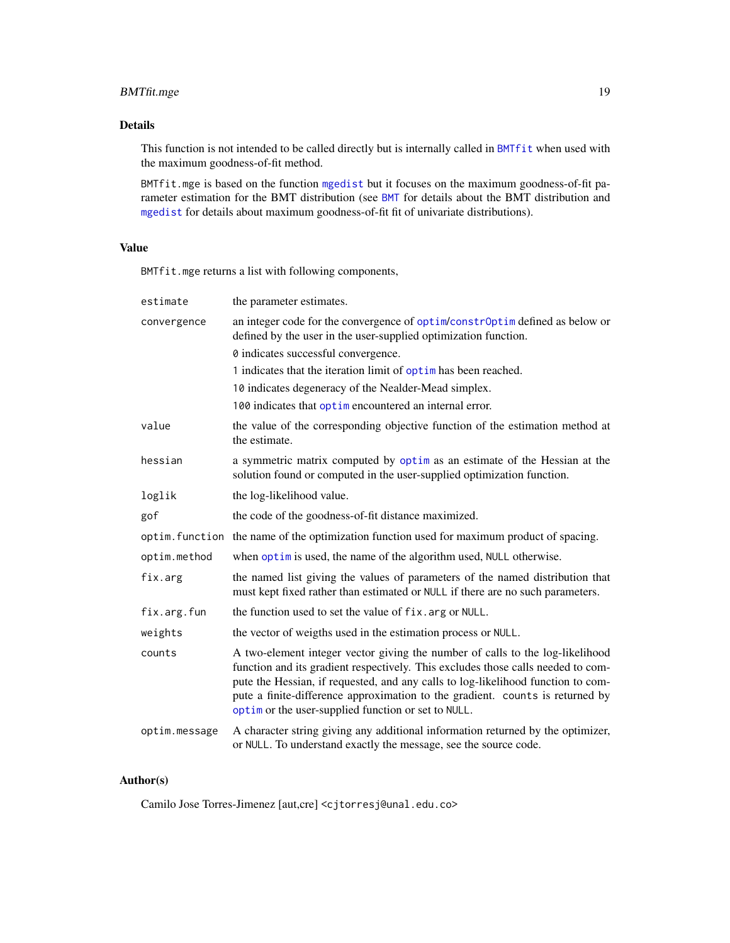# <span id="page-18-0"></span>BMTfit.mge 19

# Details

This function is not intended to be called directly but is internally called in [BMTfit](#page-13-1) when used with the maximum goodness-of-fit method.

BMTfit.mge is based on the function [mgedist](#page-0-0) but it focuses on the maximum goodness-of-fit parameter estimation for the BMT distribution (see [BMT](#page-1-2) for details about the BMT distribution and [mgedist](#page-0-0) for details about maximum goodness-of-fit fit of univariate distributions).

# Value

BMTfit.mge returns a list with following components,

| estimate      | the parameter estimates.                                                                                                                                                                                                                                                                                                                                                                      |
|---------------|-----------------------------------------------------------------------------------------------------------------------------------------------------------------------------------------------------------------------------------------------------------------------------------------------------------------------------------------------------------------------------------------------|
| convergence   | an integer code for the convergence of optim/constr0ptim defined as below or<br>defined by the user in the user-supplied optimization function.                                                                                                                                                                                                                                               |
|               | 0 indicates successful convergence.                                                                                                                                                                                                                                                                                                                                                           |
|               | 1 indicates that the iteration limit of optim has been reached.                                                                                                                                                                                                                                                                                                                               |
|               | 10 indicates degeneracy of the Nealder-Mead simplex.                                                                                                                                                                                                                                                                                                                                          |
|               | 100 indicates that optime no countered an internal error.                                                                                                                                                                                                                                                                                                                                     |
| value         | the value of the corresponding objective function of the estimation method at<br>the estimate.                                                                                                                                                                                                                                                                                                |
| hessian       | a symmetric matrix computed by optim as an estimate of the Hessian at the<br>solution found or computed in the user-supplied optimization function.                                                                                                                                                                                                                                           |
| loglik        | the log-likelihood value.                                                                                                                                                                                                                                                                                                                                                                     |
| gof           | the code of the goodness-of-fit distance maximized.                                                                                                                                                                                                                                                                                                                                           |
|               | optim. function the name of the optimization function used for maximum product of spacing.                                                                                                                                                                                                                                                                                                    |
| optim.method  | when optim is used, the name of the algorithm used, NULL otherwise.                                                                                                                                                                                                                                                                                                                           |
| fix.arg       | the named list giving the values of parameters of the named distribution that<br>must kept fixed rather than estimated or NULL if there are no such parameters.                                                                                                                                                                                                                               |
| fix.arg.fun   | the function used to set the value of fix. arg or NULL.                                                                                                                                                                                                                                                                                                                                       |
| weights       | the vector of weigths used in the estimation process or NULL.                                                                                                                                                                                                                                                                                                                                 |
| counts        | A two-element integer vector giving the number of calls to the log-likelihood<br>function and its gradient respectively. This excludes those calls needed to com-<br>pute the Hessian, if requested, and any calls to log-likelihood function to com-<br>pute a finite-difference approximation to the gradient. counts is returned by<br>optim or the user-supplied function or set to NULL. |
| optim.message | A character string giving any additional information returned by the optimizer,<br>or NULL. To understand exactly the message, see the source code.                                                                                                                                                                                                                                           |

# Author(s)

Camilo Jose Torres-Jimenez [aut,cre] <cjtorresj@unal.edu.co>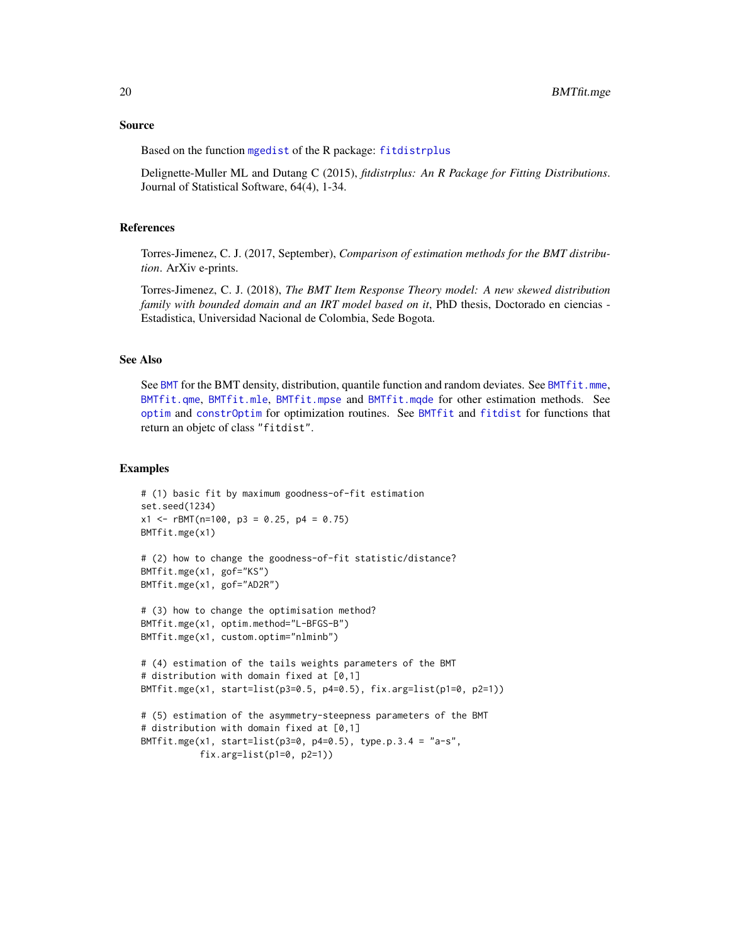#### <span id="page-19-0"></span>Source

Based on the function [mgedist](#page-0-0) of the R package: [fitdistrplus](#page-0-0)

Delignette-Muller ML and Dutang C (2015), *fitdistrplus: An R Package for Fitting Distributions*. Journal of Statistical Software, 64(4), 1-34.

# References

Torres-Jimenez, C. J. (2017, September), *Comparison of estimation methods for the BMT distribution*. ArXiv e-prints.

Torres-Jimenez, C. J. (2018), *The BMT Item Response Theory model: A new skewed distribution family with bounded domain and an IRT model based on it*, PhD thesis, Doctorado en ciencias - Estadistica, Universidad Nacional de Colombia, Sede Bogota.

# See Also

See [BMT](#page-1-2) for the BMT density, distribution, quantile function and random deviates. See [BMTfit.mme](#page-22-1), [BMTfit.qme](#page-31-1), [BMTfit.mle](#page-20-1), [BMTfit.mpse](#page-25-1) and [BMTfit.mqde](#page-28-1) for other estimation methods. See [optim](#page-0-0) and [constrOptim](#page-0-0) for optimization routines. See [BMTfit](#page-13-1) and [fitdist](#page-0-0) for functions that return an objetc of class "fitdist".

```
# (1) basic fit by maximum goodness-of-fit estimation
set.seed(1234)
x1 \leq -rBMT(n=100, p3 = 0.25, p4 = 0.75)
BMTfit.mge(x1)
# (2) how to change the goodness-of-fit statistic/distance?
BMTfit.mge(x1, gof="KS")
BMTfit.mge(x1, gof="AD2R")
# (3) how to change the optimisation method?
BMTfit.mge(x1, optim.method="L-BFGS-B")
BMTfit.mge(x1, custom.optim="nlminb")
# (4) estimation of the tails weights parameters of the BMT
# distribution with domain fixed at [0,1]
BMTfit.mge(x1, start=list(p3=0.5, p4=0.5), fix.arg=list(p1=0, p2=1))
# (5) estimation of the asymmetry-steepness parameters of the BMT
# distribution with domain fixed at [0,1]
BMTfit.mge(x1, start=list(p3=0, p4=0.5), type.p.3.4 = "a-s",
           fix.arg=list(p1=0, p2=1))
```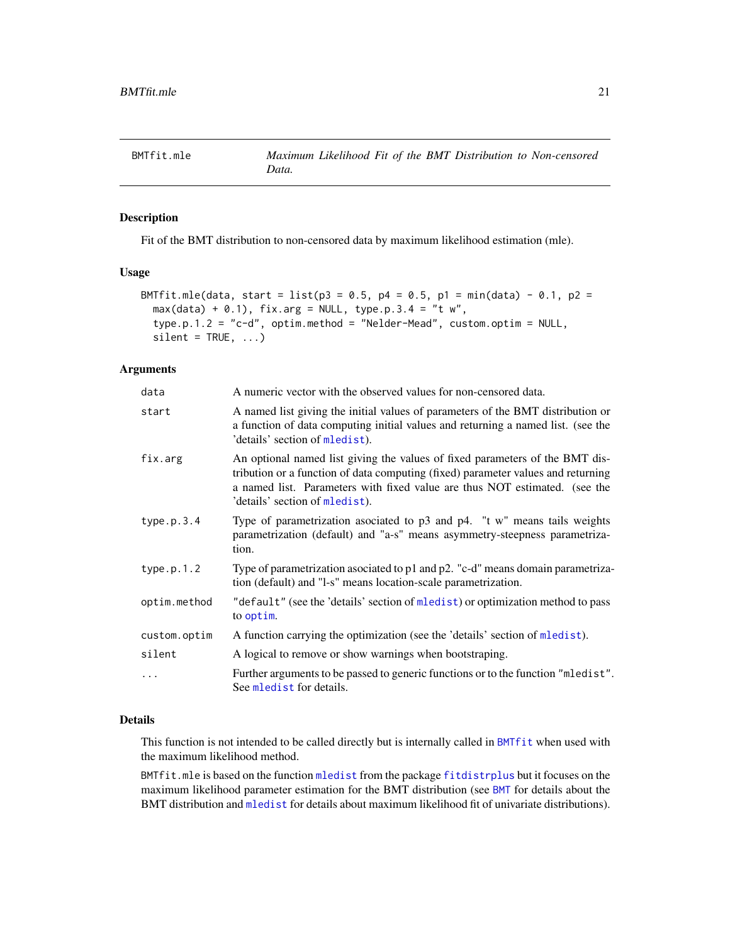<span id="page-20-1"></span><span id="page-20-0"></span>

# Description

Fit of the BMT distribution to non-censored data by maximum likelihood estimation (mle).

# Usage

```
BMTfit.mle(data, start = list(p3 = 0.5, p4 = 0.5, p1 = min(data) - 0.1, p2 =
 max(data) + 0.1), fix.arg = NULL, type.p.3.4 = "t w",
  type.p.1.2 = "c-d", optim.method = "Nelder-Mead", custom.optim = NULL,
  silent = TRUE, ...)
```
# Arguments

| data         | A numeric vector with the observed values for non-censored data.                                                                                                                                                                                                                 |
|--------------|----------------------------------------------------------------------------------------------------------------------------------------------------------------------------------------------------------------------------------------------------------------------------------|
| start        | A named list giving the initial values of parameters of the BMT distribution or<br>a function of data computing initial values and returning a named list. (see the<br>'details' section of mledist).                                                                            |
| fix.arg      | An optional named list giving the values of fixed parameters of the BMT dis-<br>tribution or a function of data computing (fixed) parameter values and returning<br>a named list. Parameters with fixed value are thus NOT estimated. (see the<br>'details' section of mledist). |
| type.p.3.4   | Type of parametrization asociated to $p3$ and $p4$ . "t w" means tails weights<br>parametrization (default) and "a-s" means asymmetry-steepness parametriza-<br>tion.                                                                                                            |
| type.p.1.2   | Type of parametrization asociated to p1 and p2. "c-d" means domain parametriza-<br>tion (default) and "l-s" means location-scale parametrization.                                                                                                                                |
| optim.method | "default" (see the 'details' section of mledist) or optimization method to pass<br>to optim.                                                                                                                                                                                     |
| custom.optim | A function carrying the optimization (see the 'details' section of mledist).                                                                                                                                                                                                     |
| silent       | A logical to remove or show warnings when bootstraping.                                                                                                                                                                                                                          |
| $\cdots$     | Further arguments to be passed to generic functions or to the function "mledist".<br>See mledist for details.                                                                                                                                                                    |

# Details

This function is not intended to be called directly but is internally called in [BMTfit](#page-13-1) when used with the maximum likelihood method.

BMTfit.mle is based on the function [mledist](#page-0-0) from the package [fitdistrplus](#page-0-0) but it focuses on the maximum likelihood parameter estimation for the BMT distribution (see [BMT](#page-1-2) for details about the BMT distribution and [mledist](#page-0-0) for details about maximum likelihood fit of univariate distributions).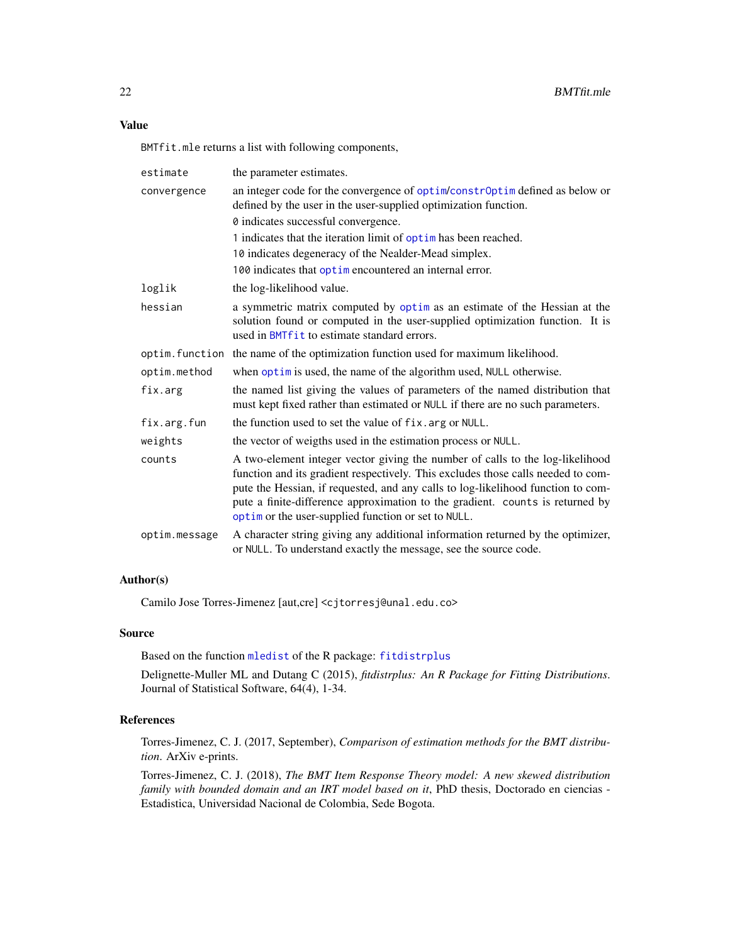# <span id="page-21-0"></span>Value

BMTfit.mle returns a list with following components,

| estimate      | the parameter estimates.                                                                                                                                                                                                                                                                                                                                                                      |
|---------------|-----------------------------------------------------------------------------------------------------------------------------------------------------------------------------------------------------------------------------------------------------------------------------------------------------------------------------------------------------------------------------------------------|
| convergence   | an integer code for the convergence of optim/constrOptim defined as below or<br>defined by the user in the user-supplied optimization function.                                                                                                                                                                                                                                               |
|               | 0 indicates successful convergence.                                                                                                                                                                                                                                                                                                                                                           |
|               | 1 indicates that the iteration limit of optim has been reached.                                                                                                                                                                                                                                                                                                                               |
|               | 10 indicates degeneracy of the Nealder-Mead simplex.                                                                                                                                                                                                                                                                                                                                          |
|               | 100 indicates that optim encountered an internal error.                                                                                                                                                                                                                                                                                                                                       |
| loglik        | the log-likelihood value.                                                                                                                                                                                                                                                                                                                                                                     |
| hessian       | a symmetric matrix computed by optim as an estimate of the Hessian at the<br>solution found or computed in the user-supplied optimization function. It is<br>used in BMT fit to estimate standard errors.                                                                                                                                                                                     |
|               | optim. function the name of the optimization function used for maximum likelihood.                                                                                                                                                                                                                                                                                                            |
| optim.method  | when optim is used, the name of the algorithm used, NULL otherwise.                                                                                                                                                                                                                                                                                                                           |
| fix.arg       | the named list giving the values of parameters of the named distribution that<br>must kept fixed rather than estimated or NULL if there are no such parameters.                                                                                                                                                                                                                               |
| fix.arg.fun   | the function used to set the value of fix. arg or NULL.                                                                                                                                                                                                                                                                                                                                       |
| weights       | the vector of weigths used in the estimation process or NULL.                                                                                                                                                                                                                                                                                                                                 |
| counts        | A two-element integer vector giving the number of calls to the log-likelihood<br>function and its gradient respectively. This excludes those calls needed to com-<br>pute the Hessian, if requested, and any calls to log-likelihood function to com-<br>pute a finite-difference approximation to the gradient. counts is returned by<br>optim or the user-supplied function or set to NULL. |
| optim.message | A character string giving any additional information returned by the optimizer,<br>or NULL. To understand exactly the message, see the source code.                                                                                                                                                                                                                                           |

# Author(s)

Camilo Jose Torres-Jimenez [aut,cre] <cjtorresj@unal.edu.co>

# Source

Based on the function [mledist](#page-0-0) of the R package: [fitdistrplus](#page-0-0)

Delignette-Muller ML and Dutang C (2015), *fitdistrplus: An R Package for Fitting Distributions*. Journal of Statistical Software, 64(4), 1-34.

# References

Torres-Jimenez, C. J. (2017, September), *Comparison of estimation methods for the BMT distribution*. ArXiv e-prints.

Torres-Jimenez, C. J. (2018), *The BMT Item Response Theory model: A new skewed distribution family with bounded domain and an IRT model based on it*, PhD thesis, Doctorado en ciencias -Estadistica, Universidad Nacional de Colombia, Sede Bogota.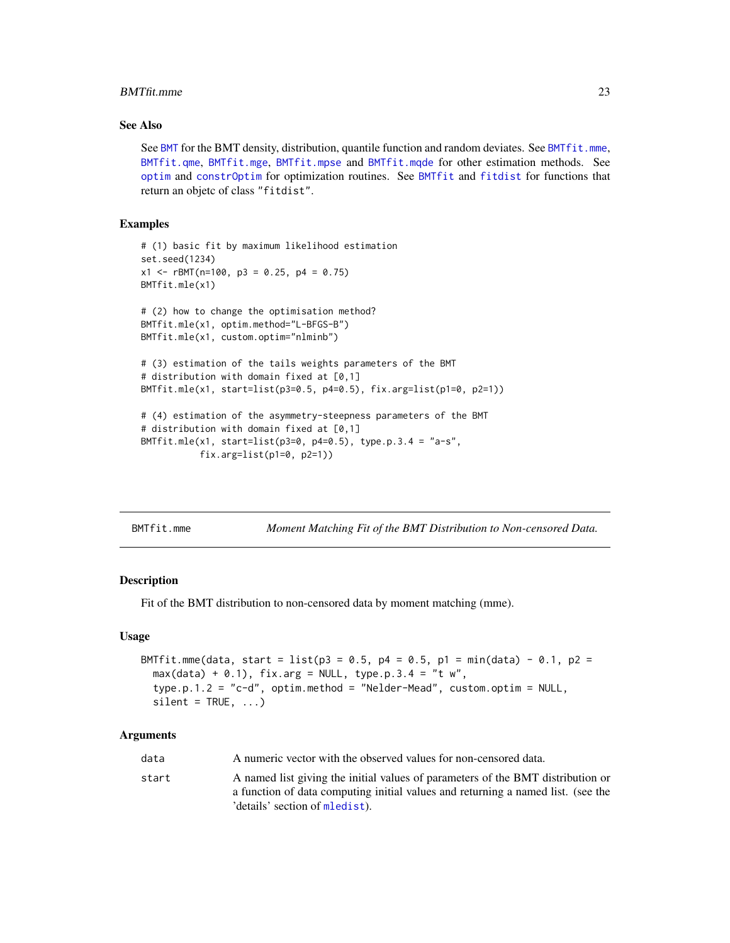#### <span id="page-22-0"></span>BMTfit.mme 23

# See Also

See [BMT](#page-1-2) for the BMT density, distribution, quantile function and random deviates. See [BMTfit.mme](#page-22-1), [BMTfit.qme](#page-31-1), [BMTfit.mge](#page-17-1), [BMTfit.mpse](#page-25-1) and [BMTfit.mqde](#page-28-1) for other estimation methods. See [optim](#page-0-0) and [constrOptim](#page-0-0) for optimization routines. See [BMTfit](#page-13-1) and [fitdist](#page-0-0) for functions that return an objetc of class "fitdist".

# **Examples**

```
# (1) basic fit by maximum likelihood estimation
set.seed(1234)
x1 <- rBMT(n=100, p3 = 0.25, p4 = 0.75)
BMTfit.mle(x1)
# (2) how to change the optimisation method?
BMTfit.mle(x1, optim.method="L-BFGS-B")
BMTfit.mle(x1, custom.optim="nlminb")
# (3) estimation of the tails weights parameters of the BMT
# distribution with domain fixed at [0,1]
BMTfit.mle(x1, start=list(p3=0.5, p4=0.5), fix.arg=list(p1=0, p2=1))
# (4) estimation of the asymmetry-steepness parameters of the BMT
# distribution with domain fixed at [0,1]
BMTfit.mle(x1, start=list(p3=0, p4=0.5), type.p.3.4 = "a-s",
           fix.arg=list(p1=0, p2=1))
```
<span id="page-22-1"></span>BMTfit.mme *Moment Matching Fit of the BMT Distribution to Non-censored Data.*

#### Description

Fit of the BMT distribution to non-censored data by moment matching (mme).

#### Usage

```
BMTfit.mme(data, start = list(p3 = 0.5, p4 = 0.5, p1 = min(data) - 0.1, p2 =
  max(data) + 0.1), fix.arg = NULL, type.p.3.4 = "t w",
  type.p.1.2 = "c-d", optim.method = "Nelder-Mead", custom.optim = NULL,
  silent = TRUE, ...)
```

| data  | A numeric vector with the observed values for non-censored data.                                                                                                    |
|-------|---------------------------------------------------------------------------------------------------------------------------------------------------------------------|
| start | A named list giving the initial values of parameters of the BMT distribution or<br>a function of data computing initial values and returning a named list. (see the |
|       | details' section of mledist).                                                                                                                                       |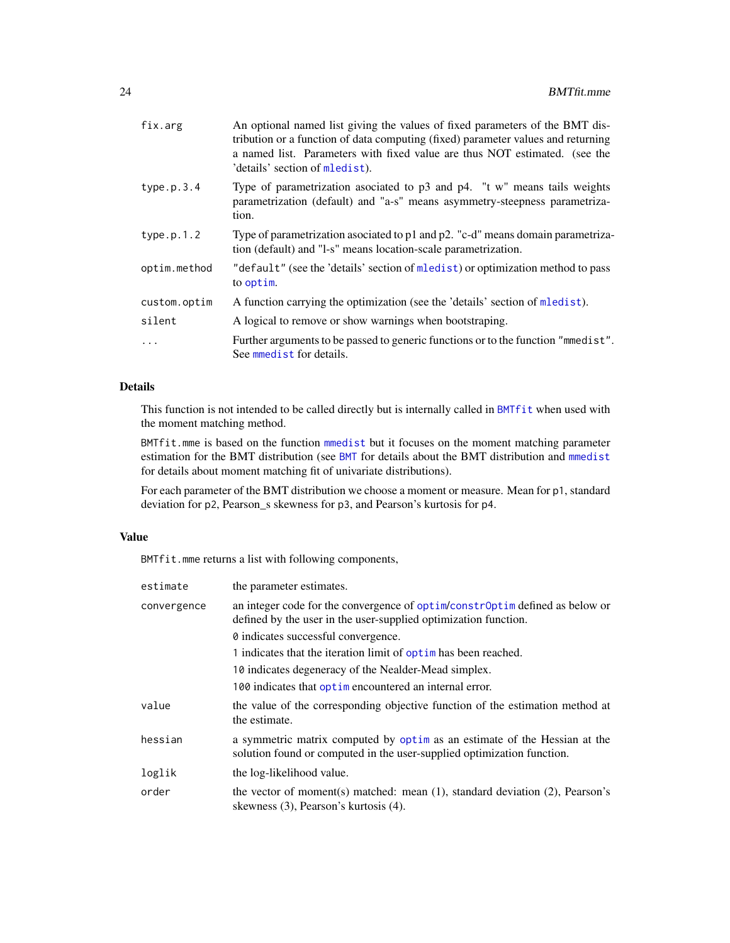<span id="page-23-0"></span>

| fix.arg      | An optional named list giving the values of fixed parameters of the BMT dis-<br>tribution or a function of data computing (fixed) parameter values and returning<br>a named list. Parameters with fixed value are thus NOT estimated. (see the<br>'details' section of mledist). |
|--------------|----------------------------------------------------------------------------------------------------------------------------------------------------------------------------------------------------------------------------------------------------------------------------------|
| type.p.3.4   | Type of parametrization asociated to $p3$ and $p4$ . "t w" means tails weights<br>parametrization (default) and "a-s" means asymmetry-steepness parametriza-<br>tion.                                                                                                            |
| type.p.1.2   | Type of parametrization asociated to p1 and p2. "c-d" means domain parametriza-<br>tion (default) and "l-s" means location-scale parametrization.                                                                                                                                |
| optim.method | "default" (see the 'details' section of mledist) or optimization method to pass<br>to optim.                                                                                                                                                                                     |
| custom.optim | A function carrying the optimization (see the 'details' section of mledist).                                                                                                                                                                                                     |
| silent       | A logical to remove or show warnings when bootstraping.                                                                                                                                                                                                                          |
| $\cdots$     | Further arguments to be passed to generic functions or to the function "mmedist".<br>See mmedist for details.                                                                                                                                                                    |

# Details

This function is not intended to be called directly but is internally called in [BMTfit](#page-13-1) when used with the moment matching method.

BMTfit.mme is based on the function [mmedist](#page-0-0) but it focuses on the moment matching parameter estimation for the BMT distribution (see [BMT](#page-1-2) for details about the BMT distribution and [mmedist](#page-0-0) for details about moment matching fit of univariate distributions).

For each parameter of the BMT distribution we choose a moment or measure. Mean for p1, standard deviation for p2, Pearson\_s skewness for p3, and Pearson's kurtosis for p4.

# Value

BMTfit.mme returns a list with following components,

| estimate    | the parameter estimates.                                                                                                                            |
|-------------|-----------------------------------------------------------------------------------------------------------------------------------------------------|
| convergence | an integer code for the convergence of optim/constr0ptim defined as below or<br>defined by the user in the user-supplied optimization function.     |
|             | 0 indicates successful convergence.                                                                                                                 |
|             | 1 indicates that the iteration limit of optimular has been reached.                                                                                 |
|             | 10 indicates degeneracy of the Nealder-Mead simplex.                                                                                                |
|             | 100 indicates that optime not entered an internal error.                                                                                            |
| value       | the value of the corresponding objective function of the estimation method at<br>the estimate.                                                      |
| hessian     | a symmetric matrix computed by optim as an estimate of the Hessian at the<br>solution found or computed in the user-supplied optimization function. |
| loglik      | the log-likelihood value.                                                                                                                           |
| order       | the vector of moment(s) matched: mean (1), standard deviation (2), Pearson's<br>skewness (3), Pearson's kurtosis (4).                               |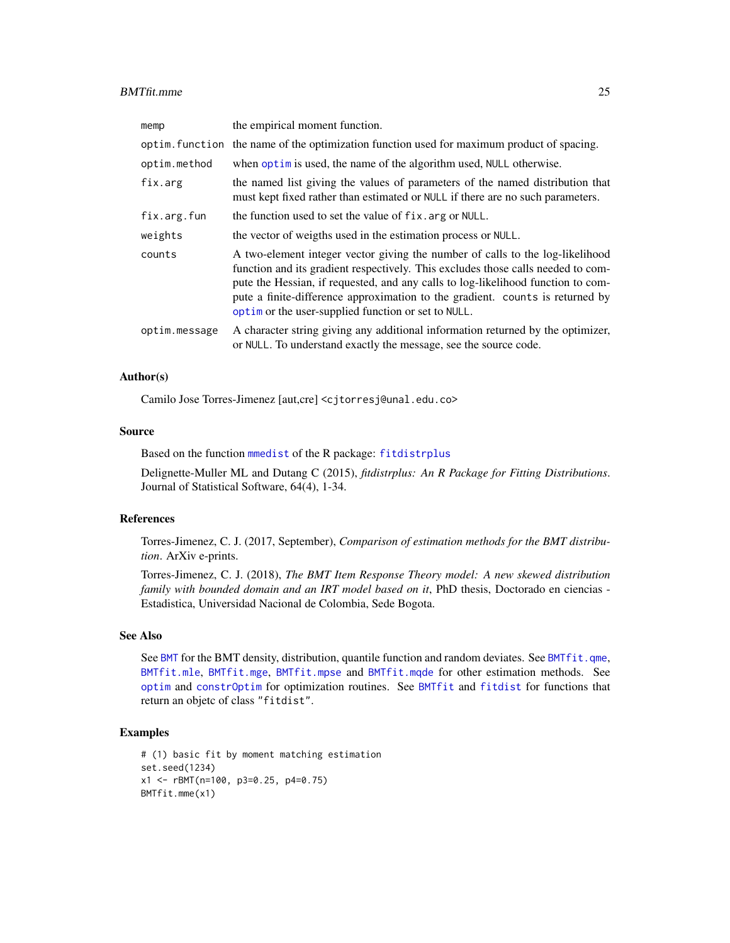#### <span id="page-24-0"></span>BMTfit.mme 25

| memp          | the empirical moment function.                                                                                                                                                                                                                                                                                                                                                                |
|---------------|-----------------------------------------------------------------------------------------------------------------------------------------------------------------------------------------------------------------------------------------------------------------------------------------------------------------------------------------------------------------------------------------------|
|               | optim. function the name of the optimization function used for maximum product of spacing.                                                                                                                                                                                                                                                                                                    |
| optim.method  | when optim is used, the name of the algorithm used, NULL otherwise.                                                                                                                                                                                                                                                                                                                           |
| fix.arg       | the named list giving the values of parameters of the named distribution that<br>must kept fixed rather than estimated or NULL if there are no such parameters.                                                                                                                                                                                                                               |
| fix.arg.fun   | the function used to set the value of fix. arg or NULL.                                                                                                                                                                                                                                                                                                                                       |
| weights       | the vector of weigths used in the estimation process or NULL.                                                                                                                                                                                                                                                                                                                                 |
| counts        | A two-element integer vector giving the number of calls to the log-likelihood<br>function and its gradient respectively. This excludes those calls needed to com-<br>pute the Hessian, if requested, and any calls to log-likelihood function to com-<br>pute a finite-difference approximation to the gradient. counts is returned by<br>optim or the user-supplied function or set to NULL. |
| optim.message | A character string giving any additional information returned by the optimizer,<br>or NULL. To understand exactly the message, see the source code.                                                                                                                                                                                                                                           |

# Author(s)

Camilo Jose Torres-Jimenez [aut,cre] <cjtorresj@unal.edu.co>

# Source

Based on the function [mmedist](#page-0-0) of the R package: [fitdistrplus](#page-0-0)

Delignette-Muller ML and Dutang C (2015), *fitdistrplus: An R Package for Fitting Distributions*. Journal of Statistical Software, 64(4), 1-34.

# References

Torres-Jimenez, C. J. (2017, September), *Comparison of estimation methods for the BMT distribution*. ArXiv e-prints.

Torres-Jimenez, C. J. (2018), *The BMT Item Response Theory model: A new skewed distribution family with bounded domain and an IRT model based on it*, PhD thesis, Doctorado en ciencias - Estadistica, Universidad Nacional de Colombia, Sede Bogota.

# See Also

See [BMT](#page-1-2) for the BMT density, distribution, quantile function and random deviates. See [BMTfit.qme](#page-31-1), [BMTfit.mle](#page-20-1), [BMTfit.mge](#page-17-1), [BMTfit.mpse](#page-25-1) and [BMTfit.mqde](#page-28-1) for other estimation methods. See [optim](#page-0-0) and [constrOptim](#page-0-0) for optimization routines. See [BMTfit](#page-13-1) and [fitdist](#page-0-0) for functions that return an objetc of class "fitdist".

```
# (1) basic fit by moment matching estimation
set.seed(1234)
x1 <- rBMT(n=100, p3=0.25, p4=0.75)
BMTfit.mme(x1)
```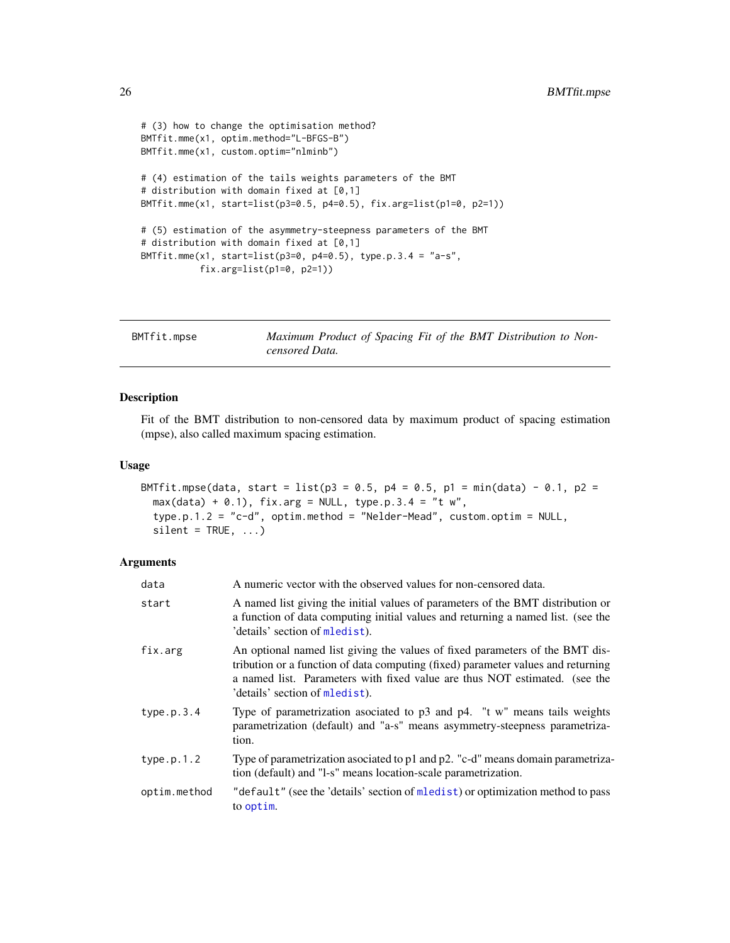```
# (3) how to change the optimisation method?
BMTfit.mme(x1, optim.method="L-BFGS-B")
BMTfit.mme(x1, custom.optim="nlminb")
# (4) estimation of the tails weights parameters of the BMT
# distribution with domain fixed at [0,1]
BMTfit.mme(x1, start=list(p3=0.5, p4=0.5), fix.arg=list(p1=0, p2=1))
# (5) estimation of the asymmetry-steepness parameters of the BMT
# distribution with domain fixed at [0,1]
BMTfit.mme(x1, start=list(p3=0, p4=0.5), type.p.3.4 = "a-s",
           fix.arg=list(p1=0, p2=1))
```
<span id="page-25-1"></span>

| BMTfit.mpse | Maximum Product of Spacing Fit of the BMT Distribution to Non- |  |
|-------------|----------------------------------------------------------------|--|
|             | censored Data.                                                 |  |

#### Description

Fit of the BMT distribution to non-censored data by maximum product of spacing estimation (mpse), also called maximum spacing estimation.

# Usage

```
BMTfit.mpse(data, start = list(p3 = 0.5, p4 = 0.5, p1 = min(data) - 0.1, p2 =
 max(data) + 0.1), fix.arg = NULL, type.p.3.4 = "t w",
  type.p.1.2 = "c-d", optim.method = "Nelder-Mead", custom.optim = NULL,
  silent = TRUE, ...
```

| data         | A numeric vector with the observed values for non-censored data.                                                                                                                                                                                                                 |
|--------------|----------------------------------------------------------------------------------------------------------------------------------------------------------------------------------------------------------------------------------------------------------------------------------|
| start        | A named list giving the initial values of parameters of the BMT distribution or<br>a function of data computing initial values and returning a named list. (see the<br>'details' section of mledist).                                                                            |
| fix.arg      | An optional named list giving the values of fixed parameters of the BMT dis-<br>tribution or a function of data computing (fixed) parameter values and returning<br>a named list. Parameters with fixed value are thus NOT estimated. (see the<br>'details' section of mledist). |
| type.p.3.4   | Type of parametrization asociated to $p3$ and $p4$ . "t w" means tails weights<br>parametrization (default) and "a-s" means asymmetry-steepness parametriza-<br>tion.                                                                                                            |
| type.p.1.2   | Type of parametrization asociated to p1 and p2. "c-d" means domain parametriza-<br>tion (default) and "1-s" means location-scale parametrization.                                                                                                                                |
| optim.method | "default" (see the 'details' section of mledist) or optimization method to pass<br>to optim.                                                                                                                                                                                     |

<span id="page-25-0"></span>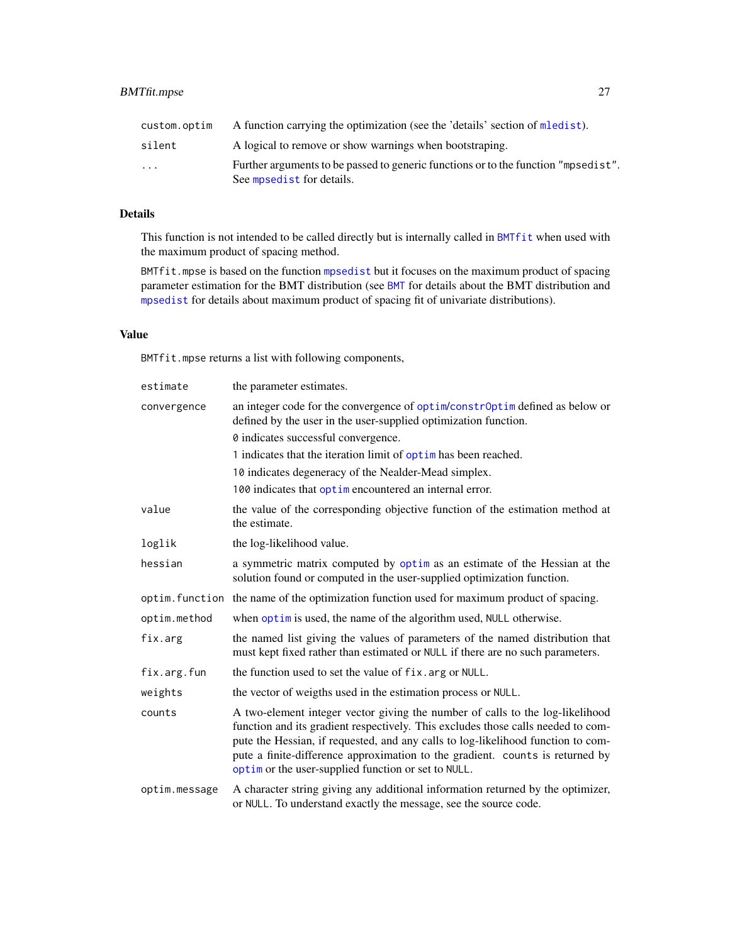# <span id="page-26-0"></span>BMTfit.mpse 27

| custom.optim            | A function carrying the optimization (see the 'details' section of mledist).       |
|-------------------------|------------------------------------------------------------------------------------|
| silent                  | A logical to remove or show warnings when bootstraping.                            |
| $\cdot$ $\cdot$ $\cdot$ | Further arguments to be passed to generic functions or to the function "mpsedist". |
|                         | See mpsedist for details.                                                          |

# Details

This function is not intended to be called directly but is internally called in [BMTfit](#page-13-1) when used with the maximum product of spacing method.

BMTfit.mpse is based on the function [mpsedist](#page-40-1) but it focuses on the maximum product of spacing parameter estimation for the BMT distribution (see [BMT](#page-1-2) for details about the BMT distribution and [mpsedist](#page-40-1) for details about maximum product of spacing fit of univariate distributions).

# Value

BMTfit.mpse returns a list with following components,

| estimate      | the parameter estimates.                                                                                                                                                                                                                                                                                                                                                                      |
|---------------|-----------------------------------------------------------------------------------------------------------------------------------------------------------------------------------------------------------------------------------------------------------------------------------------------------------------------------------------------------------------------------------------------|
| convergence   | an integer code for the convergence of optim/constr0ptim defined as below or<br>defined by the user in the user-supplied optimization function.                                                                                                                                                                                                                                               |
|               | 0 indicates successful convergence.                                                                                                                                                                                                                                                                                                                                                           |
|               | 1 indicates that the iteration limit of optim has been reached.                                                                                                                                                                                                                                                                                                                               |
|               | 10 indicates degeneracy of the Nealder-Mead simplex.                                                                                                                                                                                                                                                                                                                                          |
|               | 100 indicates that optime no countered an internal error.                                                                                                                                                                                                                                                                                                                                     |
| value         | the value of the corresponding objective function of the estimation method at<br>the estimate.                                                                                                                                                                                                                                                                                                |
| loglik        | the log-likelihood value.                                                                                                                                                                                                                                                                                                                                                                     |
| hessian       | a symmetric matrix computed by optim as an estimate of the Hessian at the<br>solution found or computed in the user-supplied optimization function.                                                                                                                                                                                                                                           |
|               | optim. function the name of the optimization function used for maximum product of spacing.                                                                                                                                                                                                                                                                                                    |
| optim.method  | when optim is used, the name of the algorithm used, NULL otherwise.                                                                                                                                                                                                                                                                                                                           |
| fix.arg       | the named list giving the values of parameters of the named distribution that<br>must kept fixed rather than estimated or NULL if there are no such parameters.                                                                                                                                                                                                                               |
| fix.arg.fun   | the function used to set the value of fix. arg or NULL.                                                                                                                                                                                                                                                                                                                                       |
| weights       | the vector of weigths used in the estimation process or NULL.                                                                                                                                                                                                                                                                                                                                 |
| counts        | A two-element integer vector giving the number of calls to the log-likelihood<br>function and its gradient respectively. This excludes those calls needed to com-<br>pute the Hessian, if requested, and any calls to log-likelihood function to com-<br>pute a finite-difference approximation to the gradient. counts is returned by<br>optim or the user-supplied function or set to NULL. |
| optim.message | A character string giving any additional information returned by the optimizer,<br>or NULL. To understand exactly the message, see the source code.                                                                                                                                                                                                                                           |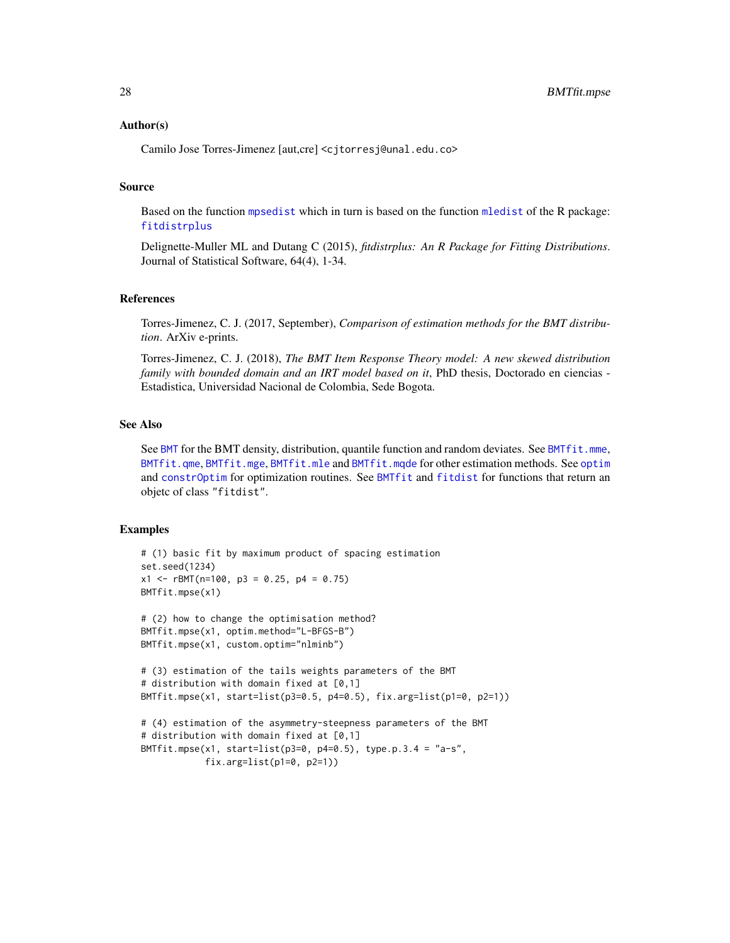# <span id="page-27-0"></span>Author(s)

Camilo Jose Torres-Jimenez [aut,cre] <cjtorresj@unal.edu.co>

#### Source

Based on the function [mpsedist](#page-40-1) which in turn is based on the function [mledist](#page-0-0) of the R package: [fitdistrplus](#page-0-0)

Delignette-Muller ML and Dutang C (2015), *fitdistrplus: An R Package for Fitting Distributions*. Journal of Statistical Software, 64(4), 1-34.

### References

Torres-Jimenez, C. J. (2017, September), *Comparison of estimation methods for the BMT distribution*. ArXiv e-prints.

Torres-Jimenez, C. J. (2018), *The BMT Item Response Theory model: A new skewed distribution family with bounded domain and an IRT model based on it*, PhD thesis, Doctorado en ciencias -Estadistica, Universidad Nacional de Colombia, Sede Bogota.

# See Also

See [BMT](#page-1-2) for the BMT density, distribution, quantile function and random deviates. See [BMTfit.mme](#page-22-1), [BMTfit.qme](#page-31-1), [BMTfit.mge](#page-17-1), [BMTfit.mle](#page-20-1) and [BMTfit.mqde](#page-28-1) for other estimation methods. See [optim](#page-0-0) and [constrOptim](#page-0-0) for optimization routines. See [BMTfit](#page-13-1) and [fitdist](#page-0-0) for functions that return an objetc of class "fitdist".

```
# (1) basic fit by maximum product of spacing estimation
set.seed(1234)
x1 <- rBMT(n=100, p3 = 0.25, p4 = 0.75)
BMTfit.mpse(x1)
# (2) how to change the optimisation method?
BMTfit.mpse(x1, optim.method="L-BFGS-B")
BMTfit.mpse(x1, custom.optim="nlminb")
# (3) estimation of the tails weights parameters of the BMT
# distribution with domain fixed at [0,1]
BMTfit.mpse(x1, start=list(p3=0.5, p4=0.5), fix.arg=list(p1=0, p2=1))
# (4) estimation of the asymmetry-steepness parameters of the BMT
# distribution with domain fixed at [0,1]
BMTfit.mpse(x1, start=list(p3=0, p4=0.5), type.p.3.4 = "a-s",
            fix.arg=list(p1=0, p2=1))
```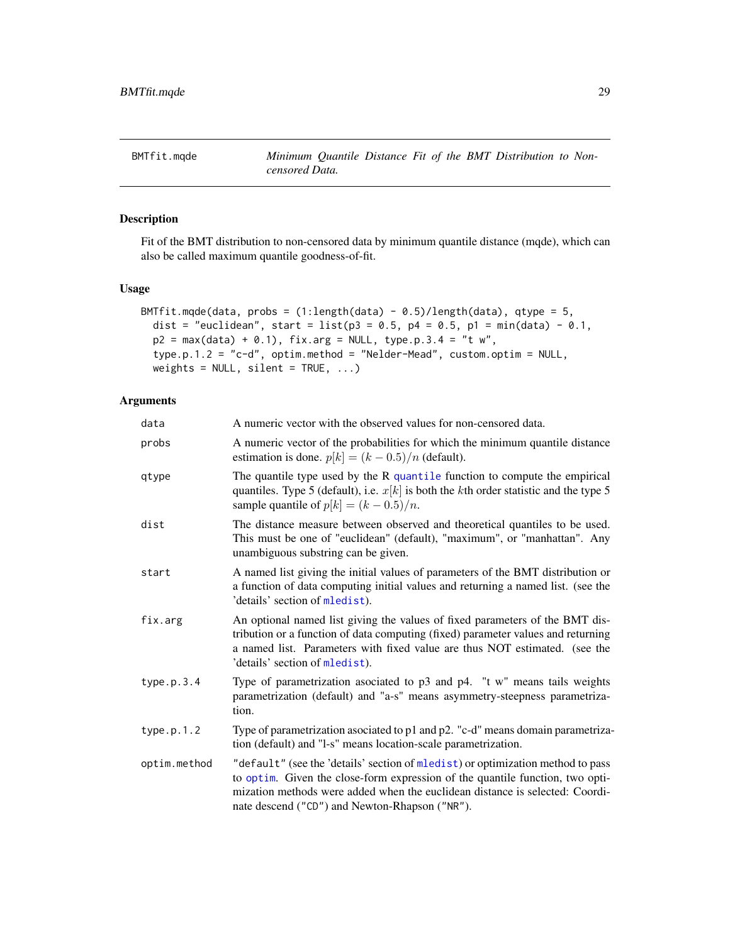<span id="page-28-1"></span><span id="page-28-0"></span>BMTfit.mqde *Minimum Quantile Distance Fit of the BMT Distribution to Noncensored Data.*

# Description

Fit of the BMT distribution to non-censored data by minimum quantile distance (mqde), which can also be called maximum quantile goodness-of-fit.

# Usage

```
BMTfit.mqde(data, probs = (1:length(data) - 0.5)/length(data), qtype = 5,
  dist = "euclidean", start = list(p3 = 0.5, p4 = 0.5, p1 = min(data) - 0.1,
 p2 = max(data) + 0.1, fix.argv = NULL, type.p.3.4 = "t w",type.p.1.2 = "c-d", optim.method = "Nelder-Mead", custom.optim = NULL,
 weights = NULL, silent = TRUE, ...)
```

| data         | A numeric vector with the observed values for non-censored data.                                                                                                                                                                                                                                   |
|--------------|----------------------------------------------------------------------------------------------------------------------------------------------------------------------------------------------------------------------------------------------------------------------------------------------------|
| probs        | A numeric vector of the probabilities for which the minimum quantile distance<br>estimation is done. $p[k] = (k - 0.5)/n$ (default).                                                                                                                                                               |
| qtype        | The quantile type used by the $R$ quantile function to compute the empirical<br>quantiles. Type 5 (default), i.e. $x[k]$ is both the kth order statistic and the type 5<br>sample quantile of $p[k] = (k - 0.5)/n$ .                                                                               |
| dist         | The distance measure between observed and theoretical quantiles to be used.<br>This must be one of "euclidean" (default), "maximum", or "manhattan". Any<br>unambiguous substring can be given.                                                                                                    |
| start        | A named list giving the initial values of parameters of the BMT distribution or<br>a function of data computing initial values and returning a named list. (see the<br>'details' section of mledist).                                                                                              |
| fix.arg      | An optional named list giving the values of fixed parameters of the BMT dis-<br>tribution or a function of data computing (fixed) parameter values and returning<br>a named list. Parameters with fixed value are thus NOT estimated. (see the<br>'details' section of mledist).                   |
| type.p.3.4   | Type of parametrization asociated to $p3$ and $p4$ . "t w" means tails weights<br>parametrization (default) and "a-s" means asymmetry-steepness parametriza-<br>tion.                                                                                                                              |
| type.p.1.2   | Type of parametrization asociated to p1 and p2. "c-d" means domain parametriza-<br>tion (default) and "l-s" means location-scale parametrization.                                                                                                                                                  |
| optim.method | "default" (see the 'details' section of mledist) or optimization method to pass<br>to optim. Given the close-form expression of the quantile function, two opti-<br>mization methods were added when the euclidean distance is selected: Coordi-<br>nate descend ("CD") and Newton-Rhapson ("NR"). |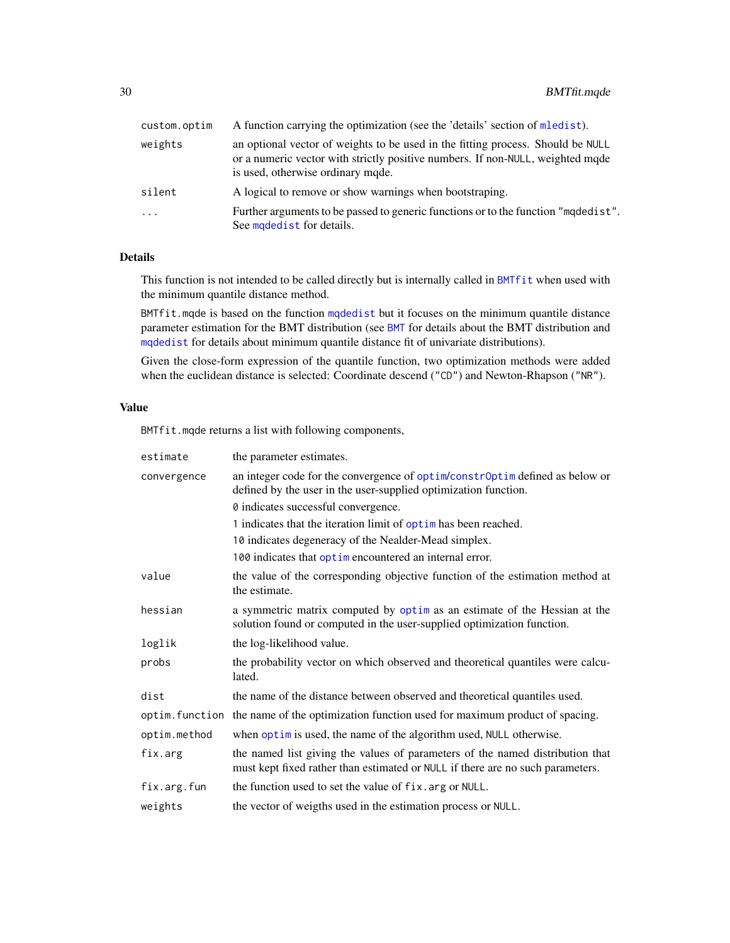<span id="page-29-0"></span>

| custom.optim | A function carrying the optimization (see the 'details' section of mledist).                                                                                                                           |
|--------------|--------------------------------------------------------------------------------------------------------------------------------------------------------------------------------------------------------|
| weights      | an optional vector of weights to be used in the fitting process. Should be NULL<br>or a numeric vector with strictly positive numbers. If non-NULL, weighted mqde<br>is used, otherwise ordinary mqde. |
| silent       | A logical to remove or show warnings when bootstraping.                                                                                                                                                |
| $\ddots$ .   | Further arguments to be passed to generic functions or to the function "maded ist".<br>See moded ist for details.                                                                                      |

# Details

This function is not intended to be called directly but is internally called in [BMTfit](#page-13-1) when used with the minimum quantile distance method.

BMTfit.mqde is based on the function [mqdedist](#page-43-1) but it focuses on the minimum quantile distance parameter estimation for the BMT distribution (see [BMT](#page-1-2) for details about the BMT distribution and [mqdedist](#page-43-1) for details about minimum quantile distance fit of univariate distributions).

Given the close-form expression of the quantile function, two optimization methods were added when the euclidean distance is selected: Coordinate descend ("CD") and Newton-Rhapson ("NR").

# Value

BMTfit.mqde returns a list with following components,

| estimate     | the parameter estimates.                                                                                                                                        |
|--------------|-----------------------------------------------------------------------------------------------------------------------------------------------------------------|
| convergence  | an integer code for the convergence of optim/constr0ptim defined as below or<br>defined by the user in the user-supplied optimization function.                 |
|              | 0 indicates successful convergence.                                                                                                                             |
|              | 1 indicates that the iteration limit of optim has been reached.                                                                                                 |
|              | 10 indicates degeneracy of the Nealder-Mead simplex.                                                                                                            |
|              | 100 indicates that optime no countered an internal error.                                                                                                       |
| value        | the value of the corresponding objective function of the estimation method at<br>the estimate.                                                                  |
| hessian      | a symmetric matrix computed by optim as an estimate of the Hessian at the<br>solution found or computed in the user-supplied optimization function.             |
| loglik       | the log-likelihood value.                                                                                                                                       |
| probs        | the probability vector on which observed and theoretical quantiles were calcu-<br>lated.                                                                        |
| dist         | the name of the distance between observed and theoretical quantiles used.                                                                                       |
|              | optim. function the name of the optimization function used for maximum product of spacing.                                                                      |
| optim.method | when optim is used, the name of the algorithm used, NULL otherwise.                                                                                             |
| fix.arg      | the named list giving the values of parameters of the named distribution that<br>must kept fixed rather than estimated or NULL if there are no such parameters. |
| fix.arg.fun  | the function used to set the value of fix. arg or NULL.                                                                                                         |
| weights      | the vector of weigths used in the estimation process or NULL.                                                                                                   |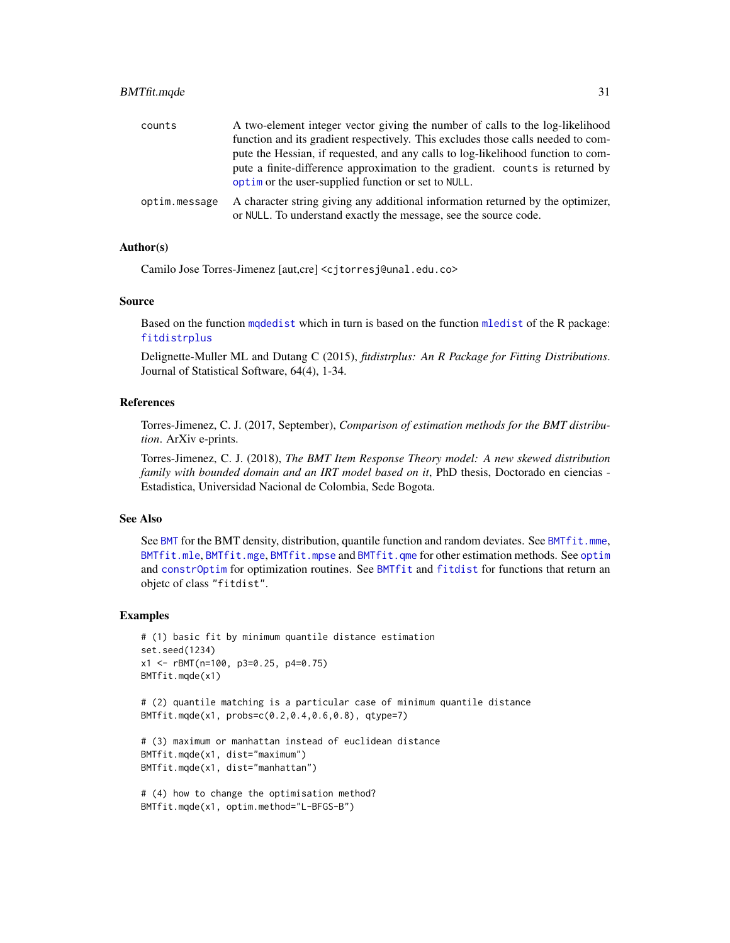# <span id="page-30-0"></span>BMTfit.mqde 31

| counts        | A two-element integer vector giving the number of calls to the log-likelihood                                                                       |
|---------------|-----------------------------------------------------------------------------------------------------------------------------------------------------|
|               | function and its gradient respectively. This excludes those calls needed to com-                                                                    |
|               | pute the Hessian, if requested, and any calls to log-likelihood function to com-                                                                    |
|               | pute a finite-difference approximation to the gradient. counts is returned by<br>optim or the user-supplied function or set to NULL.                |
| optim.message | A character string giving any additional information returned by the optimizer,<br>or NULL. To understand exactly the message, see the source code. |

# Author(s)

Camilo Jose Torres-Jimenez [aut,cre] <cjtorresj@unal.edu.co>

# Source

Based on the function [mqdedist](#page-43-1) which in turn is based on the function [mledist](#page-0-0) of the R package: [fitdistrplus](#page-0-0)

Delignette-Muller ML and Dutang C (2015), *fitdistrplus: An R Package for Fitting Distributions*. Journal of Statistical Software, 64(4), 1-34.

# References

Torres-Jimenez, C. J. (2017, September), *Comparison of estimation methods for the BMT distribution*. ArXiv e-prints.

Torres-Jimenez, C. J. (2018), *The BMT Item Response Theory model: A new skewed distribution family with bounded domain and an IRT model based on it*, PhD thesis, Doctorado en ciencias - Estadistica, Universidad Nacional de Colombia, Sede Bogota.

# See Also

See [BMT](#page-1-2) for the BMT density, distribution, quantile function and random deviates. See [BMTfit.mme](#page-22-1), [BMTfit.mle](#page-20-1), [BMTfit.mge](#page-17-1), [BMTfit.mpse](#page-25-1) and [BMTfit.qme](#page-31-1) for other estimation methods. See [optim](#page-0-0) and [constrOptim](#page-0-0) for optimization routines. See [BMTfit](#page-13-1) and [fitdist](#page-0-0) for functions that return an objetc of class "fitdist".

```
# (1) basic fit by minimum quantile distance estimation
set.seed(1234)
x1 <- rBMT(n=100, p3=0.25, p4=0.75)
BMTfit.mqde(x1)
```

```
# (2) quantile matching is a particular case of minimum quantile distance
BMTfit.mqde(x1, probs=c(0.2,0.4,0.6,0.8), qtype=7)
```

```
# (3) maximum or manhattan instead of euclidean distance
BMTfit.mqde(x1, dist="maximum")
BMTfit.mqde(x1, dist="manhattan")
```

```
# (4) how to change the optimisation method?
BMTfit.mqde(x1, optim.method="L-BFGS-B")
```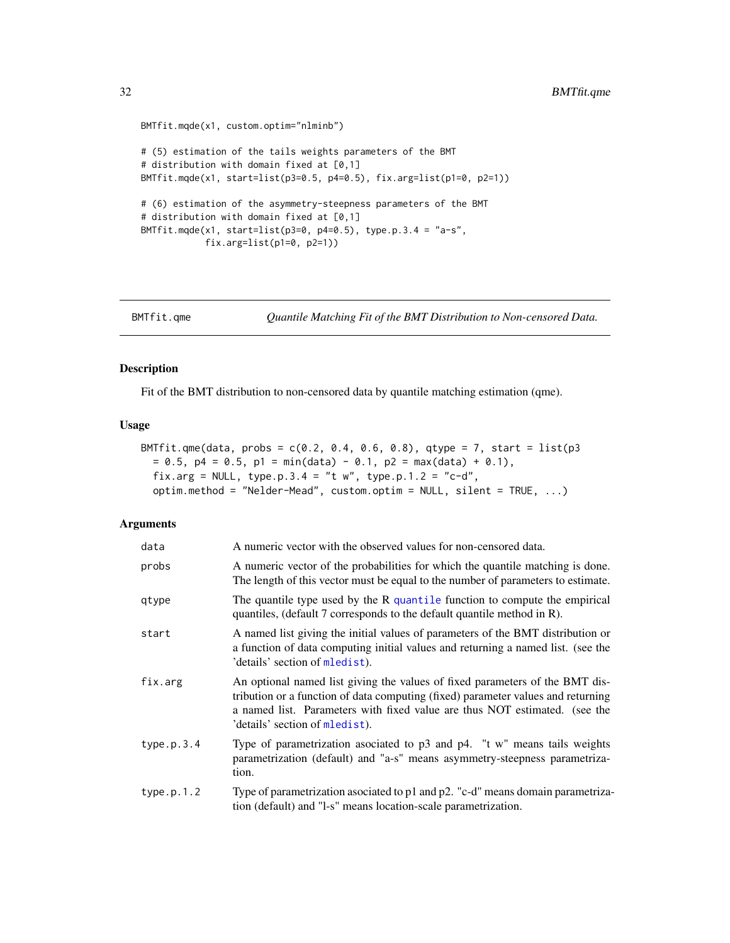```
BMTfit.mqde(x1, custom.optim="nlminb")
# (5) estimation of the tails weights parameters of the BMT
# distribution with domain fixed at [0,1]
BMTfit.mqde(x1, start=list(p3=0.5, p4=0.5), fix.arg=list(p1=0, p2=1))
# (6) estimation of the asymmetry-steepness parameters of the BMT
# distribution with domain fixed at [0,1]
BMTfit.mqde(x1, start=list(p3=0, p4=0.5), type.p.3.4 = "a-s",
            fix.arg=list(p1=0, p2=1))
```
<span id="page-31-1"></span>BMTfit.qme *Quantile Matching Fit of the BMT Distribution to Non-censored Data.*

# Description

Fit of the BMT distribution to non-censored data by quantile matching estimation (qme).

# Usage

```
BMTfit.qme(data, probs = c(0.2, 0.4, 0.6, 0.8), qtype = 7, start = list(p3
 = 0.5, p4 = 0.5, p1 = min(data) - 0.1, p2 = max(data) + 0.1),
  fix.arg = NULL, type.p.3.4 = "t w", type.p.1.2 = "c-d",optim.method = "Nelder-Mead", custom.optim = NULL, silent = TRUE, ...)
```

| data       | A numeric vector with the observed values for non-censored data.                                                                                                                                                                                                                 |
|------------|----------------------------------------------------------------------------------------------------------------------------------------------------------------------------------------------------------------------------------------------------------------------------------|
| probs      | A numeric vector of the probabilities for which the quantile matching is done.<br>The length of this vector must be equal to the number of parameters to estimate.                                                                                                               |
| qtype      | The quantile type used by the $R$ quantile function to compute the empirical<br>quantiles, (default 7 corresponds to the default quantile method in R).                                                                                                                          |
| start      | A named list giving the initial values of parameters of the BMT distribution or<br>a function of data computing initial values and returning a named list. (see the<br>'details' section of mledist).                                                                            |
| fix.arg    | An optional named list giving the values of fixed parameters of the BMT dis-<br>tribution or a function of data computing (fixed) parameter values and returning<br>a named list. Parameters with fixed value are thus NOT estimated. (see the<br>'details' section of mledist). |
| type.p.3.4 | Type of parametrization asociated to p3 and p4. "t w" means tails weights<br>parametrization (default) and "a-s" means asymmetry-steepness parametriza-<br>tion.                                                                                                                 |
| type.p.1.2 | Type of parametrization asociated to p1 and p2. "c-d" means domain parametriza-<br>tion (default) and "l-s" means location-scale parametrization.                                                                                                                                |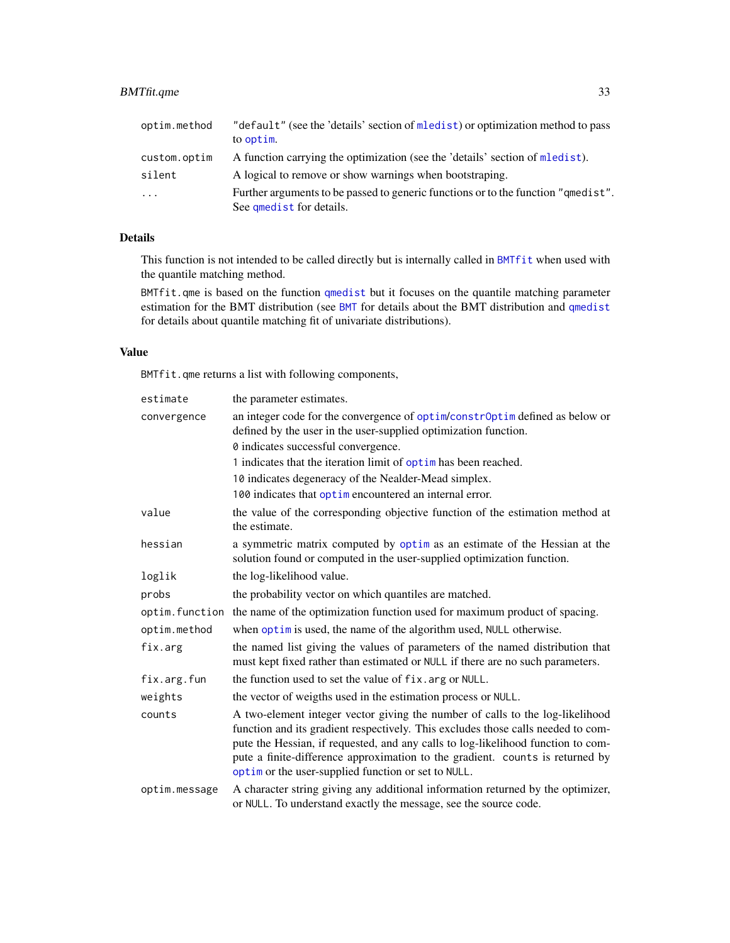<span id="page-32-0"></span>

| optim.method | "default" (see the 'details' section of mledist) or optimization method to pass<br>to optim.                  |
|--------------|---------------------------------------------------------------------------------------------------------------|
| custom.optim | A function carrying the optimization (see the 'details' section of mledist).                                  |
| silent       | A logical to remove or show warnings when bootstraping.                                                       |
| $\cdot$      | Further arguments to be passed to generic functions or to the function "gmedist".<br>See qmedist for details. |

# Details

This function is not intended to be called directly but is internally called in [BMTfit](#page-13-1) when used with the quantile matching method.

BMTfit.qme is based on the function [qmedist](#page-0-0) but it focuses on the quantile matching parameter estimation for the BMT distribution (see [BMT](#page-1-2) for details about the BMT distribution and [qmedist](#page-0-0) for details about quantile matching fit of univariate distributions).

# Value

BMTfit.qme returns a list with following components,

| estimate      | the parameter estimates.                                                                                                                                                                                                                                                                                                                                                                      |
|---------------|-----------------------------------------------------------------------------------------------------------------------------------------------------------------------------------------------------------------------------------------------------------------------------------------------------------------------------------------------------------------------------------------------|
| convergence   | an integer code for the convergence of optim/constrOptim defined as below or<br>defined by the user in the user-supplied optimization function.                                                                                                                                                                                                                                               |
|               | 0 indicates successful convergence.                                                                                                                                                                                                                                                                                                                                                           |
|               | 1 indicates that the iteration limit of optim has been reached.                                                                                                                                                                                                                                                                                                                               |
|               | 10 indicates degeneracy of the Nealder-Mead simplex.                                                                                                                                                                                                                                                                                                                                          |
|               | 100 indicates that optime no countered an internal error.                                                                                                                                                                                                                                                                                                                                     |
| value         | the value of the corresponding objective function of the estimation method at<br>the estimate.                                                                                                                                                                                                                                                                                                |
| hessian       | a symmetric matrix computed by optim as an estimate of the Hessian at the<br>solution found or computed in the user-supplied optimization function.                                                                                                                                                                                                                                           |
| loglik        | the log-likelihood value.                                                                                                                                                                                                                                                                                                                                                                     |
| probs         | the probability vector on which quantiles are matched.                                                                                                                                                                                                                                                                                                                                        |
|               | optim. function the name of the optimization function used for maximum product of spacing.                                                                                                                                                                                                                                                                                                    |
| optim.method  | when optim is used, the name of the algorithm used, NULL otherwise.                                                                                                                                                                                                                                                                                                                           |
| fix.arg       | the named list giving the values of parameters of the named distribution that<br>must kept fixed rather than estimated or NULL if there are no such parameters.                                                                                                                                                                                                                               |
| fix.arg.fun   | the function used to set the value of fix. arg or NULL.                                                                                                                                                                                                                                                                                                                                       |
| weights       | the vector of weigths used in the estimation process or NULL.                                                                                                                                                                                                                                                                                                                                 |
| counts        | A two-element integer vector giving the number of calls to the log-likelihood<br>function and its gradient respectively. This excludes those calls needed to com-<br>pute the Hessian, if requested, and any calls to log-likelihood function to com-<br>pute a finite-difference approximation to the gradient. counts is returned by<br>optim or the user-supplied function or set to NULL. |
| optim.message | A character string giving any additional information returned by the optimizer,<br>or NULL. To understand exactly the message, see the source code.                                                                                                                                                                                                                                           |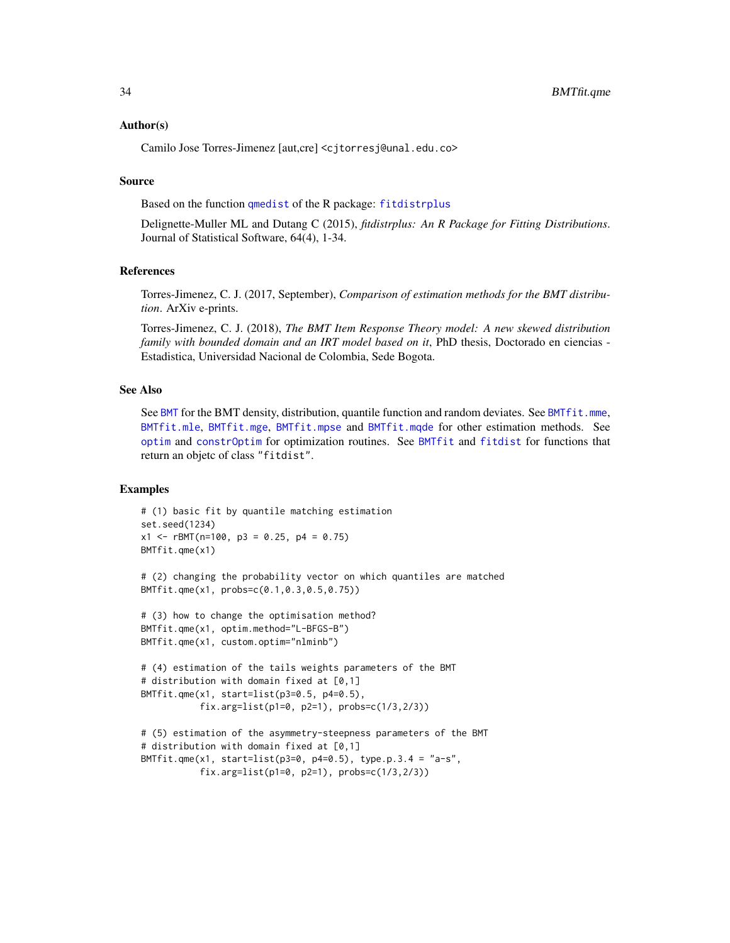# <span id="page-33-0"></span>Author(s)

Camilo Jose Torres-Jimenez [aut,cre] <cjtorresj@unal.edu.co>

#### Source

Based on the function [qmedist](#page-0-0) of the R package: [fitdistrplus](#page-0-0)

Delignette-Muller ML and Dutang C (2015), *fitdistrplus: An R Package for Fitting Distributions*. Journal of Statistical Software, 64(4), 1-34.

# References

Torres-Jimenez, C. J. (2017, September), *Comparison of estimation methods for the BMT distribution*. ArXiv e-prints.

Torres-Jimenez, C. J. (2018), *The BMT Item Response Theory model: A new skewed distribution family with bounded domain and an IRT model based on it*, PhD thesis, Doctorado en ciencias - Estadistica, Universidad Nacional de Colombia, Sede Bogota.

# See Also

See [BMT](#page-1-2) for the BMT density, distribution, quantile function and random deviates. See [BMTfit.mme](#page-22-1), [BMTfit.mle](#page-20-1), [BMTfit.mge](#page-17-1), [BMTfit.mpse](#page-25-1) and [BMTfit.mqde](#page-28-1) for other estimation methods. See [optim](#page-0-0) and [constrOptim](#page-0-0) for optimization routines. See [BMTfit](#page-13-1) and [fitdist](#page-0-0) for functions that return an objetc of class "fitdist".

```
# (1) basic fit by quantile matching estimation
set.seed(1234)
x1 \leq -rBMT(n=100, p3 = 0.25, p4 = 0.75)
BMTfit.qme(x1)
# (2) changing the probability vector on which quantiles are matched
BMTfit.qme(x1, probs=c(0.1,0.3,0.5,0.75))
# (3) how to change the optimisation method?
BMTfit.qme(x1, optim.method="L-BFGS-B")
BMTfit.qme(x1, custom.optim="nlminb")
# (4) estimation of the tails weights parameters of the BMT
# distribution with domain fixed at [0,1]
BMTfit.qme(x1, start=list(p3=0.5, p4=0.5),
           fix.arg=list(p1=0, p2=1), probs=c(1/3,2/3))
# (5) estimation of the asymmetry-steepness parameters of the BMT
# distribution with domain fixed at [0,1]
BMTfit.qme(x1, start=list(p3=0, p4=0.5), type.p.3.4 = "a-s",
           fix.arg=list(p1=0, p2=1), probs=c(1/3,2/3))
```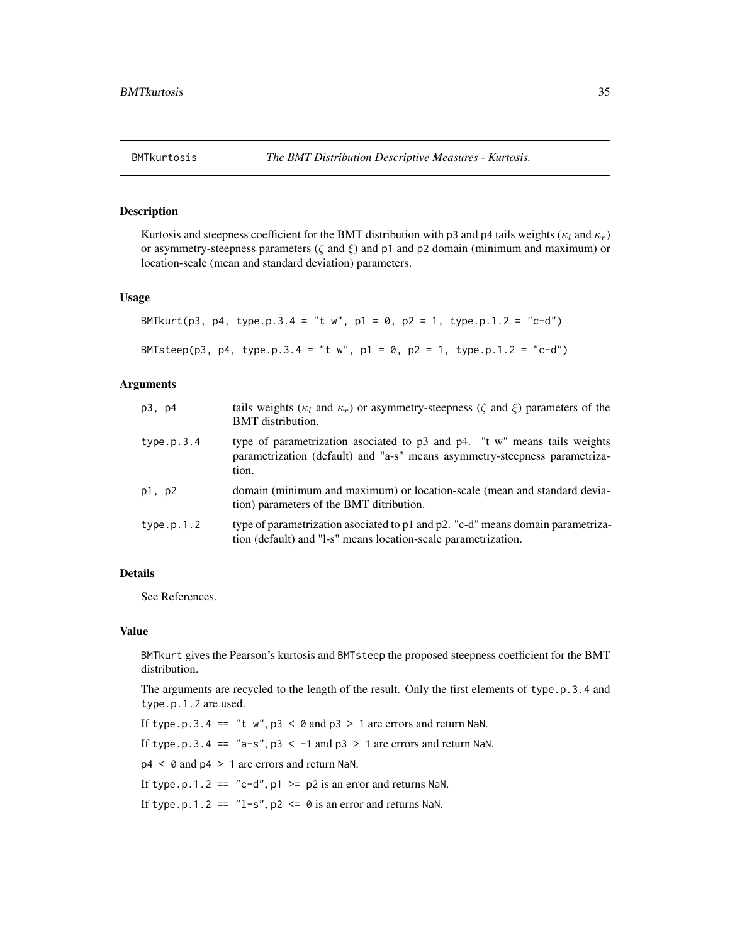# <span id="page-34-1"></span><span id="page-34-0"></span>Description

Kurtosis and steepness coefficient for the BMT distribution with p3 and p4 tails weights ( $\kappa_l$  and  $\kappa_r$ ) or asymmetry-steepness parameters ( $\zeta$  and  $\xi$ ) and p1 and p2 domain (minimum and maximum) or location-scale (mean and standard deviation) parameters.

#### Usage

```
BMTkurt(p3, p4, type.p.3.4 = "t w", p1 = 0, p2 = 1, type.p.1.2 = "c-d")
BMTsteep(p3, p4, type.p.3.4 = "t w", p1 = 0, p2 = 1, type.p.1.2 = "c-d")
```
# Arguments

| p3, p4     | tails weights ( $\kappa_l$ and $\kappa_r$ ) or asymmetry-steepness ( $\zeta$ and $\xi$ ) parameters of the<br><b>BMT</b> distribution.                           |
|------------|------------------------------------------------------------------------------------------------------------------------------------------------------------------|
| type.p.3.4 | type of parametrization asociated to p3 and p4. "t w" means tails weights<br>parametrization (default) and "a-s" means asymmetry-steepness parametriza-<br>tion. |
| p1, p2     | domain (minimum and maximum) or location-scale (mean and standard devia-<br>tion) parameters of the BMT ditribution.                                             |
| type.p.1.2 | type of parametrization asociated to p1 and p2. "c-d" means domain parametriza-<br>tion (default) and "l-s" means location-scale parametrization.                |

# Details

See References.

#### Value

BMTkurt gives the Pearson's kurtosis and BMTsteep the proposed steepness coefficient for the BMT distribution.

The arguments are recycled to the length of the result. Only the first elements of type.p.3.4 and type.p.1.2 are used.

If type.p.3.4 == "t  $w$ ",  $p3 < 0$  and  $p3 > 1$  are errors and return NaN.

If type.p.3.4 ==  $"a-s", p3 < -1$  and  $p3 > 1$  are errors and return NaN.

p4 < 0 and p4 > 1 are errors and return NaN.

If type.p.1.2 == "c-d",  $p1 \geq p2$  is an error and returns NaN.

If type.p.1.2 ==  $"l-s"$ , p2 <= 0 is an error and returns NaN.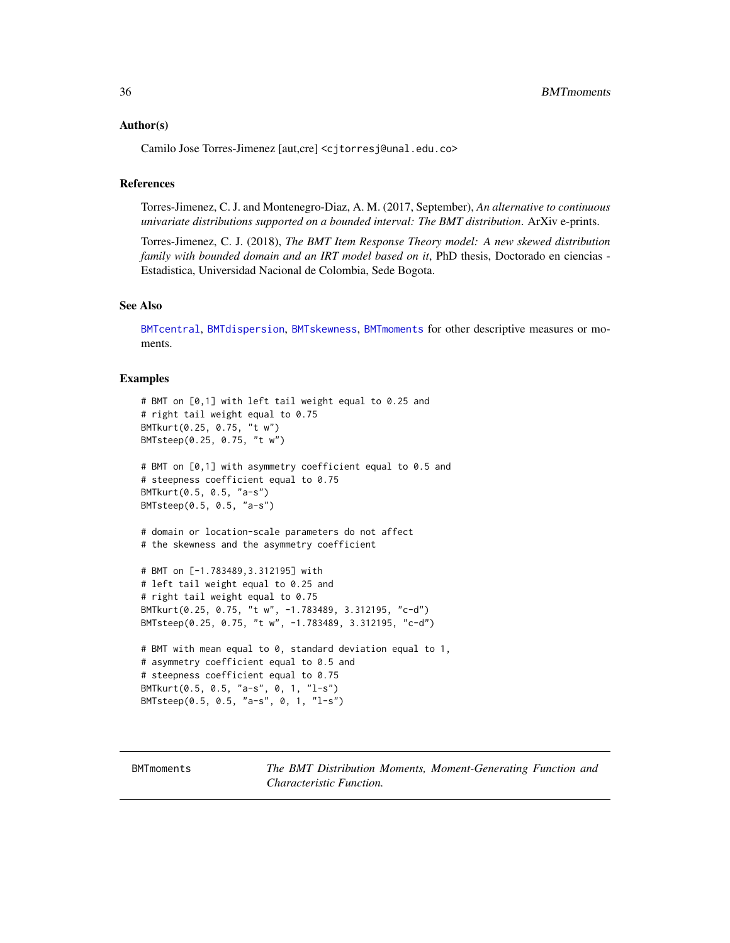#### <span id="page-35-0"></span>Author(s)

Camilo Jose Torres-Jimenez [aut,cre] <cjtorresj@unal.edu.co>

# References

Torres-Jimenez, C. J. and Montenegro-Diaz, A. M. (2017, September), *An alternative to continuous univariate distributions supported on a bounded interval: The BMT distribution*. ArXiv e-prints.

Torres-Jimenez, C. J. (2018), *The BMT Item Response Theory model: A new skewed distribution family with bounded domain and an IRT model based on it*, PhD thesis, Doctorado en ciencias - Estadistica, Universidad Nacional de Colombia, Sede Bogota.

# See Also

[BMTcentral](#page-7-1), [BMTdispersion](#page-11-1), [BMTskewness](#page-38-1), [BMTmoments](#page-35-1) for other descriptive measures or moments.

# Examples

```
# BMT on [0,1] with left tail weight equal to 0.25 and
# right tail weight equal to 0.75
BMTkurt(0.25, 0.75, "t w")
BMTsteep(0.25, 0.75, "t w")
# BMT on [0,1] with asymmetry coefficient equal to 0.5 and
# steepness coefficient equal to 0.75
BMTkurt(0.5, 0.5, "a-s")
BMTsteep(0.5, 0.5, "a-s")
# domain or location-scale parameters do not affect
# the skewness and the asymmetry coefficient
# BMT on [-1.783489,3.312195] with
# left tail weight equal to 0.25 and
# right tail weight equal to 0.75
BMTkurt(0.25, 0.75, "t w", -1.783489, 3.312195, "c-d")
BMTsteep(0.25, 0.75, "t w", -1.783489, 3.312195, "c-d")
# BMT with mean equal to 0, standard deviation equal to 1,
# asymmetry coefficient equal to 0.5 and
# steepness coefficient equal to 0.75
BMTkurt(0.5, 0.5, "a-s", 0, 1, "l-s")
BMTsteep(0.5, 0.5, "a-s", 0, 1, "l-s")
```
<span id="page-35-1"></span>BMTmoments *The BMT Distribution Moments, Moment-Generating Function and Characteristic Function.*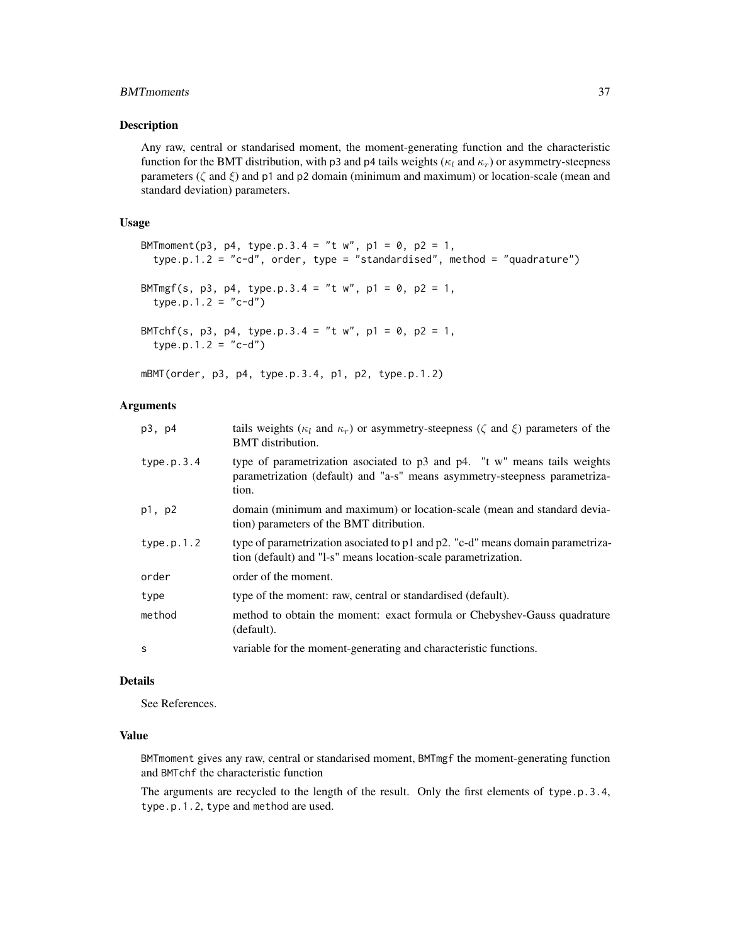# BMTmoments 37

#### Description

Any raw, central or standarised moment, the moment-generating function and the characteristic function for the BMT distribution, with p3 and p4 tails weights ( $\kappa_l$  and  $\kappa_r$ ) or asymmetry-steepness parameters ( $\zeta$  and  $\xi$ ) and  $p1$  and p2 domain (minimum and maximum) or location-scale (mean and standard deviation) parameters.

#### Usage

```
BMTmoment(p3, p4, type.p.3.4 = "t w", p1 = 0, p2 = 1,
  type.p.1.2 = "c-d", order, type = "standardised", method = "quadrature")
BMTmgf(s, p3, p4, type.p.3.4 = "t w", p1 = 0, p2 = 1,
 type.p.1.2 = "c-d")BMTchf(s, p3, p4, type.p.3.4 = "t w", p1 = 0, p2 = 1,
 type.p.1.2 = "c-d")
```
mBMT(order, p3, p4, type.p.3.4, p1, p2, type.p.1.2)

# Arguments

| p3, p4     | tails weights ( $\kappa_l$ and $\kappa_r$ ) or asymmetry-steepness ( $\zeta$ and $\xi$ ) parameters of the<br><b>BMT</b> distribution.                                |
|------------|-----------------------------------------------------------------------------------------------------------------------------------------------------------------------|
| type.p.3.4 | type of parametrization asociated to $p3$ and $p4$ . "t w" means tails weights<br>parametrization (default) and "a-s" means asymmetry-steepness parametriza-<br>tion. |
| p1, p2     | domain (minimum and maximum) or location-scale (mean and standard devia-<br>tion) parameters of the BMT ditribution.                                                  |
| type.p.1.2 | type of parametrization asociated to p1 and p2. "c-d" means domain parametriza-<br>tion (default) and "1-s" means location-scale parametrization.                     |
| order      | order of the moment.                                                                                                                                                  |
| type       | type of the moment: raw, central or standardised (default).                                                                                                           |
| method     | method to obtain the moment: exact formula or Chebyshev-Gauss quadrature<br>(default).                                                                                |
| S          | variable for the moment-generating and characteristic functions.                                                                                                      |

# Details

See References.

# Value

BMTmoment gives any raw, central or standarised moment, BMTmgf the moment-generating function and BMTchf the characteristic function

The arguments are recycled to the length of the result. Only the first elements of type.p.3.4, type.p.1.2, type and method are used.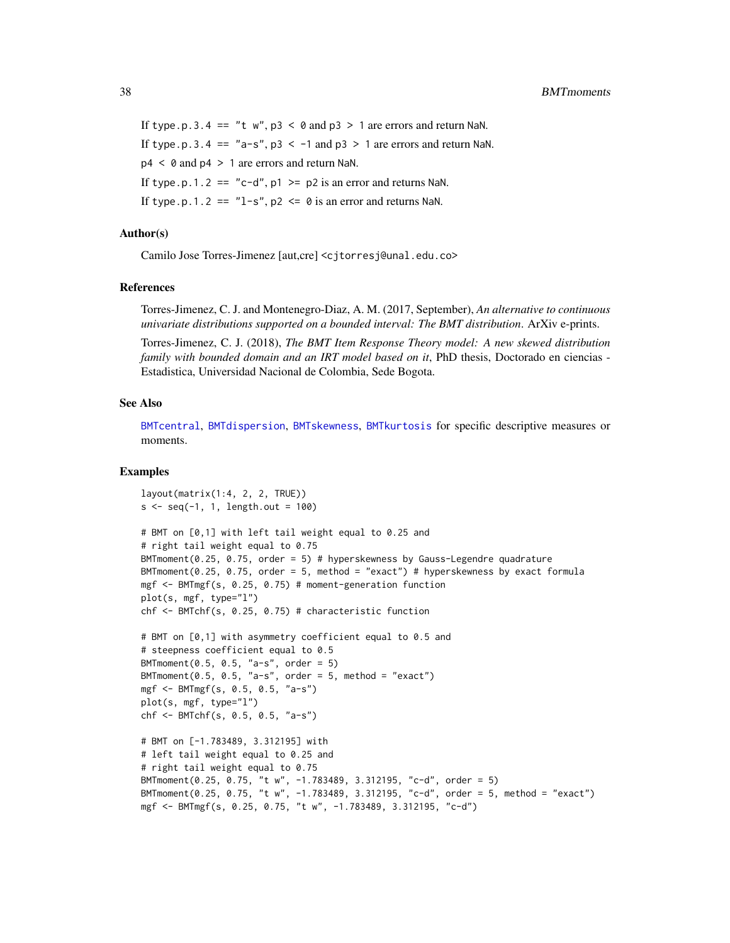<span id="page-37-0"></span>If type.p.3.4 == "t w",  $p3 < \theta$  and  $p3 > 1$  are errors and return NaN. If type.p.3.4 ==  $"a-s", p3 < -1$  and  $p3 > 1$  are errors and return NaN.  $p4 < \theta$  and  $p4 > 1$  are errors and return NaN. If type.p.1.2 == "c-d",  $p1 \geq p2$  is an error and returns NaN. If type.p.1.2 ==  $"l-s", p2 \le \theta$  is an error and returns NaN.

# Author(s)

Camilo Jose Torres-Jimenez [aut,cre] <cjtorresj@unal.edu.co>

# References

Torres-Jimenez, C. J. and Montenegro-Diaz, A. M. (2017, September), *An alternative to continuous univariate distributions supported on a bounded interval: The BMT distribution*. ArXiv e-prints.

Torres-Jimenez, C. J. (2018), *The BMT Item Response Theory model: A new skewed distribution family with bounded domain and an IRT model based on it*, PhD thesis, Doctorado en ciencias - Estadistica, Universidad Nacional de Colombia, Sede Bogota.

# See Also

[BMTcentral](#page-7-1), [BMTdispersion](#page-11-1), [BMTskewness](#page-38-1), [BMTkurtosis](#page-34-1) for specific descriptive measures or moments.

```
layout(matrix(1:4, 2, 2, TRUE))
s \leq -\text{seq}(-1, 1, \text{length.out} = 100)# BMT on [0,1] with left tail weight equal to 0.25 and
# right tail weight equal to 0.75
BMTmoment(0.25, 0.75, order = 5) # hyperskewness by Gauss-Legendre quadrature
BMToment(0.25, 0.75, order = 5, method = "exact") # hyperskewness by exact formulamgf <- BMTmgf(s, 0.25, 0.75) # moment-generation function
plot(s, mgf, type="l")
chf <- BMTchf(s, 0.25, 0.75) # characteristic function
# BMT on [0,1] with asymmetry coefficient equal to 0.5 and
# steepness coefficient equal to 0.5
BMTmoment(0.5, 0.5, 'a-s'', order = 5)
BMTmoment(0.5, 0.5, "a-s", order = 5, method = "exact")
mgf <- BMTmgf(s, 0.5, 0.5, "a-s")
plot(s, mgf, type="l")
chf <- BMTchf(s, 0.5, 0.5, "a-s")
# BMT on [-1.783489, 3.312195] with
# left tail weight equal to 0.25 and
# right tail weight equal to 0.75
BMTmoment(0.25, 0.75, "t w", -1.783489, 3.312195, "c-d", order = 5)
BMTmoment(0.25, 0.75, "t w", -1.783489, 3.312195, "c-d", order = 5, method = "exact")
mgf <- BMTmgf(s, 0.25, 0.75, "t w", -1.783489, 3.312195, "c-d")
```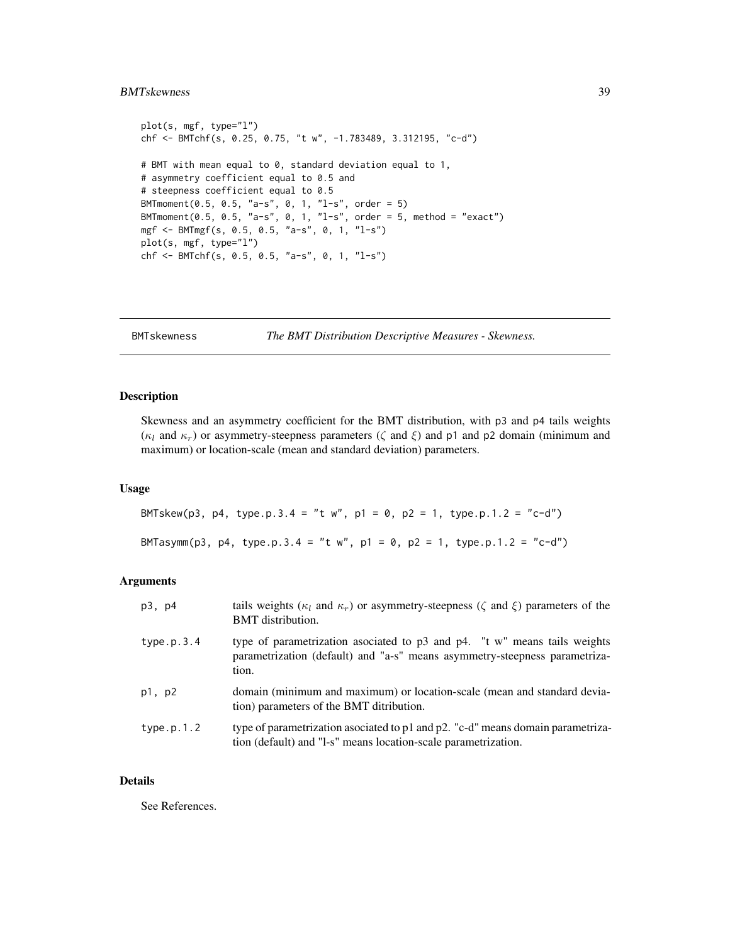# <span id="page-38-0"></span>BMTskewness 39

```
plot(s, mgf, type="l")
chf <- BMTchf(s, 0.25, 0.75, "t w", -1.783489, 3.312195, "c-d")
# BMT with mean equal to 0, standard deviation equal to 1,
# asymmetry coefficient equal to 0.5 and
# steepness coefficient equal to 0.5
BMTmoment(0.5, 0.5, "a-s", 0, 1, "l-s", order = 5)
BMTmoment(0.5, 0.5, "a-s", 0, 1, "l-s", order = 5, method = "exact")
mgf <- BMTmgf(s, 0.5, 0.5, "a-s", 0, 1, "l-s")
plot(s, mgf, type="l")
chf <- BMTchf(s, 0.5, 0.5, "a-s", 0, 1, "l-s")
```
<span id="page-38-1"></span>BMTskewness *The BMT Distribution Descriptive Measures - Skewness.*

# Description

Skewness and an asymmetry coefficient for the BMT distribution, with p3 and p4 tails weights ( $\kappa_l$  and  $\kappa_r$ ) or asymmetry-steepness parameters ( $\zeta$  and  $\xi$ ) and p1 and p2 domain (minimum and maximum) or location-scale (mean and standard deviation) parameters.

# Usage

BMTskew(p3, p4, type.p.3.4 = "t w", p1 = 0, p2 = 1, type.p.1.2 = "c-d") BMTasymm(p3, p4, type.p.3.4 = "t w", p1 = 0, p2 = 1, type.p.1.2 = "c-d")

# Arguments

| p3, p4     | tails weights ( $\kappa_l$ and $\kappa_r$ ) or asymmetry-steepness ( $\zeta$ and $\xi$ ) parameters of the<br><b>BMT</b> distribution.                           |
|------------|------------------------------------------------------------------------------------------------------------------------------------------------------------------|
| type.p.3.4 | type of parametrization asociated to p3 and p4. "t w" means tails weights<br>parametrization (default) and "a-s" means asymmetry-steepness parametriza-<br>tion. |
| p1, p2     | domain (minimum and maximum) or location-scale (mean and standard devia-<br>tion) parameters of the BMT ditribution.                                             |
| type.p.1.2 | type of parametrization asociated to p1 and p2. "c-d" means domain parametriza-<br>tion (default) and "1-s" means location-scale parametrization.                |

# Details

See References.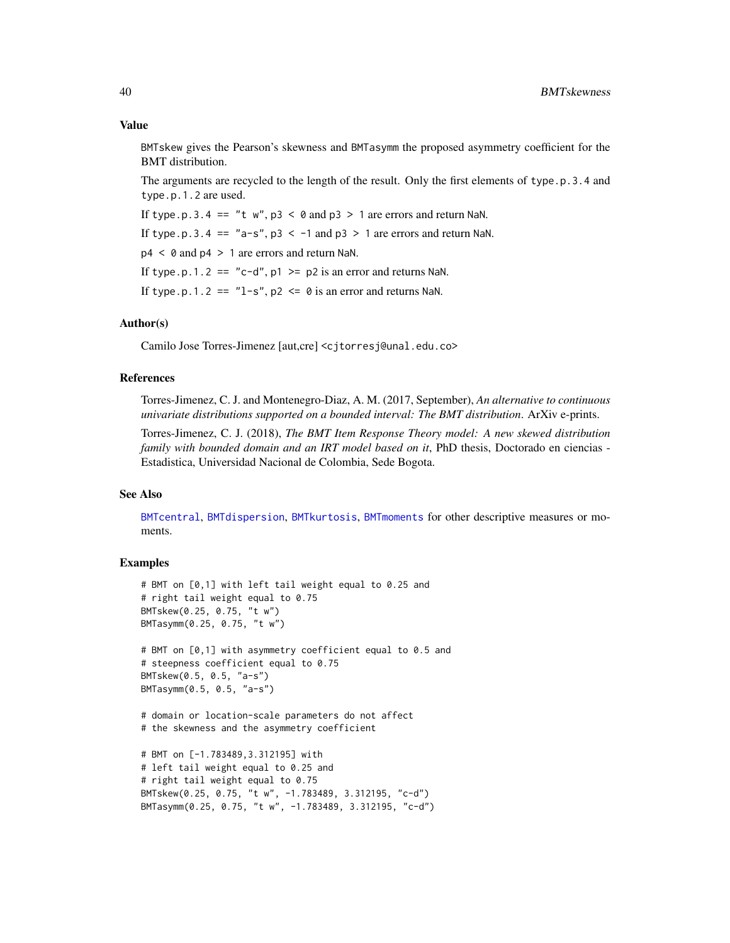# <span id="page-39-0"></span>Value

BMTskew gives the Pearson's skewness and BMTasymm the proposed asymmetry coefficient for the BMT distribution.

The arguments are recycled to the length of the result. Only the first elements of type.p.3.4 and type.p.1.2 are used.

If type.p.3.4 == "t  $w$ ", p3 < 0 and p3 > 1 are errors and return NaN.

If type.p.3.4 ==  $"a-s", p3 < -1$  and  $p3 > 1$  are errors and return NaN.

 $p4 < 0$  and  $p4 > 1$  are errors and return NaN.

If type.p.1.2 ==  $"c-d", p1 \geq p2$  is an error and returns NaN.

If type.p.1.2 ==  $"l-s"$ , p2  $\leq \theta$  is an error and returns NaN.

#### Author(s)

Camilo Jose Torres-Jimenez [aut,cre] <cjtorresj@unal.edu.co>

#### References

Torres-Jimenez, C. J. and Montenegro-Diaz, A. M. (2017, September), *An alternative to continuous univariate distributions supported on a bounded interval: The BMT distribution*. ArXiv e-prints.

Torres-Jimenez, C. J. (2018), *The BMT Item Response Theory model: A new skewed distribution family with bounded domain and an IRT model based on it*, PhD thesis, Doctorado en ciencias - Estadistica, Universidad Nacional de Colombia, Sede Bogota.

# See Also

[BMTcentral](#page-7-1), [BMTdispersion](#page-11-1), [BMTkurtosis](#page-34-1), [BMTmoments](#page-35-1) for other descriptive measures or moments.

# **Examples**

```
# BMT on [0,1] with left tail weight equal to 0.25 and
# right tail weight equal to 0.75
BMTskew(0.25, 0.75, "t w")
BMTasymm(0.25, 0.75, "t w")
# BMT on [0,1] with asymmetry coefficient equal to 0.5 and
# steepness coefficient equal to 0.75
BMTskew(0.5, 0.5, "a-s")
BMTasymm(0.5, 0.5, "a-s")
# domain or location-scale parameters do not affect
# the skewness and the asymmetry coefficient
# BMT on [-1.783489,3.312195] with
# left tail weight equal to 0.25 and
# right tail weight equal to 0.75
BMTskew(0.25, 0.75, "t w", -1.783489, 3.312195, "c-d")
```
BMTasymm(0.25, 0.75, "t w", -1.783489, 3.312195, "c-d")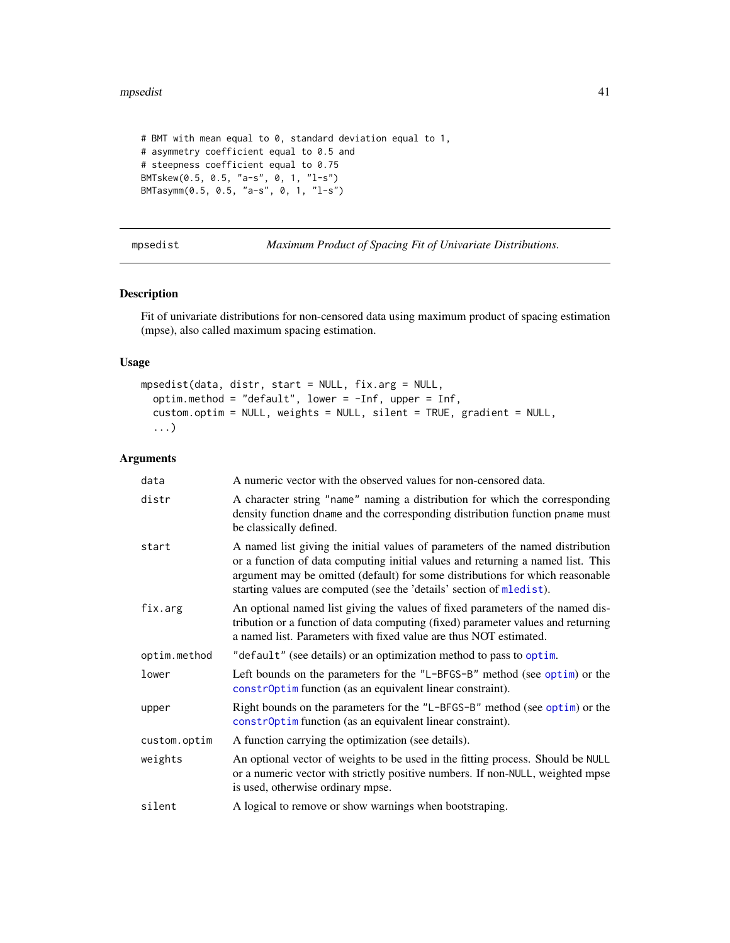#### <span id="page-40-0"></span>mpsedist the contract of the contract of the contract of the contract of the contract of the contract of the contract of the contract of the contract of the contract of the contract of the contract of the contract of the c

```
# BMT with mean equal to 0, standard deviation equal to 1,
# asymmetry coefficient equal to 0.5 and
# steepness coefficient equal to 0.75
BMTskew(0.5, 0.5, "a-s", 0, 1, "l-s")
BMTasymm(0.5, 0.5, "a-s", 0, 1, "l-s")
```
<span id="page-40-1"></span>mpsedist *Maximum Product of Spacing Fit of Univariate Distributions.*

# Description

Fit of univariate distributions for non-censored data using maximum product of spacing estimation (mpse), also called maximum spacing estimation.

# Usage

```
mpsedist(data, distr, start = NULL, fix.arg = NULL,
  optim.method = "default", lower = -Inf, upper = Inf,
  custom.optim = NULL, weights = NULL, silent = TRUE, gradient = NULL,
  ...)
```

| data         | A numeric vector with the observed values for non-censored data.                                                                                                                                                                                                                                                           |
|--------------|----------------------------------------------------------------------------------------------------------------------------------------------------------------------------------------------------------------------------------------------------------------------------------------------------------------------------|
| distr        | A character string "name" naming a distribution for which the corresponding<br>density function dname and the corresponding distribution function pname must<br>be classically defined.                                                                                                                                    |
| start        | A named list giving the initial values of parameters of the named distribution<br>or a function of data computing initial values and returning a named list. This<br>argument may be omitted (default) for some distributions for which reasonable<br>starting values are computed (see the 'details' section of mledist). |
| fix.arg      | An optional named list giving the values of fixed parameters of the named dis-<br>tribution or a function of data computing (fixed) parameter values and returning<br>a named list. Parameters with fixed value are thus NOT estimated.                                                                                    |
| optim.method | "default" (see details) or an optimization method to pass to optim.                                                                                                                                                                                                                                                        |
| lower        | Left bounds on the parameters for the "L-BFGS-B" method (see optim) or the<br>constr0ptim function (as an equivalent linear constraint).                                                                                                                                                                                   |
| upper        | Right bounds on the parameters for the "L-BFGS-B" method (see optim) or the<br>constr0ptim function (as an equivalent linear constraint).                                                                                                                                                                                  |
| custom.optim | A function carrying the optimization (see details).                                                                                                                                                                                                                                                                        |
| weights      | An optional vector of weights to be used in the fitting process. Should be NULL<br>or a numeric vector with strictly positive numbers. If non-NULL, weighted mpse<br>is used, otherwise ordinary mpse.                                                                                                                     |
| silent       | A logical to remove or show warnings when bootstraping.                                                                                                                                                                                                                                                                    |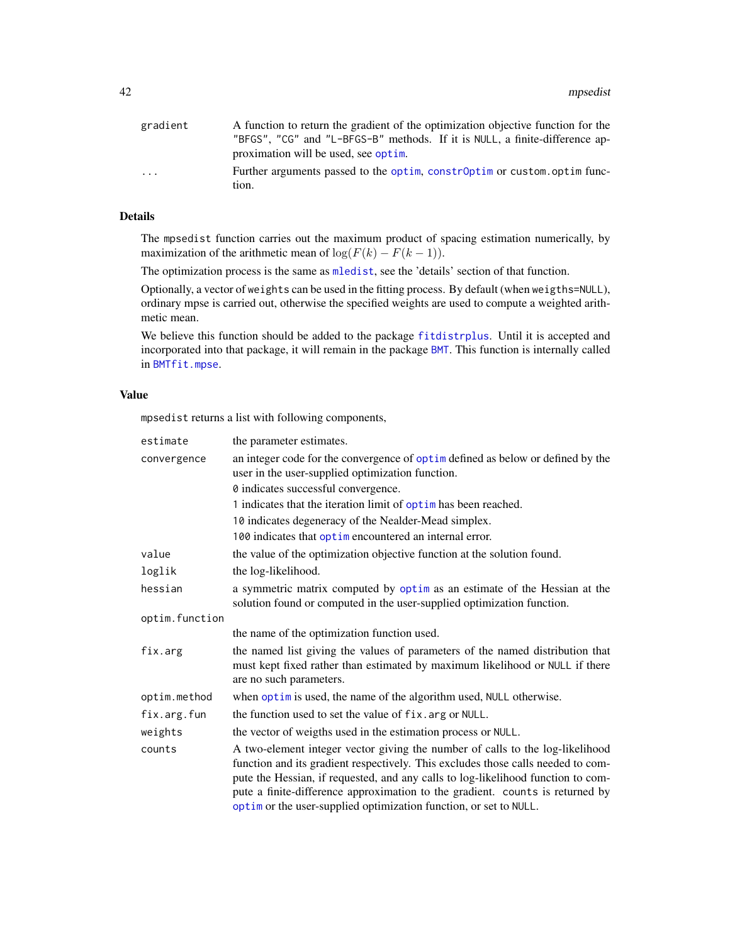<span id="page-41-0"></span>

| gradient | A function to return the gradient of the optimization objective function for the |
|----------|----------------------------------------------------------------------------------|
|          | "BFGS", "CG" and "L-BFGS-B" methods. If it is NULL, a finite-difference ap-      |
|          | proximation will be used, see optim.                                             |
| $\cdot$  | Further arguments passed to the optim, constr0ptim or custom.optim func-         |
|          | tion.                                                                            |

# Details

The mpsedist function carries out the maximum product of spacing estimation numerically, by maximization of the arithmetic mean of  $\log(F(k) - F(k-1))$ .

The optimization process is the same as [mledist](#page-0-0), see the 'details' section of that function.

Optionally, a vector of weights can be used in the fitting process. By default (when weigths=NULL), ordinary mpse is carried out, otherwise the specified weights are used to compute a weighted arithmetic mean.

We believe this function should be added to the package [fitdistrplus](#page-0-0). Until it is accepted and incorporated into that package, it will remain in the package [BMT](#page-1-2). This function is internally called in [BMTfit.mpse](#page-25-1).

# Value

mpsedist returns a list with following components,

| estimate       | the parameter estimates.                                                                                                                                                                                                                                                                                                                                                                                    |
|----------------|-------------------------------------------------------------------------------------------------------------------------------------------------------------------------------------------------------------------------------------------------------------------------------------------------------------------------------------------------------------------------------------------------------------|
| convergence    | an integer code for the convergence of optime defined as below or defined by the<br>user in the user-supplied optimization function.                                                                                                                                                                                                                                                                        |
|                | 0 indicates successful convergence.                                                                                                                                                                                                                                                                                                                                                                         |
|                | 1 indicates that the iteration limit of optim has been reached.                                                                                                                                                                                                                                                                                                                                             |
|                | 10 indicates degeneracy of the Nealder-Mead simplex.                                                                                                                                                                                                                                                                                                                                                        |
|                | 100 indicates that optime no countered an internal error.                                                                                                                                                                                                                                                                                                                                                   |
| value          | the value of the optimization objective function at the solution found.                                                                                                                                                                                                                                                                                                                                     |
| loglik         | the log-likelihood.                                                                                                                                                                                                                                                                                                                                                                                         |
| hessian        | a symmetric matrix computed by optim as an estimate of the Hessian at the<br>solution found or computed in the user-supplied optimization function.                                                                                                                                                                                                                                                         |
| optim.function |                                                                                                                                                                                                                                                                                                                                                                                                             |
|                | the name of the optimization function used.                                                                                                                                                                                                                                                                                                                                                                 |
| fix.arg        | the named list giving the values of parameters of the named distribution that<br>must kept fixed rather than estimated by maximum likelihood or NULL if there<br>are no such parameters.                                                                                                                                                                                                                    |
| optim.method   | when optim is used, the name of the algorithm used, NULL otherwise.                                                                                                                                                                                                                                                                                                                                         |
| fix.arg.fun    | the function used to set the value of fix. arg or NULL.                                                                                                                                                                                                                                                                                                                                                     |
| weights        | the vector of weigths used in the estimation process or NULL.                                                                                                                                                                                                                                                                                                                                               |
| counts         | A two-element integer vector giving the number of calls to the log-likelihood<br>function and its gradient respectively. This excludes those calls needed to com-<br>pute the Hessian, if requested, and any calls to log-likelihood function to com-<br>pute a finite-difference approximation to the gradient. counts is returned by<br>optim or the user-supplied optimization function, or set to NULL. |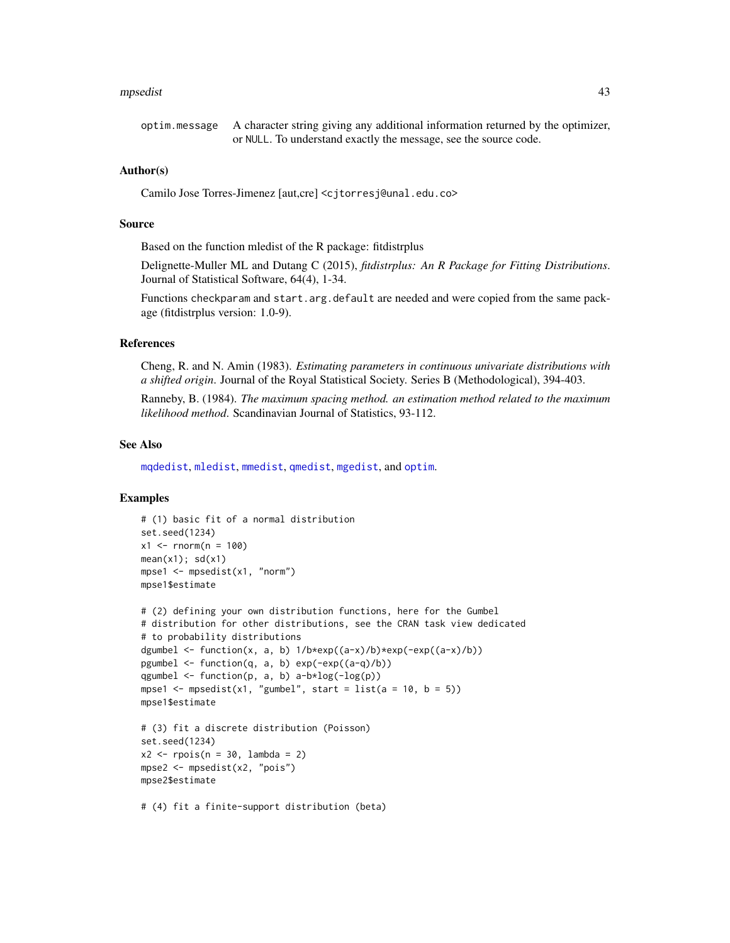#### <span id="page-42-0"></span>mpsedist 43

# Author(s)

Camilo Jose Torres-Jimenez [aut,cre] <cjtorresj@unal.edu.co>

# Source

Based on the function mledist of the R package: fitdistrplus

Delignette-Muller ML and Dutang C (2015), *fitdistrplus: An R Package for Fitting Distributions*. Journal of Statistical Software, 64(4), 1-34.

Functions checkparam and start.arg.default are needed and were copied from the same package (fitdistrplus version: 1.0-9).

# References

Cheng, R. and N. Amin (1983). *Estimating parameters in continuous univariate distributions with a shifted origin*. Journal of the Royal Statistical Society. Series B (Methodological), 394-403.

Ranneby, B. (1984). *The maximum spacing method. an estimation method related to the maximum likelihood method*. Scandinavian Journal of Statistics, 93-112.

# See Also

[mqdedist](#page-43-1), [mledist](#page-0-0), [mmedist](#page-0-0), [qmedist](#page-0-0), [mgedist](#page-0-0), and [optim](#page-0-0).

```
# (1) basic fit of a normal distribution
set.seed(1234)
x1 <- rnorm(n = 100)
mean(x1); sd(x1)mpse1 <- mpsedist(x1, "norm")
mpse1$estimate
```

```
# (2) defining your own distribution functions, here for the Gumbel
# distribution for other distributions, see the CRAN task view dedicated
# to probability distributions
dgumbel \le function(x, a, b) 1/b*exp((a-x)/b)*exp(-exp((a-x)/b))
pgumbel \le function(q, a, b) exp(-exp((a-q)/b))
qgumbel \leq function(p, a, b) a-b*log(-log(p))
mpse1 <- mpsedist(x1, "gumbel", start = list(a = 10, b = 5))
mpse1$estimate
# (3) fit a discrete distribution (Poisson)
set.seed(1234)
x2 \leq - \text{rpois}(n = 30, \text{ lambda} = 2)mpse2 <- mpsedist(x2, "pois")
mpse2$estimate
# (4) fit a finite-support distribution (beta)
```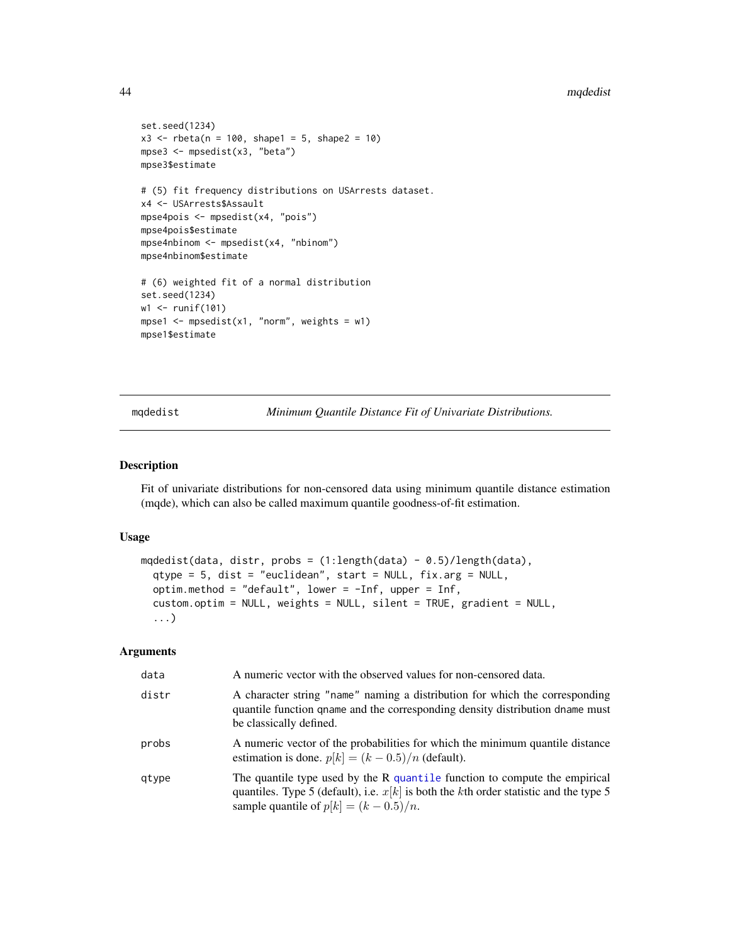#### 44 mqdedist ng mga bandhan ng mga bandhan ng mga bandhan ng mga bandhan ng mga bandhan ng mga bandhan ng mga bandhan ng mga bandhan ng mga bandhan ng mga bandhan ng mga bandhan ng mga bandhan ng mga bandhan ng mga bandhan

```
set.seed(1234)
x3 \le - rbeta(n = 100, shape1 = 5, shape2 = 10)
mpse3 <- mpsedist(x3, "beta")
mpse3$estimate
# (5) fit frequency distributions on USArrests dataset.
x4 <- USArrests$Assault
mpse4pois <- mpsedist(x4, "pois")
mpse4pois$estimate
mpse4nbinom <- mpsedist(x4, "nbinom")
mpse4nbinom$estimate
# (6) weighted fit of a normal distribution
set.seed(1234)
w1 <- runif(101)
mpse1 <- mpsedist(x1, "norm", weights = w1)
mpse1$estimate
```
<span id="page-43-1"></span>mqdedist *Minimum Quantile Distance Fit of Univariate Distributions.*

# Description

Fit of univariate distributions for non-censored data using minimum quantile distance estimation (mqde), which can also be called maximum quantile goodness-of-fit estimation.

#### Usage

```
mqdedist(data, distr, probs = (1:length(data) - 0.5)/length(data),
  qtype = 5, dist = "euclidean", start = NULL, fix.arg = NULL,
  optim.method = "default", lower = -Inf, upper = Inf,
  custom.optim = NULL, weights = NULL, silent = TRUE, gradient = NULL,
  ...)
```

| data  | A numeric vector with the observed values for non-censored data.                                                                                                                                                     |
|-------|----------------------------------------------------------------------------------------------------------------------------------------------------------------------------------------------------------------------|
| distr | A character string "name" naming a distribution for which the corresponding<br>quantile function qname and the corresponding density distribution dname must<br>be classically defined.                              |
| probs | A numeric vector of the probabilities for which the minimum quantile distance<br>estimation is done. $p[k] = (k - 0.5)/n$ (default).                                                                                 |
| gtype | The quantile type used by the $R$ quantile function to compute the empirical<br>quantiles. Type 5 (default), i.e. $x[k]$ is both the kth order statistic and the type 5<br>sample quantile of $p[k] = (k - 0.5)/n$ . |

<span id="page-43-0"></span>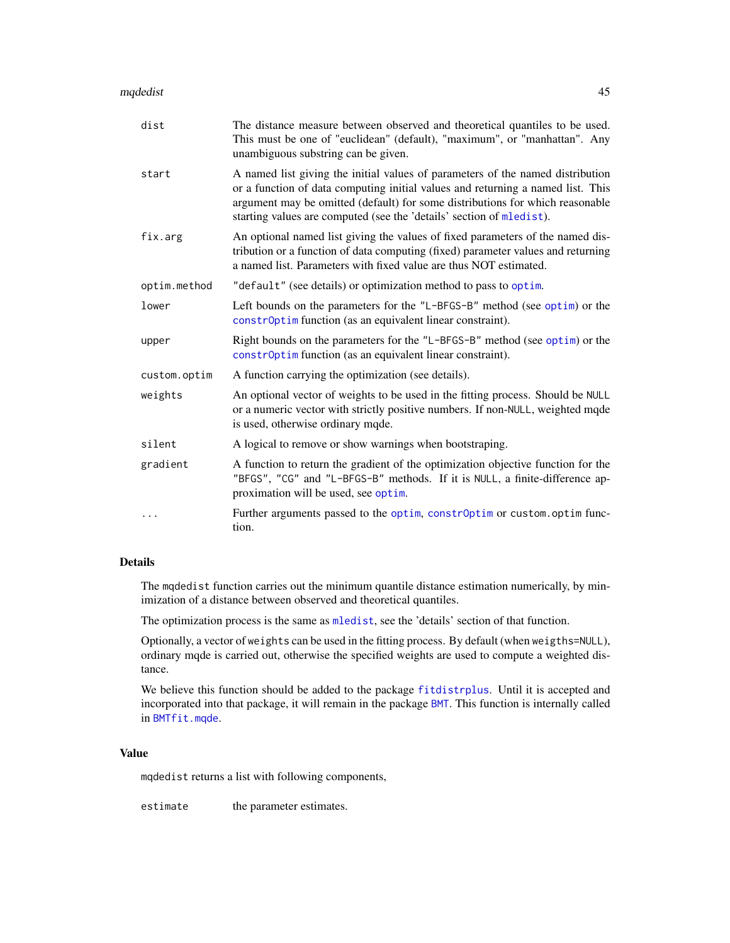#### <span id="page-44-0"></span>mqdedist 45

| dist         | The distance measure between observed and theoretical quantiles to be used.<br>This must be one of "euclidean" (default), "maximum", or "manhattan". Any<br>unambiguous substring can be given.                                                                                                                            |
|--------------|----------------------------------------------------------------------------------------------------------------------------------------------------------------------------------------------------------------------------------------------------------------------------------------------------------------------------|
| start        | A named list giving the initial values of parameters of the named distribution<br>or a function of data computing initial values and returning a named list. This<br>argument may be omitted (default) for some distributions for which reasonable<br>starting values are computed (see the 'details' section of mledist). |
| fix.arg      | An optional named list giving the values of fixed parameters of the named dis-<br>tribution or a function of data computing (fixed) parameter values and returning<br>a named list. Parameters with fixed value are thus NOT estimated.                                                                                    |
| optim.method | "default" (see details) or optimization method to pass to optim.                                                                                                                                                                                                                                                           |
| lower        | Left bounds on the parameters for the "L-BFGS-B" method (see optim) or the<br>constr0ptim function (as an equivalent linear constraint).                                                                                                                                                                                   |
| upper        | Right bounds on the parameters for the "L-BFGS-B" method (see optim) or the<br>constr0ptim function (as an equivalent linear constraint).                                                                                                                                                                                  |
| custom.optim | A function carrying the optimization (see details).                                                                                                                                                                                                                                                                        |
| weights      | An optional vector of weights to be used in the fitting process. Should be NULL<br>or a numeric vector with strictly positive numbers. If non-NULL, weighted mqde<br>is used, otherwise ordinary mqde.                                                                                                                     |
| silent       | A logical to remove or show warnings when bootstraping.                                                                                                                                                                                                                                                                    |
| gradient     | A function to return the gradient of the optimization objective function for the<br>"BFGS", "CG" and "L-BFGS-B" methods. If it is NULL, a finite-difference ap-<br>proximation will be used, see optim.                                                                                                                    |
|              | Further arguments passed to the optim, constr0ptim or custom.optim func-<br>tion.                                                                                                                                                                                                                                          |

# Details

The mqdedist function carries out the minimum quantile distance estimation numerically, by minimization of a distance between observed and theoretical quantiles.

The optimization process is the same as [mledist](#page-0-0), see the 'details' section of that function.

Optionally, a vector of weights can be used in the fitting process. By default (when weigths=NULL), ordinary mqde is carried out, otherwise the specified weights are used to compute a weighted distance.

We believe this function should be added to the package [fitdistrplus](#page-0-0). Until it is accepted and incorporated into that package, it will remain in the package [BMT](#page-1-2). This function is internally called in [BMTfit.mqde](#page-28-1).

# Value

mqdedist returns a list with following components,

estimate the parameter estimates.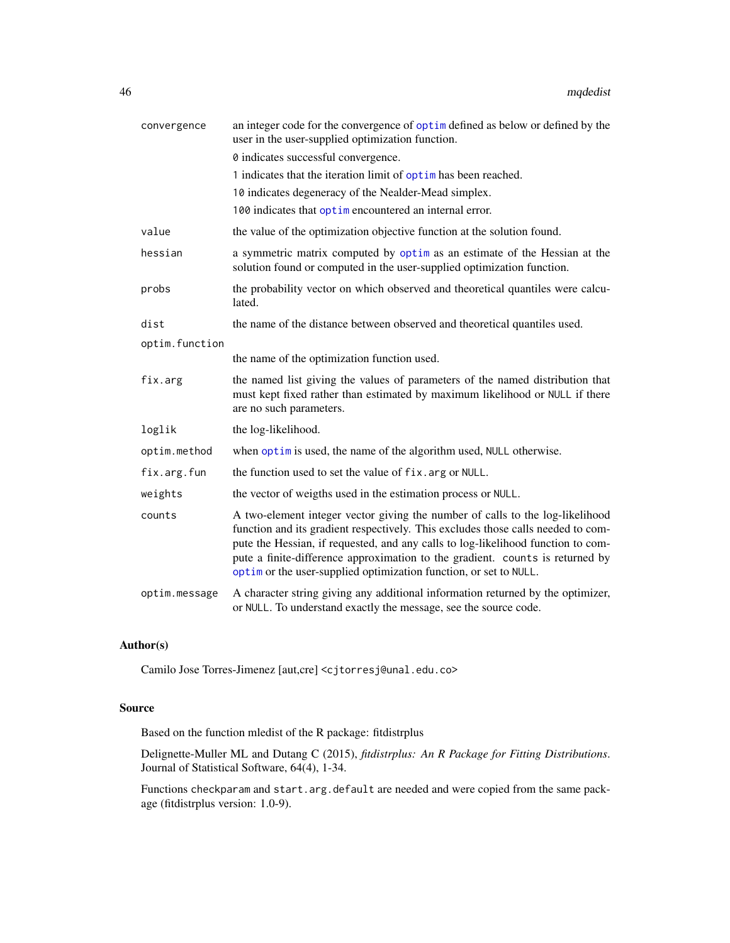| convergence    | an integer code for the convergence of optim defined as below or defined by the<br>user in the user-supplied optimization function.                                                                                                                                                                                                                                                                         |
|----------------|-------------------------------------------------------------------------------------------------------------------------------------------------------------------------------------------------------------------------------------------------------------------------------------------------------------------------------------------------------------------------------------------------------------|
|                | 0 indicates successful convergence.                                                                                                                                                                                                                                                                                                                                                                         |
|                | 1 indicates that the iteration limit of optim has been reached.                                                                                                                                                                                                                                                                                                                                             |
|                | 10 indicates degeneracy of the Nealder-Mead simplex.                                                                                                                                                                                                                                                                                                                                                        |
|                | 100 indicates that optimen countered an internal error.                                                                                                                                                                                                                                                                                                                                                     |
| value          | the value of the optimization objective function at the solution found.                                                                                                                                                                                                                                                                                                                                     |
| hessian        | a symmetric matrix computed by optim as an estimate of the Hessian at the<br>solution found or computed in the user-supplied optimization function.                                                                                                                                                                                                                                                         |
| probs          | the probability vector on which observed and theoretical quantiles were calcu-<br>lated.                                                                                                                                                                                                                                                                                                                    |
| dist           | the name of the distance between observed and theoretical quantiles used.                                                                                                                                                                                                                                                                                                                                   |
| optim.function |                                                                                                                                                                                                                                                                                                                                                                                                             |
|                | the name of the optimization function used.                                                                                                                                                                                                                                                                                                                                                                 |
| fix.arg        | the named list giving the values of parameters of the named distribution that<br>must kept fixed rather than estimated by maximum likelihood or NULL if there<br>are no such parameters.                                                                                                                                                                                                                    |
| loglik         | the log-likelihood.                                                                                                                                                                                                                                                                                                                                                                                         |
| optim.method   | when optim is used, the name of the algorithm used, NULL otherwise.                                                                                                                                                                                                                                                                                                                                         |
| fix.arg.fun    | the function used to set the value of fix. arg or NULL.                                                                                                                                                                                                                                                                                                                                                     |
| weights        | the vector of weigths used in the estimation process or NULL.                                                                                                                                                                                                                                                                                                                                               |
| counts         | A two-element integer vector giving the number of calls to the log-likelihood<br>function and its gradient respectively. This excludes those calls needed to com-<br>pute the Hessian, if requested, and any calls to log-likelihood function to com-<br>pute a finite-difference approximation to the gradient. counts is returned by<br>optim or the user-supplied optimization function, or set to NULL. |
| optim.message  | A character string giving any additional information returned by the optimizer,<br>or NULL. To understand exactly the message, see the source code.                                                                                                                                                                                                                                                         |

# Author(s)

Camilo Jose Torres-Jimenez [aut,cre] <cjtorresj@unal.edu.co>

# Source

Based on the function mledist of the R package: fitdistrplus

Delignette-Muller ML and Dutang C (2015), *fitdistrplus: An R Package for Fitting Distributions*. Journal of Statistical Software, 64(4), 1-34.

Functions checkparam and start.arg.default are needed and were copied from the same package (fitdistrplus version: 1.0-9).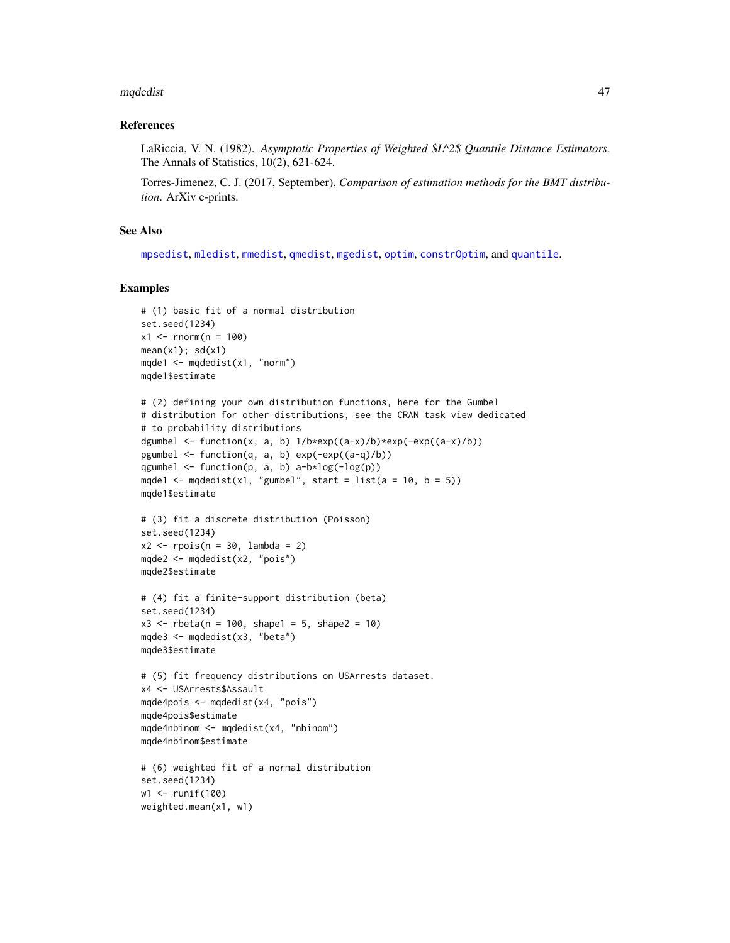#### <span id="page-46-0"></span>mqdedist 47

# References

LaRiccia, V. N. (1982). *Asymptotic Properties of Weighted \$L^2\$ Quantile Distance Estimators*. The Annals of Statistics, 10(2), 621-624.

Torres-Jimenez, C. J. (2017, September), *Comparison of estimation methods for the BMT distribution*. ArXiv e-prints.

# See Also

[mpsedist](#page-40-1), [mledist](#page-0-0), [mmedist](#page-0-0), [qmedist](#page-0-0), [mgedist](#page-0-0), [optim](#page-0-0), [constrOptim](#page-0-0), and [quantile](#page-0-0).

```
# (1) basic fit of a normal distribution
set.seed(1234)
x1 <- rnorm(n = 100)
mean(x1); sd(x1)mqde1 <- mqdedist(x1, "norm")
mqde1$estimate
# (2) defining your own distribution functions, here for the Gumbel
# distribution for other distributions, see the CRAN task view dedicated
# to probability distributions
dgumbel <- function(x, a, b) 1/b*exp((a-x)/b)*exp(-exp((a-x)/b))pgumbel <- function(q, a, b) exp(-exp((a-q)/b))
qgumbel \leq function(p, a, b) a-b*log(-log(p))
mqde1 \leq mqdedist(x1, "gumbel", start = list(a = 10, b = 5))
mqde1$estimate
# (3) fit a discrete distribution (Poisson)
set.seed(1234)
x2 \leq - \text{rpois}(n = 30, \text{ lambda} = 2)mqde2 <- mqdedist(x2, "pois")
mqde2$estimate
# (4) fit a finite-support distribution (beta)
set.seed(1234)
x3 \le - \text{rbeta}(n = 100, \text{shape1} = 5, \text{shape2} = 10)mqde3 <- mqdedist(x3, "beta")
mqde3$estimate
# (5) fit frequency distributions on USArrests dataset.
x4 <- USArrests$Assault
mqde4pois <- mqdedist(x4, "pois")
mqde4pois$estimate
mqde4nbinom <- mqdedist(x4, "nbinom")
mqde4nbinom$estimate
# (6) weighted fit of a normal distribution
set.seed(1234)
w1 <- runif(100)
weighted.mean(x1, w1)
```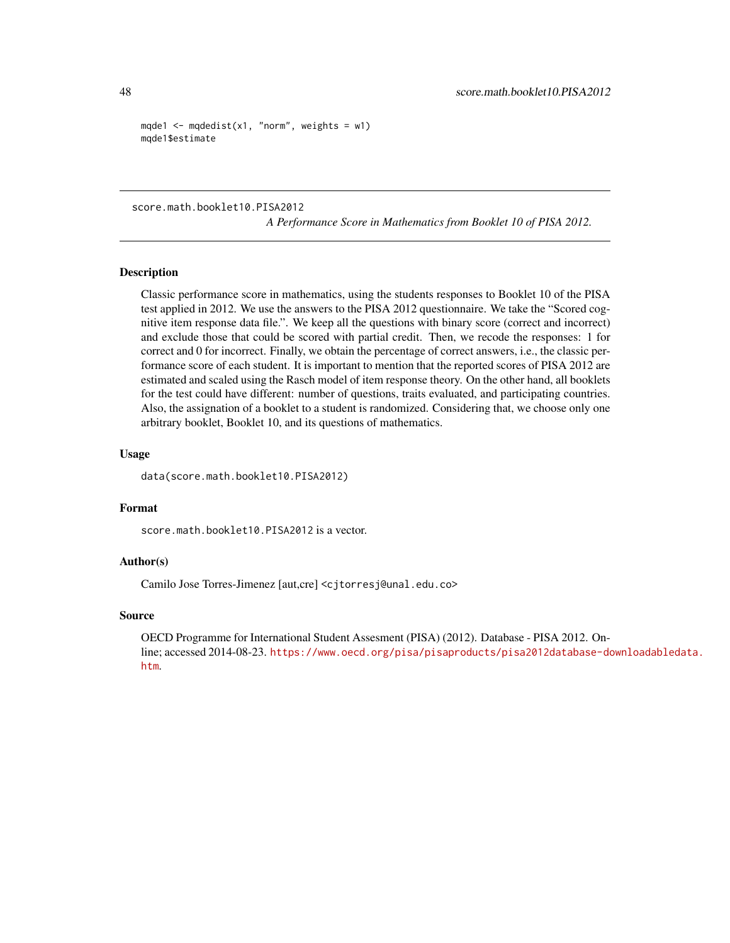```
mqde1 <- mqdedist(x1, "norm", weights = w1)
mqde1$estimate
```
score.math.booklet10.PISA2012

*A Performance Score in Mathematics from Booklet 10 of PISA 2012.*

# Description

Classic performance score in mathematics, using the students responses to Booklet 10 of the PISA test applied in 2012. We use the answers to the PISA 2012 questionnaire. We take the "Scored cognitive item response data file.". We keep all the questions with binary score (correct and incorrect) and exclude those that could be scored with partial credit. Then, we recode the responses: 1 for correct and 0 for incorrect. Finally, we obtain the percentage of correct answers, i.e., the classic performance score of each student. It is important to mention that the reported scores of PISA 2012 are estimated and scaled using the Rasch model of item response theory. On the other hand, all booklets for the test could have different: number of questions, traits evaluated, and participating countries. Also, the assignation of a booklet to a student is randomized. Considering that, we choose only one arbitrary booklet, Booklet 10, and its questions of mathematics.

#### Usage

data(score.math.booklet10.PISA2012)

#### Format

score.math.booklet10.PISA2012 is a vector.

# Author(s)

Camilo Jose Torres-Jimenez [aut,cre] <cjtorresj@unal.edu.co>

# Source

OECD Programme for International Student Assesment (PISA) (2012). Database - PISA 2012. Online; accessed 2014-08-23. [https://www.oecd.org/pisa/pisaproducts/pisa2012database-do](https://www.oecd.org/pisa/pisaproducts/pisa2012database-downloadabledata.htm)wnloadabledata. [htm](https://www.oecd.org/pisa/pisaproducts/pisa2012database-downloadabledata.htm).

<span id="page-47-0"></span>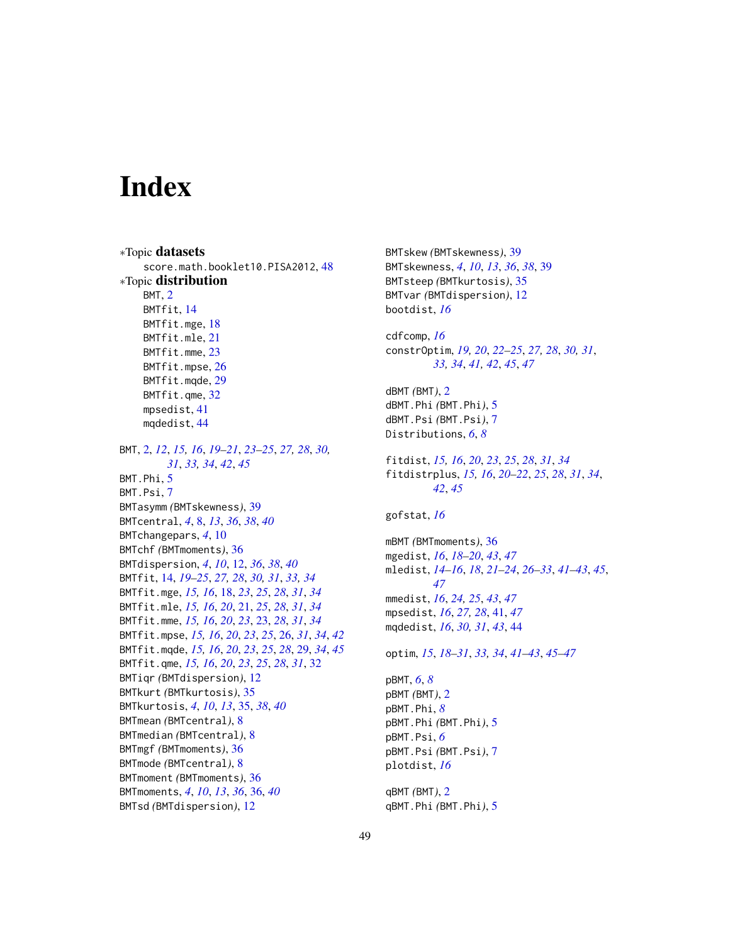# <span id="page-48-0"></span>**Index**

∗Topic datasets score.math.booklet10.PISA2012, [48](#page-47-0) ∗Topic distribution BMT, [2](#page-1-0) BMTfit, [14](#page-13-0) BMTfit.mge, [18](#page-17-0) BMTfit.mle, [21](#page-20-0) BMTfit.mme, [23](#page-22-0) BMTfit.mpse, [26](#page-25-0) BMTfit.mqde, [29](#page-28-0) BMTfit.qme, [32](#page-31-0) mpsedist, [41](#page-40-0) mqdedist, [44](#page-43-0) BMT, [2,](#page-1-0) *[12](#page-11-0)*, *[15,](#page-14-0) [16](#page-15-0)*, *[19](#page-18-0)[–21](#page-20-0)*, *[23–](#page-22-0)[25](#page-24-0)*, *[27,](#page-26-0) [28](#page-27-0)*, *[30,](#page-29-0) [31](#page-30-0)*, *[33,](#page-32-0) [34](#page-33-0)*, *[42](#page-41-0)*, *[45](#page-44-0)* BMT.Phi, [5](#page-4-0) BMT.Psi, [7](#page-6-0) BMTasymm *(*BMTskewness*)*, [39](#page-38-0) BMTcentral, *[4](#page-3-0)*, [8,](#page-7-0) *[13](#page-12-0)*, *[36](#page-35-0)*, *[38](#page-37-0)*, *[40](#page-39-0)* BMTchangepars, *[4](#page-3-0)*, [10](#page-9-0) BMTchf *(*BMTmoments*)*, [36](#page-35-0) BMTdispersion, *[4](#page-3-0)*, *[10](#page-9-0)*, [12,](#page-11-0) *[36](#page-35-0)*, *[38](#page-37-0)*, *[40](#page-39-0)* BMTfit, [14,](#page-13-0) *[19](#page-18-0)[–25](#page-24-0)*, *[27,](#page-26-0) [28](#page-27-0)*, *[30,](#page-29-0) [31](#page-30-0)*, *[33,](#page-32-0) [34](#page-33-0)* BMTfit.mge, *[15,](#page-14-0) [16](#page-15-0)*, [18,](#page-17-0) *[23](#page-22-0)*, *[25](#page-24-0)*, *[28](#page-27-0)*, *[31](#page-30-0)*, *[34](#page-33-0)* BMTfit.mle, *[15,](#page-14-0) [16](#page-15-0)*, *[20](#page-19-0)*, [21,](#page-20-0) *[25](#page-24-0)*, *[28](#page-27-0)*, *[31](#page-30-0)*, *[34](#page-33-0)* BMTfit.mme, *[15,](#page-14-0) [16](#page-15-0)*, *[20](#page-19-0)*, *[23](#page-22-0)*, [23,](#page-22-0) *[28](#page-27-0)*, *[31](#page-30-0)*, *[34](#page-33-0)* BMTfit.mpse, *[15,](#page-14-0) [16](#page-15-0)*, *[20](#page-19-0)*, *[23](#page-22-0)*, *[25](#page-24-0)*, [26,](#page-25-0) *[31](#page-30-0)*, *[34](#page-33-0)*, *[42](#page-41-0)* BMTfit.mqde, *[15,](#page-14-0) [16](#page-15-0)*, *[20](#page-19-0)*, *[23](#page-22-0)*, *[25](#page-24-0)*, *[28](#page-27-0)*, [29,](#page-28-0) *[34](#page-33-0)*, *[45](#page-44-0)* BMTfit.qme, *[15,](#page-14-0) [16](#page-15-0)*, *[20](#page-19-0)*, *[23](#page-22-0)*, *[25](#page-24-0)*, *[28](#page-27-0)*, *[31](#page-30-0)*, [32](#page-31-0) BMTiqr *(*BMTdispersion*)*, [12](#page-11-0) BMTkurt *(*BMTkurtosis*)*, [35](#page-34-0) BMTkurtosis, *[4](#page-3-0)*, *[10](#page-9-0)*, *[13](#page-12-0)*, [35,](#page-34-0) *[38](#page-37-0)*, *[40](#page-39-0)* BMTmean *(*BMTcentral*)*, [8](#page-7-0) BMTmedian *(*BMTcentral*)*, [8](#page-7-0) BMTmgf *(*BMTmoments*)*, [36](#page-35-0) BMTmode *(*BMTcentral*)*, [8](#page-7-0) BMTmoment *(*BMTmoments*)*, [36](#page-35-0) BMTmoments, *[4](#page-3-0)*, *[10](#page-9-0)*, *[13](#page-12-0)*, *[36](#page-35-0)*, [36,](#page-35-0) *[40](#page-39-0)* BMTsd *(*BMTdispersion*)*, [12](#page-11-0)

BMTskew *(*BMTskewness*)*, [39](#page-38-0) BMTskewness, *[4](#page-3-0)*, *[10](#page-9-0)*, *[13](#page-12-0)*, *[36](#page-35-0)*, *[38](#page-37-0)*, [39](#page-38-0) BMTsteep *(*BMTkurtosis*)*, [35](#page-34-0) BMTvar *(*BMTdispersion*)*, [12](#page-11-0) bootdist, *[16](#page-15-0)* cdfcomp, *[16](#page-15-0)* constrOptim, *[19,](#page-18-0) [20](#page-19-0)*, *[22](#page-21-0)[–25](#page-24-0)*, *[27,](#page-26-0) [28](#page-27-0)*, *[30,](#page-29-0) [31](#page-30-0)*, *[33,](#page-32-0) [34](#page-33-0)*, *[41,](#page-40-0) [42](#page-41-0)*, *[45](#page-44-0)*, *[47](#page-46-0)* dBMT *(*BMT*)*, [2](#page-1-0) dBMT.Phi *(*BMT.Phi*)*, [5](#page-4-0) dBMT.Psi *(*BMT.Psi*)*, [7](#page-6-0) Distributions, *[6](#page-5-0)*, *[8](#page-7-0)* fitdist, *[15,](#page-14-0) [16](#page-15-0)*, *[20](#page-19-0)*, *[23](#page-22-0)*, *[25](#page-24-0)*, *[28](#page-27-0)*, *[31](#page-30-0)*, *[34](#page-33-0)* fitdistrplus, *[15,](#page-14-0) [16](#page-15-0)*, *[20](#page-19-0)[–22](#page-21-0)*, *[25](#page-24-0)*, *[28](#page-27-0)*, *[31](#page-30-0)*, *[34](#page-33-0)*, *[42](#page-41-0)*, *[45](#page-44-0)* gofstat, *[16](#page-15-0)* mBMT *(*BMTmoments*)*, [36](#page-35-0) mgedist, *[16](#page-15-0)*, *[18](#page-17-0)[–20](#page-19-0)*, *[43](#page-42-0)*, *[47](#page-46-0)* mledist, *[14](#page-13-0)[–16](#page-15-0)*, *[18](#page-17-0)*, *[21](#page-20-0)[–24](#page-23-0)*, *[26](#page-25-0)[–33](#page-32-0)*, *[41](#page-40-0)[–43](#page-42-0)*, *[45](#page-44-0)*, *[47](#page-46-0)* mmedist, *[16](#page-15-0)*, *[24,](#page-23-0) [25](#page-24-0)*, *[43](#page-42-0)*, *[47](#page-46-0)* mpsedist, *[16](#page-15-0)*, *[27,](#page-26-0) [28](#page-27-0)*, [41,](#page-40-0) *[47](#page-46-0)* mqdedist, *[16](#page-15-0)*, *[30,](#page-29-0) [31](#page-30-0)*, *[43](#page-42-0)*, [44](#page-43-0) optim, *[15](#page-14-0)*, *[18](#page-17-0)[–31](#page-30-0)*, *[33,](#page-32-0) [34](#page-33-0)*, *[41](#page-40-0)[–43](#page-42-0)*, *[45](#page-44-0)[–47](#page-46-0)* pBMT, *[6](#page-5-0)*, *[8](#page-7-0)* pBMT *(*BMT*)*, [2](#page-1-0) pBMT.Phi, *[8](#page-7-0)* pBMT.Phi *(*BMT.Phi*)*, [5](#page-4-0) pBMT.Psi, *[6](#page-5-0)* pBMT.Psi *(*BMT.Psi*)*, [7](#page-6-0) plotdist, *[16](#page-15-0)* qBMT *(*BMT*)*, [2](#page-1-0) qBMT.Phi *(*BMT.Phi*)*, [5](#page-4-0)